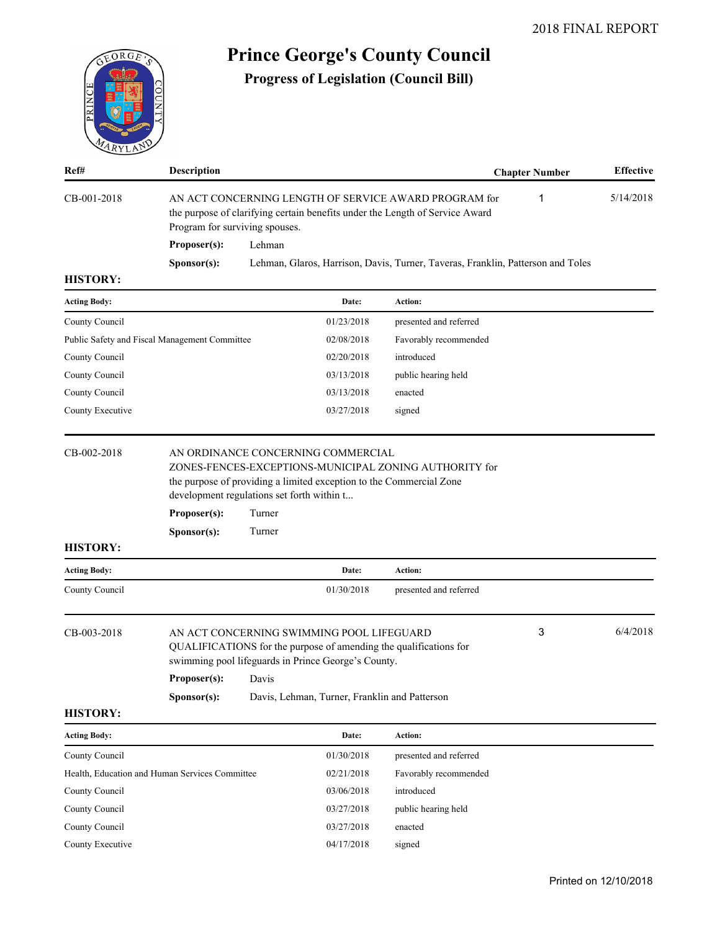

# **Prince George's County Council**

**Progress of Legislation (Council Bill)**

| Ref#                | <b>Description</b>                                                        |                                                                                                                                                                              |                                                                                                                                                   |                                                                                 | <b>Chapter Number</b> | <b>Effective</b> |
|---------------------|---------------------------------------------------------------------------|------------------------------------------------------------------------------------------------------------------------------------------------------------------------------|---------------------------------------------------------------------------------------------------------------------------------------------------|---------------------------------------------------------------------------------|-----------------------|------------------|
| CB-001-2018         |                                                                           | AN ACT CONCERNING LENGTH OF SERVICE AWARD PROGRAM for<br>1<br>the purpose of clarifying certain benefits under the Length of Service Award<br>Program for surviving spouses. |                                                                                                                                                   |                                                                                 |                       | 5/14/2018        |
|                     | Proposer(s):                                                              | Lehman                                                                                                                                                                       |                                                                                                                                                   |                                                                                 |                       |                  |
|                     | Sponsor(s):                                                               |                                                                                                                                                                              |                                                                                                                                                   | Lehman, Glaros, Harrison, Davis, Turner, Taveras, Franklin, Patterson and Toles |                       |                  |
| <b>HISTORY:</b>     |                                                                           |                                                                                                                                                                              |                                                                                                                                                   |                                                                                 |                       |                  |
| <b>Acting Body:</b> |                                                                           |                                                                                                                                                                              | Date:                                                                                                                                             | Action:                                                                         |                       |                  |
| County Council      |                                                                           |                                                                                                                                                                              | 01/23/2018                                                                                                                                        | presented and referred                                                          |                       |                  |
|                     | Public Safety and Fiscal Management Committee                             |                                                                                                                                                                              | 02/08/2018                                                                                                                                        | Favorably recommended                                                           |                       |                  |
| County Council      |                                                                           |                                                                                                                                                                              | 02/20/2018                                                                                                                                        | introduced                                                                      |                       |                  |
| County Council      |                                                                           |                                                                                                                                                                              | 03/13/2018                                                                                                                                        | public hearing held                                                             |                       |                  |
| County Council      |                                                                           |                                                                                                                                                                              | 03/13/2018                                                                                                                                        | enacted                                                                         |                       |                  |
| County Executive    |                                                                           |                                                                                                                                                                              | 03/27/2018                                                                                                                                        | signed                                                                          |                       |                  |
| <b>HISTORY:</b>     | development regulations set forth within t<br>Proposer(s):<br>Sponsor(s): | Turner<br>Turner                                                                                                                                                             | the purpose of providing a limited exception to the Commercial Zone                                                                               |                                                                                 |                       |                  |
| <b>Acting Body:</b> |                                                                           |                                                                                                                                                                              | Date:                                                                                                                                             | Action:                                                                         |                       |                  |
| County Council      |                                                                           |                                                                                                                                                                              | 01/30/2018                                                                                                                                        | presented and referred                                                          |                       |                  |
| CB-003-2018         | <b>Proposer(s):</b>                                                       | Davis                                                                                                                                                                        | AN ACT CONCERNING SWIMMING POOL LIFEGUARD<br>swimming pool lifeguards in Prince George's County.<br>Davis, Lehman, Turner, Franklin and Patterson | QUALIFICATIONS for the purpose of amending the qualifications for               | 3                     | 6/4/2018         |
| <b>HISTORY:</b>     | Sponsor(s):                                                               |                                                                                                                                                                              |                                                                                                                                                   |                                                                                 |                       |                  |
| <b>Acting Body:</b> |                                                                           |                                                                                                                                                                              | Date:                                                                                                                                             | Action:                                                                         |                       |                  |
| County Council      |                                                                           |                                                                                                                                                                              | 01/30/2018                                                                                                                                        | presented and referred                                                          |                       |                  |
|                     | Health, Education and Human Services Committee                            |                                                                                                                                                                              | 02/21/2018                                                                                                                                        | Favorably recommended                                                           |                       |                  |
| County Council      |                                                                           |                                                                                                                                                                              | 03/06/2018                                                                                                                                        | introduced                                                                      |                       |                  |
| County Council      |                                                                           |                                                                                                                                                                              | 03/27/2018                                                                                                                                        | public hearing held                                                             |                       |                  |
| County Council      |                                                                           |                                                                                                                                                                              | 03/27/2018                                                                                                                                        | enacted                                                                         |                       |                  |
| County Executive    |                                                                           |                                                                                                                                                                              | 04/17/2018                                                                                                                                        | signed                                                                          |                       |                  |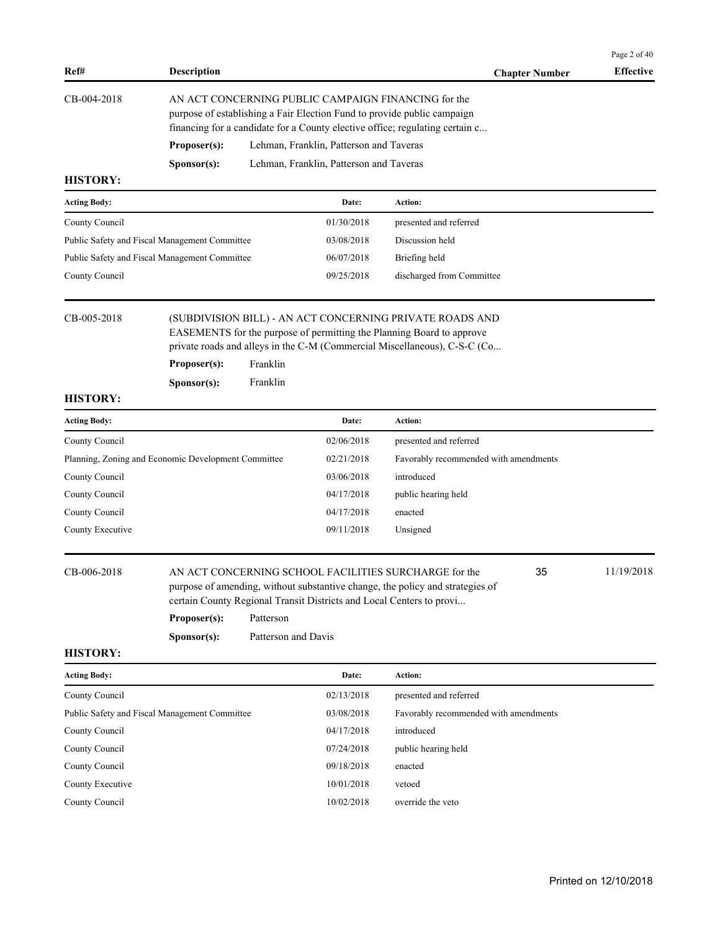| Ref#                | <b>Description</b>   |                                                                                                                                                                                                                |                        | <b>Chapter Number</b> | <b>Effective</b> |
|---------------------|----------------------|----------------------------------------------------------------------------------------------------------------------------------------------------------------------------------------------------------------|------------------------|-----------------------|------------------|
| CB-004-2018         |                      | AN ACT CONCERNING PUBLIC CAMPAIGN FINANCING for the<br>purpose of establishing a Fair Election Fund to provide public campaign<br>financing for a candidate for a County elective office; regulating certain c |                        |                       |                  |
|                     | Proposer(s):         | Lehman, Franklin, Patterson and Taveras                                                                                                                                                                        |                        |                       |                  |
|                     | S <b>p</b> onsor(s): | Lehman, Franklin, Patterson and Taveras                                                                                                                                                                        |                        |                       |                  |
| <b>HISTORY:</b>     |                      |                                                                                                                                                                                                                |                        |                       |                  |
| <b>Acting Body:</b> |                      | Date:                                                                                                                                                                                                          | Action:                |                       |                  |
| County Council      |                      | 01/30/2018                                                                                                                                                                                                     | presented and referred |                       |                  |

| County Council                                | 01/30/2018 | presented and referred    |
|-----------------------------------------------|------------|---------------------------|
| Public Safety and Fiscal Management Committee | 03/08/2018 | Discussion held           |
| Public Safety and Fiscal Management Committee | 06/07/2018 | Briefing held             |
| County Council                                | 09/25/2018 | discharged from Committee |
|                                               |            |                           |

CB-005-2018 (SUBDIVISION BILL) - AN ACT CONCERNING PRIVATE ROADS AND EASEMENTS for the purpose of permitting the Planning Board to approve private roads and alleys in the C-M (Commercial Miscellaneous), C-S-C (Co...

| Proposer(s): | Franklin |
|--------------|----------|
|              |          |

**Sponsor(s):** Franklin

# **HISTORY:**

| <b>Acting Body:</b>                                 | Date:      | <b>Action:</b>                        |
|-----------------------------------------------------|------------|---------------------------------------|
| County Council                                      | 02/06/2018 | presented and referred                |
| Planning, Zoning and Economic Development Committee | 02/21/2018 | Favorably recommended with amendments |
| County Council                                      | 03/06/2018 | introduced                            |
| County Council                                      | 04/17/2018 | public hearing held                   |
| County Council                                      | 04/17/2018 | enacted                               |
| County Executive                                    | 09/11/2018 | Unsigned                              |
|                                                     |            |                                       |

purpose of amending, without substantive change, the policy and strategies of

CB-006-2018 AN ACT CONCERNING SCHOOL FACILITIES SURCHARGE for the 11/19/2018

35

Page 2 of 40

# certain County Regional Transit Districts and Local Centers to provi... Proposer(s): Patterson

**Sponsor(s):** Patterson and Davis

| <b>Acting Body:</b>                           | Date:      | Action:                               |
|-----------------------------------------------|------------|---------------------------------------|
| County Council                                | 02/13/2018 | presented and referred                |
| Public Safety and Fiscal Management Committee | 03/08/2018 | Favorably recommended with amendments |
| County Council                                | 04/17/2018 | introduced                            |
| County Council                                | 07/24/2018 | public hearing held                   |
| County Council                                | 09/18/2018 | enacted                               |
| County Executive                              | 10/01/2018 | vetoed                                |
| County Council                                | 10/02/2018 | override the veto                     |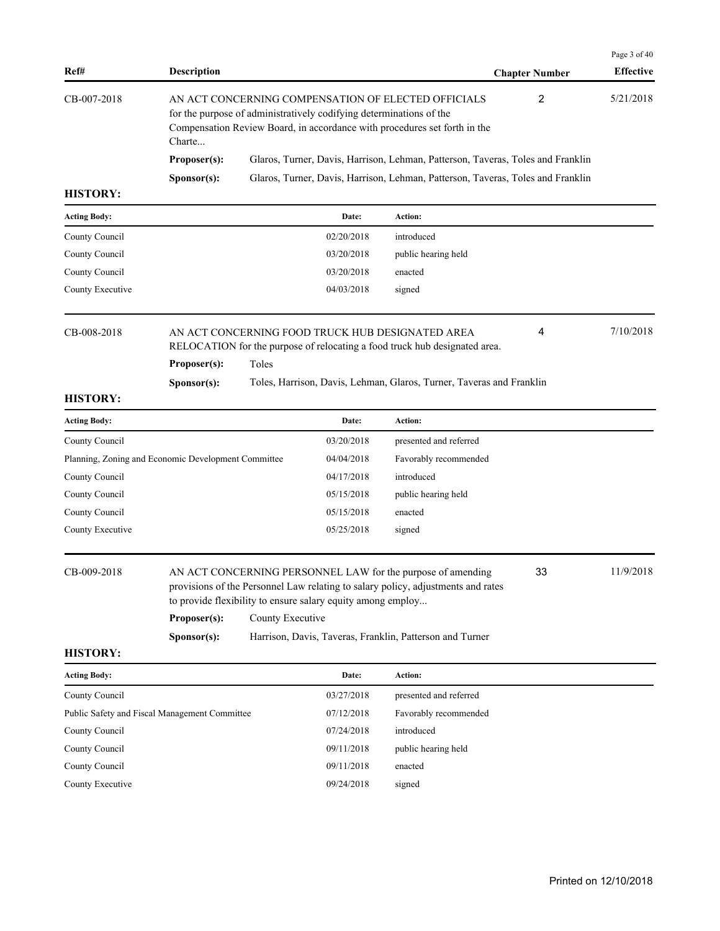|                 |                      |                                                                                                                                                                                                         |                       | Page 3 of 40     |
|-----------------|----------------------|---------------------------------------------------------------------------------------------------------------------------------------------------------------------------------------------------------|-----------------------|------------------|
| Ref#            | <b>Description</b>   |                                                                                                                                                                                                         | <b>Chapter Number</b> | <b>Effective</b> |
| CB-007-2018     | Charte               | AN ACT CONCERNING COMPENSATION OF ELECTED OFFICIALS<br>for the purpose of administratively codifying determinations of the<br>Compensation Review Board, in accordance with procedures set forth in the | 2                     | 5/21/2018        |
|                 | Proposer(s):         | Glaros, Turner, Davis, Harrison, Lehman, Patterson, Taveras, Toles and Franklin                                                                                                                         |                       |                  |
|                 | S <b>p</b> onsor(s): | Glaros, Turner, Davis, Harrison, Lehman, Patterson, Taveras, Toles and Franklin                                                                                                                         |                       |                  |
| <b>HISTORY:</b> |                      |                                                                                                                                                                                                         |                       |                  |

| <b>Acting Body:</b> | Date:      | <b>Action:</b>      |
|---------------------|------------|---------------------|
| County Council      | 02/20/2018 | introduced          |
| County Council      | 03/20/2018 | public hearing held |
| County Council      | 03/20/2018 | enacted             |
| County Executive    | 04/03/2018 | signed              |

| CB-008-2018 |                      | AN ACT CONCERNING FOOD TRUCK HUB DESIGNATED AREA<br>RELOCATION for the purpose of relocating a food truck hub designated area. | 4 | 7/10/2018 |
|-------------|----------------------|--------------------------------------------------------------------------------------------------------------------------------|---|-----------|
|             | Proposer(s):         | Toles                                                                                                                          |   |           |
|             | S <b>p</b> onsor(s): | Toles, Harrison, Davis, Lehman, Glaros, Turner, Taveras and Franklin                                                           |   |           |

| <b>Acting Body:</b>                                                    | Date:      | <b>Action:</b>         |
|------------------------------------------------------------------------|------------|------------------------|
| County Council                                                         | 03/20/2018 | presented and referred |
| Planning, Zoning and Economic Development Committee                    | 04/04/2018 | Favorably recommended  |
|                                                                        | 04/17/2018 | introduced             |
|                                                                        | 05/15/2018 | public hearing held    |
|                                                                        | 05/15/2018 | enacted                |
|                                                                        | 05/25/2018 | signed                 |
| County Council<br>County Council<br>County Council<br>County Executive |            |                        |

CB-009-2018 AN ACT CONCERNING PERSONNEL LAW for the purpose of amending 33 11/9/2018 provisions of the Personnel Law relating to salary policy, adjustments and rates to provide flexibility to ensure salary equity among employ...

# **Proposer(s):** County Executive

# **HISTORY:**

**Sponsor(s):** Harrison, Davis, Taveras, Franklin, Patterson and Turner

| <b>Acting Body:</b>                           | Date:      | <b>Action:</b>         |
|-----------------------------------------------|------------|------------------------|
| County Council                                | 03/27/2018 | presented and referred |
| Public Safety and Fiscal Management Committee | 07/12/2018 | Favorably recommended  |
| County Council                                | 07/24/2018 | introduced             |
| County Council                                | 09/11/2018 | public hearing held    |
| County Council                                | 09/11/2018 | enacted                |
| County Executive                              | 09/24/2018 | signed                 |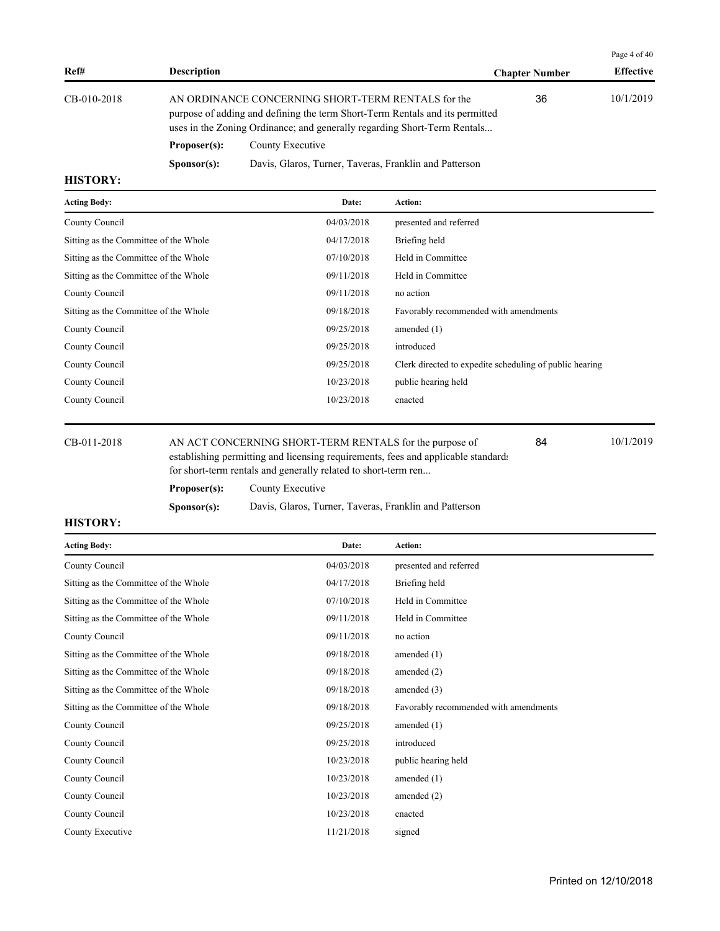|             |                                                                                                                                                                                                                |                                                        |                       | Page 4 of 40     |
|-------------|----------------------------------------------------------------------------------------------------------------------------------------------------------------------------------------------------------------|--------------------------------------------------------|-----------------------|------------------|
| Ref#        | <b>Description</b>                                                                                                                                                                                             |                                                        | <b>Chapter Number</b> | <b>Effective</b> |
| CB-010-2018 | AN ORDINANCE CONCERNING SHORT-TERM RENTALS for the<br>purpose of adding and defining the term Short-Term Rentals and its permitted<br>uses in the Zoning Ordinance; and generally regarding Short-Term Rentals |                                                        | 36                    | 10/1/2019        |
|             | Proposer(s):                                                                                                                                                                                                   | County Executive                                       |                       |                  |
|             | S <b>p</b> onsor(s):                                                                                                                                                                                           | Davis, Glaros, Turner, Taveras, Franklin and Patterson |                       |                  |

| <b>Acting Body:</b>                   | Date:      | Action:                                                 |
|---------------------------------------|------------|---------------------------------------------------------|
| County Council                        | 04/03/2018 | presented and referred                                  |
| Sitting as the Committee of the Whole | 04/17/2018 | Briefing held                                           |
| Sitting as the Committee of the Whole | 07/10/2018 | Held in Committee                                       |
| Sitting as the Committee of the Whole | 09/11/2018 | Held in Committee                                       |
| County Council                        | 09/11/2018 | no action                                               |
| Sitting as the Committee of the Whole | 09/18/2018 | Favorably recommended with amendments                   |
| County Council                        | 09/25/2018 | amended $(1)$                                           |
| County Council                        | 09/25/2018 | introduced                                              |
| County Council                        | 09/25/2018 | Clerk directed to expedite scheduling of public hearing |
| County Council                        | 10/23/2018 | public hearing held                                     |
| County Council                        | 10/23/2018 | enacted                                                 |
|                                       |            |                                                         |

CB-011-2018 AN ACT CONCERNING SHORT-TERM RENTALS for the purpose of 10/1/2019 establishing permitting and licensing requirements, fees and applicable standards

84

 $\overline{P}$ 

for short-term rentals and generally related to short-term ren...

**Proposer(s):** County Executive

**Sponsor(s):** Davis, Glaros, Turner, Taveras, Franklin and Patterson

| <b>Acting Body:</b>                   | Date:      | <b>Action:</b>                        |
|---------------------------------------|------------|---------------------------------------|
| County Council                        | 04/03/2018 | presented and referred                |
| Sitting as the Committee of the Whole | 04/17/2018 | Briefing held                         |
| Sitting as the Committee of the Whole | 07/10/2018 | Held in Committee                     |
| Sitting as the Committee of the Whole | 09/11/2018 | Held in Committee                     |
| County Council                        | 09/11/2018 | no action                             |
| Sitting as the Committee of the Whole | 09/18/2018 | amended $(1)$                         |
| Sitting as the Committee of the Whole | 09/18/2018 | amended $(2)$                         |
| Sitting as the Committee of the Whole | 09/18/2018 | amended $(3)$                         |
| Sitting as the Committee of the Whole | 09/18/2018 | Favorably recommended with amendments |
| County Council                        | 09/25/2018 | amended $(1)$                         |
| County Council                        | 09/25/2018 | introduced                            |
| County Council                        | 10/23/2018 | public hearing held                   |
| County Council                        | 10/23/2018 | amended $(1)$                         |
| County Council                        | 10/23/2018 | amended $(2)$                         |
| County Council                        | 10/23/2018 | enacted                               |
| County Executive                      | 11/21/2018 | signed                                |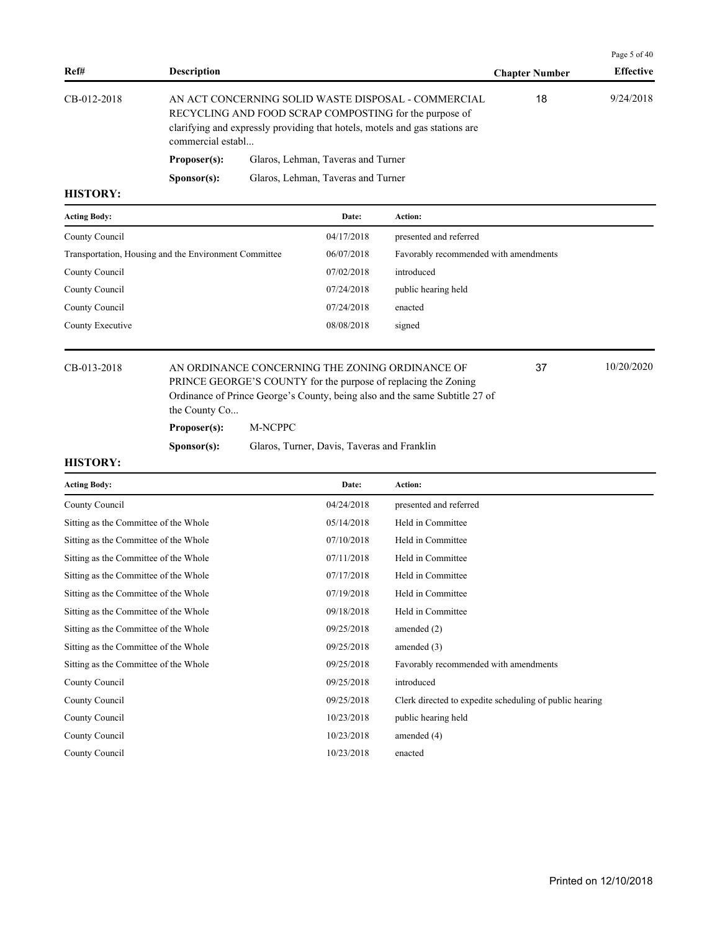|             |                      |                                                                                                                                                                                              |                       | Page 5 of 40     |
|-------------|----------------------|----------------------------------------------------------------------------------------------------------------------------------------------------------------------------------------------|-----------------------|------------------|
| Ref#        | <b>Description</b>   |                                                                                                                                                                                              | <b>Chapter Number</b> | <b>Effective</b> |
| CB-012-2018 | commercial establ    | AN ACT CONCERNING SOLID WASTE DISPOSAL - COMMERCIAL<br>RECYCLING AND FOOD SCRAP COMPOSTING for the purpose of<br>clarifying and expressly providing that hotels, motels and gas stations are | 18                    | 9/24/2018        |
|             | Proposer(s):         | Glaros, Lehman, Taveras and Turner                                                                                                                                                           |                       |                  |
|             | S <b>p</b> onsor(s): | Glaros, Lehman, Taveras and Turner                                                                                                                                                           |                       |                  |
| итетору.    |                      |                                                                                                                                                                                              |                       |                  |

| <b>Acting Body:</b>                                   | Date:      | Action:                               |
|-------------------------------------------------------|------------|---------------------------------------|
| County Council                                        | 04/17/2018 | presented and referred                |
| Transportation, Housing and the Environment Committee | 06/07/2018 | Favorably recommended with amendments |
| County Council                                        | 07/02/2018 | introduced                            |
| County Council                                        | 07/24/2018 | public hearing held                   |
| County Council                                        | 07/24/2018 | enacted                               |
| County Executive                                      | 08/08/2018 | signed                                |
|                                                       |            |                                       |

CB-013-2018 AN ORDINANCE CONCERNING THE ZONING ORDINANCE OF 37 10/20/2020 PRINCE GEORGE'S COUNTY for the purpose of replacing the Zoning Ordinance of Prince George's County, being also and the same Subtitle 27 of the County Co...

**Proposer(s):** M-NCPPC

Sponsor(s): Glaros, Turner, Davis, Taveras and Franklin

### **HISTORY:**

| <b>Acting Body:</b>                   | Date:      | Action:                                                 |
|---------------------------------------|------------|---------------------------------------------------------|
| County Council                        | 04/24/2018 | presented and referred                                  |
| Sitting as the Committee of the Whole | 05/14/2018 | Held in Committee                                       |
| Sitting as the Committee of the Whole | 07/10/2018 | Held in Committee                                       |
| Sitting as the Committee of the Whole | 07/11/2018 | Held in Committee                                       |
| Sitting as the Committee of the Whole | 07/17/2018 | Held in Committee                                       |
| Sitting as the Committee of the Whole | 07/19/2018 | Held in Committee                                       |
| Sitting as the Committee of the Whole | 09/18/2018 | Held in Committee                                       |
| Sitting as the Committee of the Whole | 09/25/2018 | amended $(2)$                                           |
| Sitting as the Committee of the Whole | 09/25/2018 | amended $(3)$                                           |
| Sitting as the Committee of the Whole | 09/25/2018 | Favorably recommended with amendments                   |
| County Council                        | 09/25/2018 | introduced                                              |
| County Council                        | 09/25/2018 | Clerk directed to expedite scheduling of public hearing |
| County Council                        | 10/23/2018 | public hearing held                                     |
| County Council                        | 10/23/2018 | amended (4)                                             |
| County Council                        | 10/23/2018 | enacted                                                 |
|                                       |            |                                                         |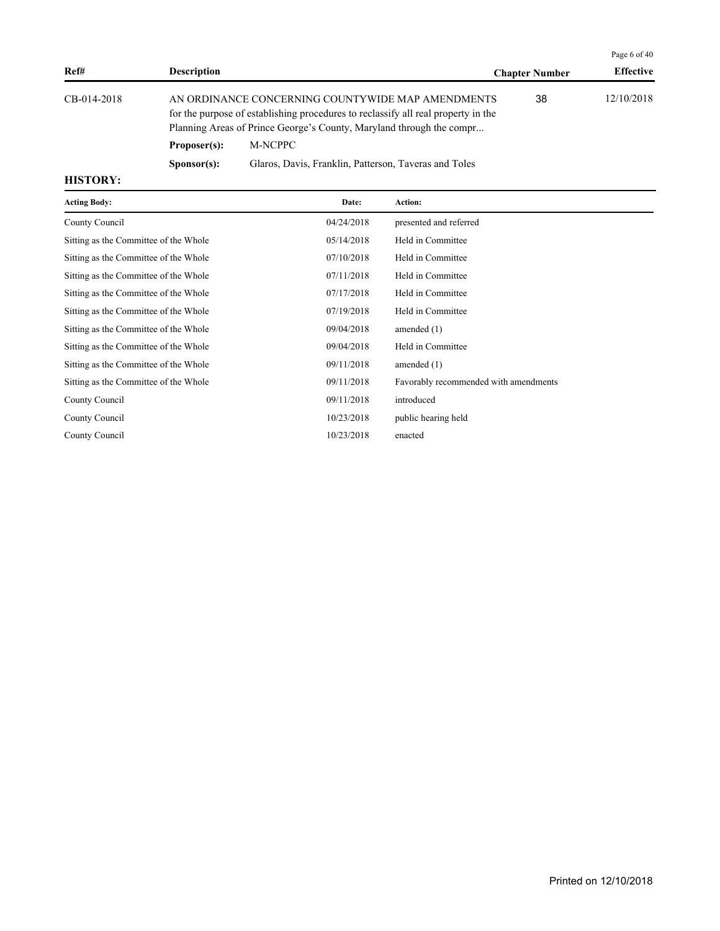|             |                      |                                                                                                                                                                                                                |                       | Page 6 of 40     |
|-------------|----------------------|----------------------------------------------------------------------------------------------------------------------------------------------------------------------------------------------------------------|-----------------------|------------------|
| Ref#        | <b>Description</b>   |                                                                                                                                                                                                                | <b>Chapter Number</b> | <b>Effective</b> |
| CB-014-2018 |                      | AN ORDINANCE CONCERNING COUNTYWIDE MAP AMENDMENTS<br>for the purpose of establishing procedures to reclassify all real property in the<br>Planning Areas of Prince George's County, Maryland through the compr | 38                    | 12/10/2018       |
|             | Proposer(s):         | M-NCPPC                                                                                                                                                                                                        |                       |                  |
|             | S <b>p</b> onsor(s): | Glaros, Davis, Franklin, Patterson, Taveras and Toles                                                                                                                                                          |                       |                  |
| ----------  |                      |                                                                                                                                                                                                                |                       |                  |

| <b>Acting Body:</b>                   | Date:      | Action:                               |
|---------------------------------------|------------|---------------------------------------|
| County Council                        | 04/24/2018 | presented and referred                |
| Sitting as the Committee of the Whole | 05/14/2018 | Held in Committee                     |
| Sitting as the Committee of the Whole | 07/10/2018 | Held in Committee                     |
| Sitting as the Committee of the Whole | 07/11/2018 | Held in Committee                     |
| Sitting as the Committee of the Whole | 07/17/2018 | Held in Committee                     |
| Sitting as the Committee of the Whole | 07/19/2018 | Held in Committee                     |
| Sitting as the Committee of the Whole | 09/04/2018 | amended $(1)$                         |
| Sitting as the Committee of the Whole | 09/04/2018 | Held in Committee                     |
| Sitting as the Committee of the Whole | 09/11/2018 | amended (1)                           |
| Sitting as the Committee of the Whole | 09/11/2018 | Favorably recommended with amendments |
| County Council                        | 09/11/2018 | introduced                            |
| County Council                        | 10/23/2018 | public hearing held                   |
| County Council                        | 10/23/2018 | enacted                               |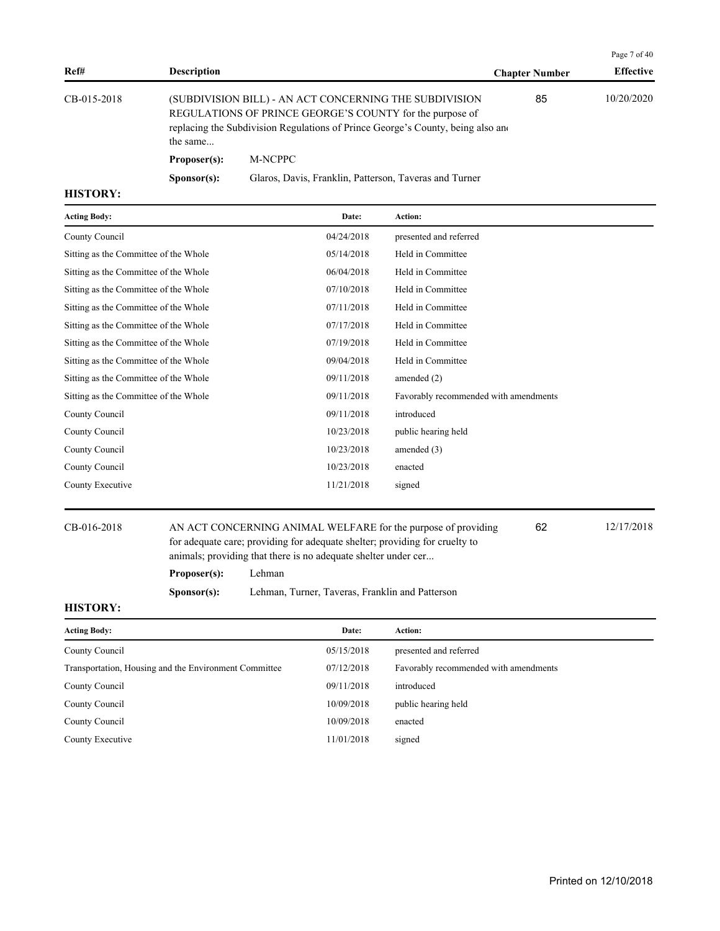|             |                                                                                                                                                                                                                   |                                                        |                       | Page 7 of 40     |
|-------------|-------------------------------------------------------------------------------------------------------------------------------------------------------------------------------------------------------------------|--------------------------------------------------------|-----------------------|------------------|
| Ref#        | <b>Description</b>                                                                                                                                                                                                |                                                        | <b>Chapter Number</b> | <b>Effective</b> |
| CB-015-2018 | (SUBDIVISION BILL) - AN ACT CONCERNING THE SUBDIVISION<br>REGULATIONS OF PRINCE GEORGE'S COUNTY for the purpose of<br>replacing the Subdivision Regulations of Prince George's County, being also and<br>the same |                                                        | 85                    | 10/20/2020       |
|             | Proposer(s):                                                                                                                                                                                                      | M-NCPPC                                                |                       |                  |
|             | S <b>p</b> onsor(s):                                                                                                                                                                                              | Glaros, Davis, Franklin, Patterson, Taveras and Turner |                       |                  |

| Favorably recommended with amendments |
|---------------------------------------|
|                                       |
|                                       |
|                                       |
|                                       |
|                                       |
|                                       |

CB-016-2018 AN ACT CONCERNING ANIMAL WELFARE for the purpose of providing 62 12/17/2018 for adequate care; providing for adequate shelter; providing for cruelty to animals; providing that there is no adequate shelter under cer...

62

- **Proposer(s):** Lehman
- 

**Sponsor(s):** Lehman, Turner, Taveras, Franklin and Patterson

| Date:      | <b>Action:</b>                        |
|------------|---------------------------------------|
| 05/15/2018 | presented and referred                |
| 07/12/2018 | Favorably recommended with amendments |
| 09/11/2018 | introduced                            |
| 10/09/2018 | public hearing held                   |
| 10/09/2018 | enacted                               |
| 11/01/2018 | signed                                |
|            |                                       |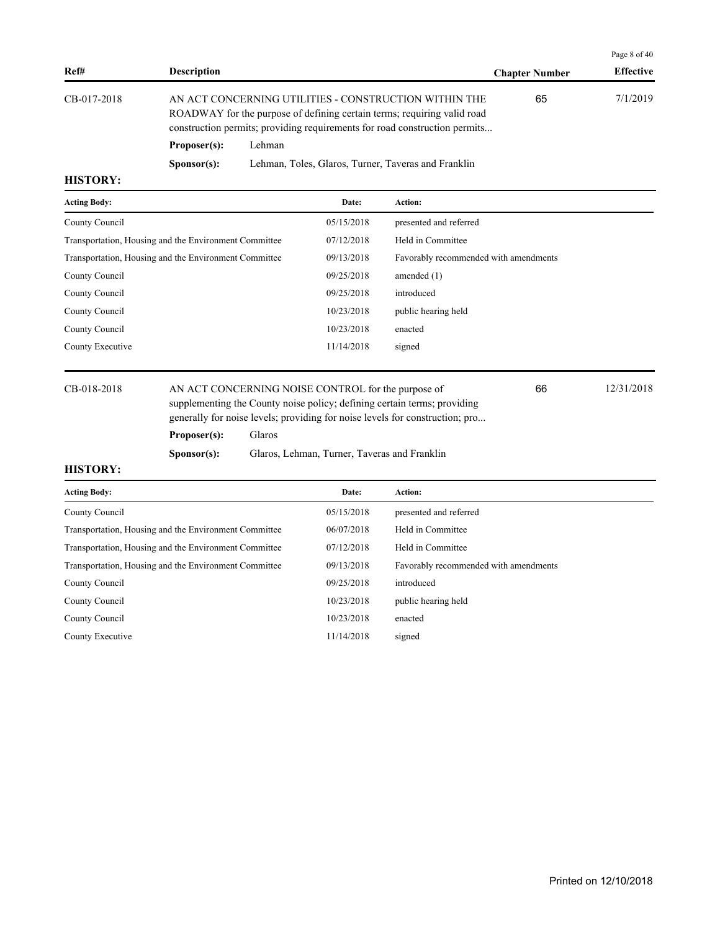|             |                                                                                                                                                                                                                |                                                     |                       | Page 8 of 40     |
|-------------|----------------------------------------------------------------------------------------------------------------------------------------------------------------------------------------------------------------|-----------------------------------------------------|-----------------------|------------------|
| Ref#        | <b>Description</b>                                                                                                                                                                                             |                                                     | <b>Chapter Number</b> | <b>Effective</b> |
| CB-017-2018 | AN ACT CONCERNING UTILITIES - CONSTRUCTION WITHIN THE<br>ROADWAY for the purpose of defining certain terms; requiring valid road<br>construction permits; providing requirements for road construction permits |                                                     | 65                    | 7/1/2019         |
|             | Proposer(s):                                                                                                                                                                                                   | Lehman                                              |                       |                  |
|             | S <b>p</b> onsor(s):                                                                                                                                                                                           | Lehman, Toles, Glaros, Turner, Taveras and Franklin |                       |                  |

| <b>Acting Body:</b>                                   | Date:      | <b>Action:</b>                        |
|-------------------------------------------------------|------------|---------------------------------------|
| County Council                                        | 05/15/2018 | presented and referred                |
| Transportation, Housing and the Environment Committee | 07/12/2018 | Held in Committee                     |
| Transportation, Housing and the Environment Committee | 09/13/2018 | Favorably recommended with amendments |
| County Council                                        | 09/25/2018 | amended $(1)$                         |
| County Council                                        | 09/25/2018 | introduced                            |
| County Council                                        | 10/23/2018 | public hearing held                   |
| County Council                                        | 10/23/2018 | enacted                               |
| County Executive                                      | 11/14/2018 | signed                                |
|                                                       |            |                                       |

CB-018-2018 AN ACT CONCERNING NOISE CONTROL for the purpose of 12/31/2018 supplementing the County noise policy; defining certain terms; providing generally for noise levels; providing for noise levels for construction; pro...

66

### **Proposer(s):** Glaros

**Sponsor(s):** Glaros, Lehman, Turner, Taveras and Franklin

| <b>Acting Body:</b>                                   | Date:      | Action:                               |
|-------------------------------------------------------|------------|---------------------------------------|
| County Council                                        | 05/15/2018 | presented and referred                |
| Transportation, Housing and the Environment Committee | 06/07/2018 | Held in Committee                     |
| Transportation, Housing and the Environment Committee | 07/12/2018 | Held in Committee                     |
| Transportation, Housing and the Environment Committee | 09/13/2018 | Favorably recommended with amendments |
| County Council                                        | 09/25/2018 | introduced                            |
| County Council                                        | 10/23/2018 | public hearing held                   |
| County Council                                        | 10/23/2018 | enacted                               |
| County Executive                                      | 11/14/2018 | signed                                |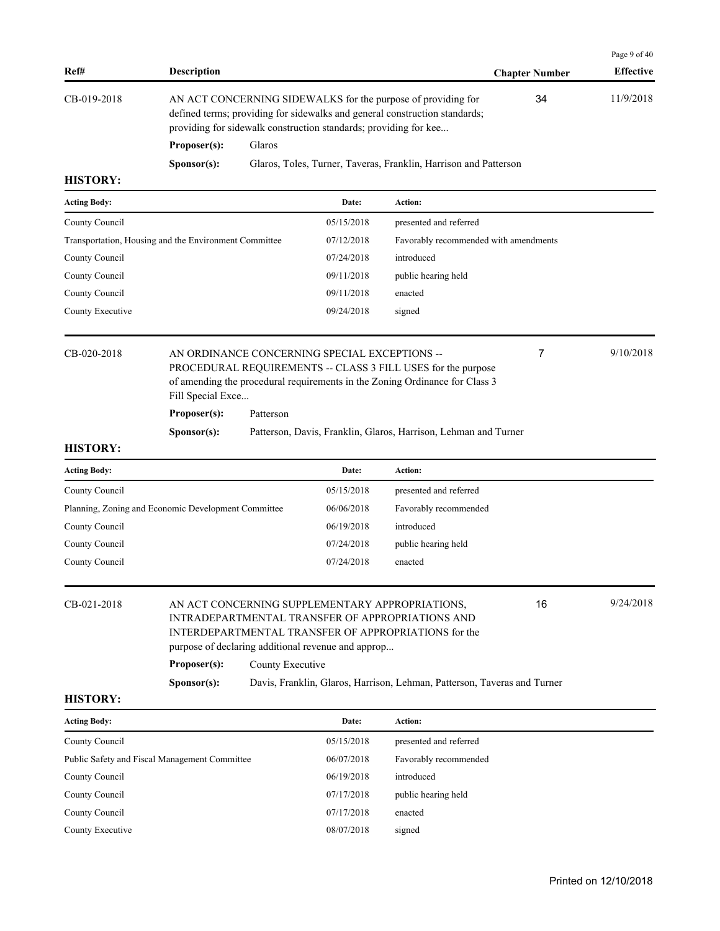| Ref#                                                                              | <b>Description</b> |           |                                                                  |                                                                                                                                             | <b>Chapter Number</b> | Page 9 of 40<br><b>Effective</b> |
|-----------------------------------------------------------------------------------|--------------------|-----------|------------------------------------------------------------------|---------------------------------------------------------------------------------------------------------------------------------------------|-----------------------|----------------------------------|
| CB-019-2018                                                                       | Proposer(s):       | Glaros    | providing for sidewalk construction standards; providing for kee | AN ACT CONCERNING SIDEWALKS for the purpose of providing for<br>defined terms; providing for sidewalks and general construction standards;  | 34                    | 11/9/2018                        |
|                                                                                   |                    |           |                                                                  | Glaros, Toles, Turner, Taveras, Franklin, Harrison and Patterson                                                                            |                       |                                  |
| <b>HISTORY:</b>                                                                   | Sponsor(s):        |           |                                                                  |                                                                                                                                             |                       |                                  |
| <b>Acting Body:</b>                                                               |                    |           | Date:                                                            | Action:                                                                                                                                     |                       |                                  |
| County Council                                                                    |                    |           | 05/15/2018                                                       | presented and referred                                                                                                                      |                       |                                  |
| Transportation, Housing and the Environment Committee                             |                    |           | 07/12/2018                                                       | Favorably recommended with amendments                                                                                                       |                       |                                  |
| County Council                                                                    |                    |           | 07/24/2018                                                       | introduced                                                                                                                                  |                       |                                  |
| County Council                                                                    |                    |           | 09/11/2018                                                       | public hearing held                                                                                                                         |                       |                                  |
| County Council                                                                    |                    |           | 09/11/2018                                                       | enacted                                                                                                                                     |                       |                                  |
| County Executive                                                                  |                    |           | 09/24/2018                                                       | signed                                                                                                                                      |                       |                                  |
| CB-020-2018<br>AN ORDINANCE CONCERNING SPECIAL EXCEPTIONS --<br>Fill Special Exce |                    |           |                                                                  | PROCEDURAL REQUIREMENTS -- CLASS 3 FILL USES for the purpose<br>of amending the procedural requirements in the Zoning Ordinance for Class 3 | 7                     | 9/10/2018                        |
|                                                                                   | Proposer(s):       | Patterson |                                                                  |                                                                                                                                             |                       |                                  |
|                                                                                   | Sponsor(s):        |           |                                                                  | Patterson, Davis, Franklin, Glaros, Harrison, Lehman and Turner                                                                             |                       |                                  |
| <b>HISTORY:</b>                                                                   |                    |           |                                                                  |                                                                                                                                             |                       |                                  |
| <b>Acting Body:</b>                                                               |                    |           | Date:                                                            | Action:                                                                                                                                     |                       |                                  |
| County Council                                                                    |                    |           | 05/15/2018                                                       | presented and referred                                                                                                                      |                       |                                  |
| Planning, Zoning and Economic Development Committee                               |                    |           | 06/06/2018                                                       | Favorably recommended                                                                                                                       |                       |                                  |
| County Council                                                                    |                    |           | 06/19/2018                                                       | introduced                                                                                                                                  |                       |                                  |
| County Council                                                                    |                    |           | 07/24/2018                                                       | public hearing held                                                                                                                         |                       |                                  |

| CB-021-2018 |                      | AN ACT CONCERNING SUPPLEMENTARY APPROPRIATIONS,<br>INTRADEPARTMENTAL TRANSFER OF APPROPRIATIONS AND<br>INTERDEPARTMENTAL TRANSFER OF APPROPRIATIONS for the<br>purpose of declaring additional revenue and approp | 16 | 9/24/2018 |
|-------------|----------------------|-------------------------------------------------------------------------------------------------------------------------------------------------------------------------------------------------------------------|----|-----------|
|             | Proposer(s):         | County Executive                                                                                                                                                                                                  |    |           |
|             | S <b>p</b> onsor(s): | Davis, Franklin, Glaros, Harrison, Lehman, Patterson, Taveras and Turner                                                                                                                                          |    |           |
| ---------   |                      |                                                                                                                                                                                                                   |    |           |

County Council 07/24/2018 enacted

| <b>Acting Body:</b>                           | Date:      | <b>Action:</b>         |
|-----------------------------------------------|------------|------------------------|
| County Council                                | 05/15/2018 | presented and referred |
| Public Safety and Fiscal Management Committee | 06/07/2018 | Favorably recommended  |
| County Council                                | 06/19/2018 | introduced             |
| County Council                                | 07/17/2018 | public hearing held    |
| County Council                                | 07/17/2018 | enacted                |
| County Executive                              | 08/07/2018 | signed                 |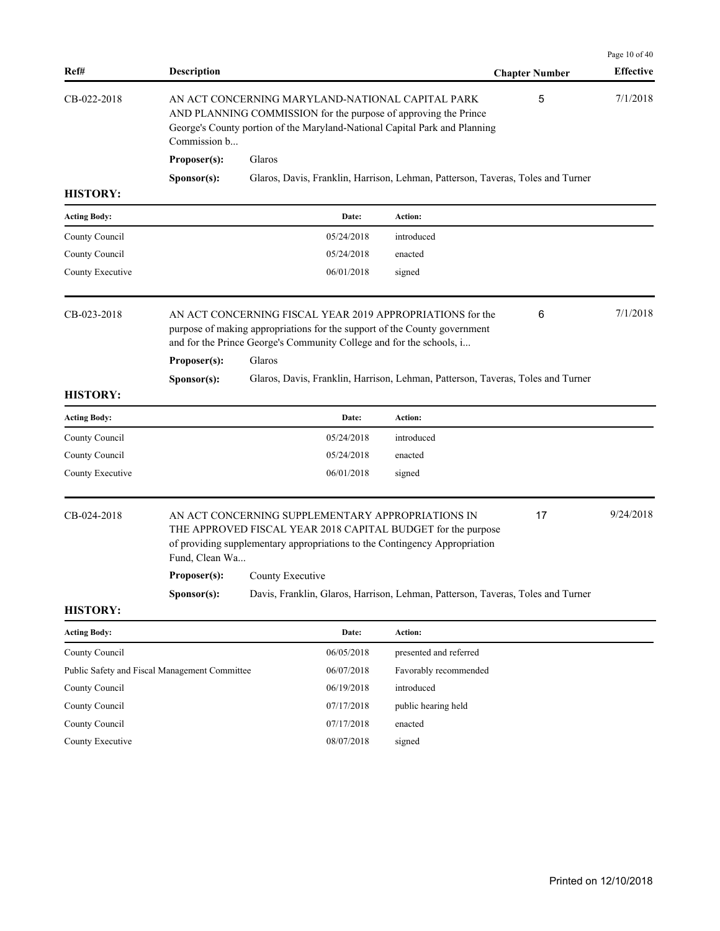| Ref#                             | <b>Description</b>                            |                                                                                                                                                                                                                          |                        | <b>Chapter Number</b> | Page 10 of 40<br><b>Effective</b> |
|----------------------------------|-----------------------------------------------|--------------------------------------------------------------------------------------------------------------------------------------------------------------------------------------------------------------------------|------------------------|-----------------------|-----------------------------------|
| CB-022-2018                      | Commission b                                  | AN ACT CONCERNING MARYLAND-NATIONAL CAPITAL PARK<br>AND PLANNING COMMISSION for the purpose of approving the Prince<br>George's County portion of the Maryland-National Capital Park and Planning                        |                        | 5                     | 7/1/2018                          |
|                                  | Proposer(s):                                  | Glaros                                                                                                                                                                                                                   |                        |                       |                                   |
|                                  | Sponsor(s):                                   | Glaros, Davis, Franklin, Harrison, Lehman, Patterson, Taveras, Toles and Turner                                                                                                                                          |                        |                       |                                   |
| <b>HISTORY:</b>                  |                                               |                                                                                                                                                                                                                          |                        |                       |                                   |
| <b>Acting Body:</b>              |                                               | Date:                                                                                                                                                                                                                    | Action:                |                       |                                   |
| County Council                   |                                               | 05/24/2018                                                                                                                                                                                                               | introduced             |                       |                                   |
| County Council                   |                                               | 05/24/2018                                                                                                                                                                                                               | enacted                |                       |                                   |
| County Executive                 |                                               | 06/01/2018                                                                                                                                                                                                               | signed                 |                       |                                   |
| CB-023-2018                      | Proposer(s):                                  | AN ACT CONCERNING FISCAL YEAR 2019 APPROPRIATIONS for the<br>purpose of making appropriations for the support of the County government<br>and for the Prince George's Community College and for the schools, i<br>Glaros |                        | 6                     | 7/1/2018                          |
| <b>HISTORY:</b>                  | Sponsor(s):                                   | Glaros, Davis, Franklin, Harrison, Lehman, Patterson, Taveras, Toles and Turner                                                                                                                                          |                        |                       |                                   |
| <b>Acting Body:</b>              |                                               | Date:                                                                                                                                                                                                                    | Action:                |                       |                                   |
|                                  |                                               |                                                                                                                                                                                                                          |                        |                       |                                   |
| County Council<br>County Council |                                               | 05/24/2018<br>05/24/2018                                                                                                                                                                                                 | introduced<br>enacted  |                       |                                   |
| County Executive                 |                                               | 06/01/2018                                                                                                                                                                                                               | signed                 |                       |                                   |
| CB-024-2018                      | Fund, Clean Wa                                | AN ACT CONCERNING SUPPLEMENTARY APPROPRIATIONS IN<br>THE APPROVED FISCAL YEAR 2018 CAPITAL BUDGET for the purpose<br>of providing supplementary appropriations to the Contingency Appropriation                          |                        | 17                    | 9/24/2018                         |
|                                  | Proposer(s):                                  | County Executive                                                                                                                                                                                                         |                        |                       |                                   |
| <b>HISTORY:</b>                  | Sponsor(s):                                   | Davis, Franklin, Glaros, Harrison, Lehman, Patterson, Taveras, Toles and Turner                                                                                                                                          |                        |                       |                                   |
| <b>Acting Body:</b>              |                                               | Date:                                                                                                                                                                                                                    | Action:                |                       |                                   |
| County Council                   |                                               | 06/05/2018                                                                                                                                                                                                               | presented and referred |                       |                                   |
|                                  | Public Safety and Fiscal Management Committee | 06/07/2018                                                                                                                                                                                                               | Favorably recommended  |                       |                                   |
| County Council                   |                                               | 06/19/2018                                                                                                                                                                                                               | introduced             |                       |                                   |
| County Council                   |                                               | 07/17/2018                                                                                                                                                                                                               | public hearing held    |                       |                                   |
| County Council                   |                                               | 07/17/2018                                                                                                                                                                                                               | enacted                |                       |                                   |
| County Executive                 |                                               | 08/07/2018                                                                                                                                                                                                               | signed                 |                       |                                   |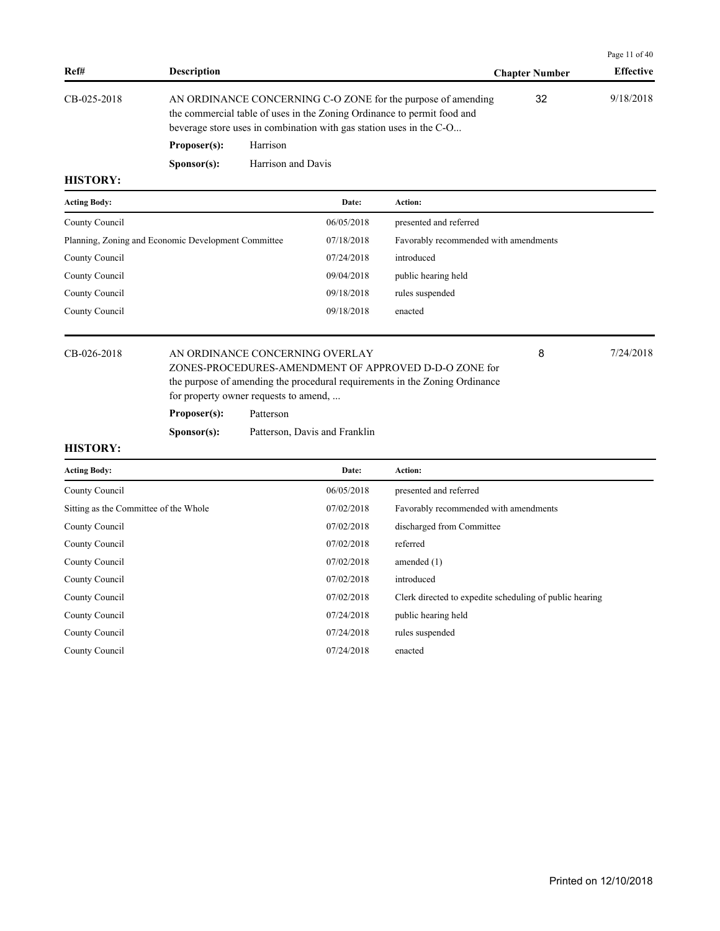|             |                      |                                                                                                                                                                                                                |                       | Page 11 of $40$  |
|-------------|----------------------|----------------------------------------------------------------------------------------------------------------------------------------------------------------------------------------------------------------|-----------------------|------------------|
| Ref#        | <b>Description</b>   |                                                                                                                                                                                                                | <b>Chapter Number</b> | <b>Effective</b> |
| CB-025-2018 |                      | AN ORDINANCE CONCERNING C-O ZONE for the purpose of amending<br>the commercial table of uses in the Zoning Ordinance to permit food and<br>beverage store uses in combination with gas station uses in the C-O | 32                    | 9/18/2018        |
|             | Proposer(s):         | Harrison                                                                                                                                                                                                       |                       |                  |
|             | S <b>p</b> onsor(s): | Harrison and Davis                                                                                                                                                                                             |                       |                  |

| <b>Acting Body:</b>                                 | Date:      | <b>Action:</b>                        |
|-----------------------------------------------------|------------|---------------------------------------|
| County Council                                      | 06/05/2018 | presented and referred                |
| Planning, Zoning and Economic Development Committee | 07/18/2018 | Favorably recommended with amendments |
| County Council                                      | 07/24/2018 | introduced                            |
| County Council                                      | 09/04/2018 | public hearing held                   |
| County Council                                      | 09/18/2018 | rules suspended                       |
| County Council                                      | 09/18/2018 | enacted                               |
|                                                     |            |                                       |

### CB-026-2018 AN ORDINANCE CONCERNING OVERLAY 8 7/24/2018

ZONES-PROCEDURES-AMENDMENT OF APPROVED D-D-O ZONE for the purpose of amending the procedural requirements in the Zoning Ordinance for property owner requests to amend, ...

**Proposer(s):** Patterson

**Sponsor(s):** Patterson, Davis and Franklin

## **HISTORY:**

| <b>Acting Body:</b>                   | Date:      | Action:                                                 |
|---------------------------------------|------------|---------------------------------------------------------|
| County Council                        | 06/05/2018 | presented and referred                                  |
| Sitting as the Committee of the Whole | 07/02/2018 | Favorably recommended with amendments                   |
| County Council                        | 07/02/2018 | discharged from Committee                               |
| County Council                        | 07/02/2018 | referred                                                |
| County Council                        | 07/02/2018 | amended $(1)$                                           |
| County Council                        | 07/02/2018 | introduced                                              |
| County Council                        | 07/02/2018 | Clerk directed to expedite scheduling of public hearing |
| County Council                        | 07/24/2018 | public hearing held                                     |
| County Council                        | 07/24/2018 | rules suspended                                         |
| County Council                        | 07/24/2018 | enacted                                                 |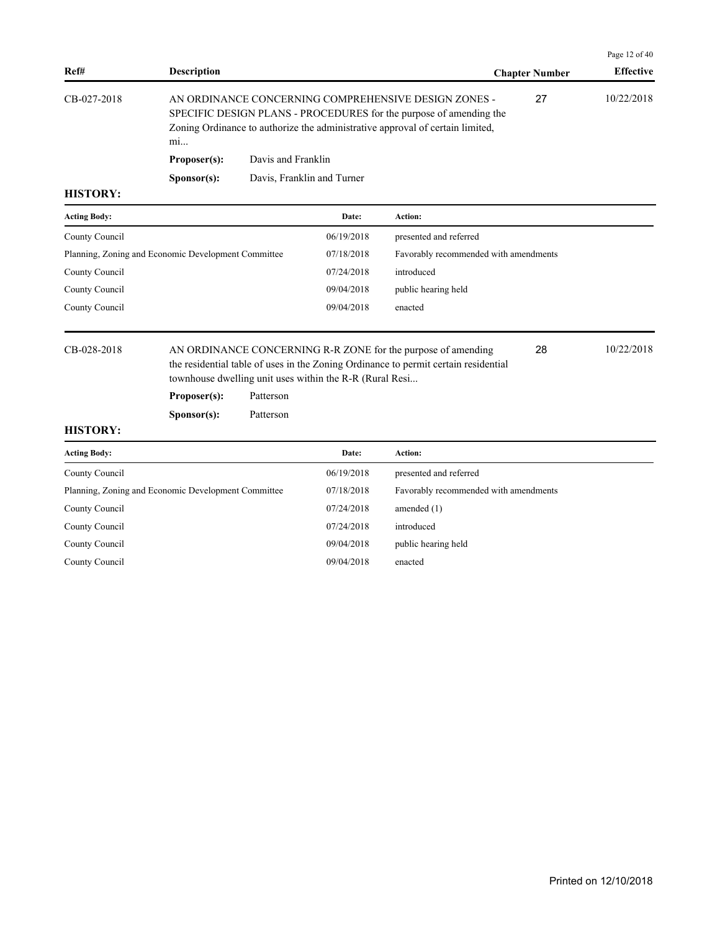|             |                      |                                                                                                                                                                                                             |                       | Page 12 of 40    |
|-------------|----------------------|-------------------------------------------------------------------------------------------------------------------------------------------------------------------------------------------------------------|-----------------------|------------------|
| Ref#        | <b>Description</b>   |                                                                                                                                                                                                             | <b>Chapter Number</b> | <b>Effective</b> |
| CB-027-2018 | m <sub>i</sub>       | AN ORDINANCE CONCERNING COMPREHENSIVE DESIGN ZONES -<br>SPECIFIC DESIGN PLANS - PROCEDURES for the purpose of amending the<br>Zoning Ordinance to authorize the administrative approval of certain limited, | 27                    | 10/22/2018       |
|             | Proposer(s):         | Davis and Franklin                                                                                                                                                                                          |                       |                  |
|             | S <b>p</b> onsor(s): | Davis, Franklin and Turner                                                                                                                                                                                  |                       |                  |
| шетлру.     |                      |                                                                                                                                                                                                             |                       |                  |

| <b>Acting Body:</b>                                 | Date:      | Action:                               |
|-----------------------------------------------------|------------|---------------------------------------|
| County Council                                      | 06/19/2018 | presented and referred                |
| Planning, Zoning and Economic Development Committee | 07/18/2018 | Favorably recommended with amendments |
| County Council                                      | 07/24/2018 | introduced                            |
| County Council                                      | 09/04/2018 | public hearing held                   |
| County Council                                      | 09/04/2018 | enacted                               |

CB-028-2018 AN ORDINANCE CONCERNING R-R ZONE for the purpose of amending 28 10/22/2018 the residential table of uses in the Zoning Ordinance to permit certain residential townhouse dwelling unit uses within the R-R (Rural Resi... 28

**Proposer(s):** Patterson

**Sponsor(s):** Patterson

| <b>Acting Body:</b>                                 | Date:      | <b>Action:</b>                        |
|-----------------------------------------------------|------------|---------------------------------------|
| County Council                                      | 06/19/2018 | presented and referred                |
| Planning, Zoning and Economic Development Committee | 07/18/2018 | Favorably recommended with amendments |
| County Council                                      | 07/24/2018 | amended $(1)$                         |
| County Council                                      | 07/24/2018 | introduced                            |
| County Council                                      | 09/04/2018 | public hearing held                   |
| County Council                                      | 09/04/2018 | enacted                               |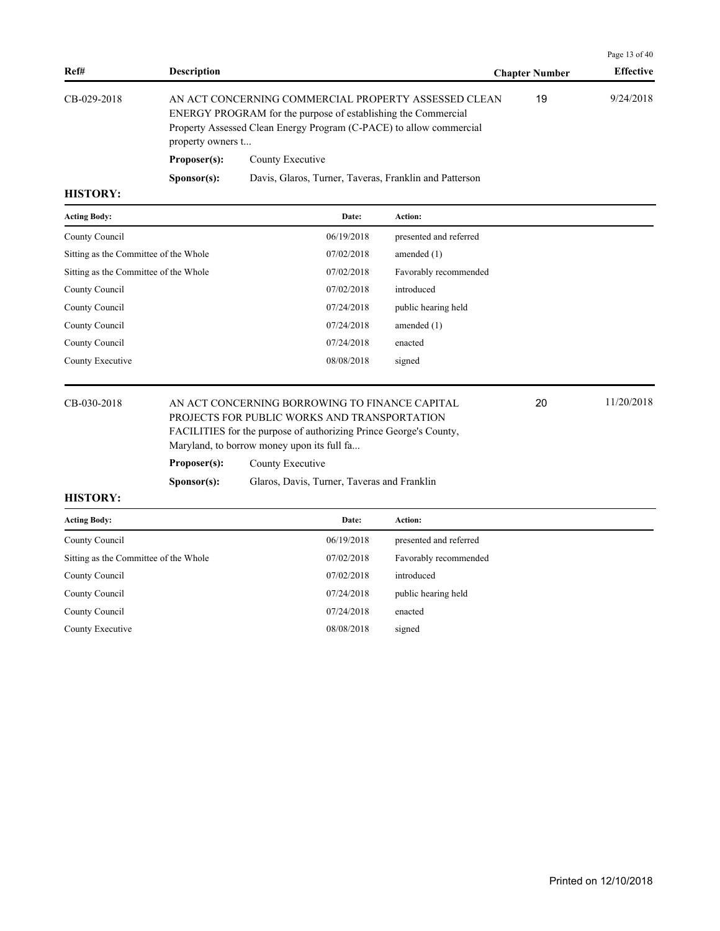|             |                                                                                                                                                                                                                   |                                                        |                       | Page 13 of 40    |
|-------------|-------------------------------------------------------------------------------------------------------------------------------------------------------------------------------------------------------------------|--------------------------------------------------------|-----------------------|------------------|
| Ref#        | <b>Description</b>                                                                                                                                                                                                |                                                        | <b>Chapter Number</b> | <b>Effective</b> |
| CB-029-2018 | AN ACT CONCERNING COMMERCIAL PROPERTY ASSESSED CLEAN<br>ENERGY PROGRAM for the purpose of establishing the Commercial<br>Property Assessed Clean Energy Program (C-PACE) to allow commercial<br>property owners t |                                                        | 19                    | 9/24/2018        |
|             | Proposer(s):                                                                                                                                                                                                      | County Executive                                       |                       |                  |
|             | S <b>p</b> onsor(s):                                                                                                                                                                                              | Davis, Glaros, Turner, Taveras, Franklin and Patterson |                       |                  |
| HISTODV.    |                                                                                                                                                                                                                   |                                                        |                       |                  |

| <b>Acting Body:</b>                   | Date:      | Action:                |
|---------------------------------------|------------|------------------------|
| County Council                        | 06/19/2018 | presented and referred |
| Sitting as the Committee of the Whole | 07/02/2018 | amended $(1)$          |
| Sitting as the Committee of the Whole | 07/02/2018 | Favorably recommended  |
| County Council                        | 07/02/2018 | introduced             |
| County Council                        | 07/24/2018 | public hearing held    |
| County Council                        | 07/24/2018 | amended $(1)$          |
| County Council                        | 07/24/2018 | enacted                |
| County Executive                      | 08/08/2018 | signed                 |
|                                       |            |                        |

CB-030-2018 AN ACT CONCERNING BORROWING TO FINANCE CAPITAL 20 11/20/2018 PROJECTS FOR PUBLIC WORKS AND TRANSPORTATION FACILITIES for the purpose of authorizing Prince George's County, Maryland, to borrow money upon its full fa...

20

**Proposer(s):** County Executive

**Sponsor(s):** Glaros, Davis, Turner, Taveras and Franklin

| <b>Acting Body:</b>                   | Date:      | <b>Action:</b>         |
|---------------------------------------|------------|------------------------|
| County Council                        | 06/19/2018 | presented and referred |
| Sitting as the Committee of the Whole | 07/02/2018 | Favorably recommended  |
| County Council                        | 07/02/2018 | introduced             |
| County Council                        | 07/24/2018 | public hearing held    |
| County Council                        | 07/24/2018 | enacted                |
| County Executive                      | 08/08/2018 | signed                 |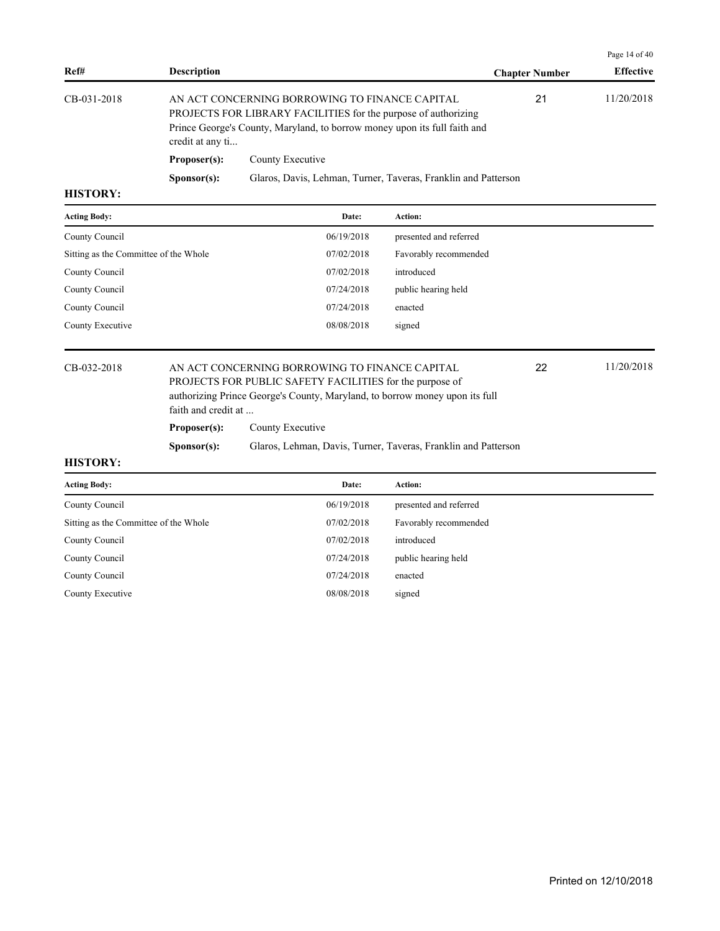|                 |                                                                                                                                                                                                                   |                                                                |                       | Page 14 of $40$  |
|-----------------|-------------------------------------------------------------------------------------------------------------------------------------------------------------------------------------------------------------------|----------------------------------------------------------------|-----------------------|------------------|
| Ref#            | <b>Description</b>                                                                                                                                                                                                |                                                                | <b>Chapter Number</b> | <b>Effective</b> |
| CB-031-2018     | AN ACT CONCERNING BORROWING TO FINANCE CAPITAL<br>PROJECTS FOR LIBRARY FACILITIES for the purpose of authorizing<br>Prince George's County, Maryland, to borrow money upon its full faith and<br>credit at any ti |                                                                | 21                    | 11/20/2018       |
|                 | Proposer(s):                                                                                                                                                                                                      | County Executive                                               |                       |                  |
|                 | S <b>p</b> onsor(s):                                                                                                                                                                                              | Glaros, Davis, Lehman, Turner, Taveras, Franklin and Patterson |                       |                  |
| <b>HISTORY:</b> |                                                                                                                                                                                                                   |                                                                |                       |                  |

# Acting Body: **Date:** Action: County Council  $06/19/2018$  presented and referred Sitting as the Committee of the Whole 07/02/2018 Favorably recommended County Council 07/02/2018 introduced County Council **Council** 07/24/2018 public hearing held County Council 07/24/2018 enacted County Executive 08/08/2018 signed

CB-032-2018 AN ACT CONCERNING BORROWING TO FINANCE CAPITAL 22 11/20/2018 PROJECTS FOR PUBLIC SAFETY FACILITIES for the purpose of authorizing Prince George's County, Maryland, to borrow money upon its full faith and credit at ...

**Proposer(s):** County Executive

**Sponsor(s):** Glaros, Lehman, Davis, Turner, Taveras, Franklin and Patterson

#### **HISTORY:**

| <b>Acting Body:</b>                   | Date:      | Action:                |
|---------------------------------------|------------|------------------------|
| County Council                        | 06/19/2018 | presented and referred |
| Sitting as the Committee of the Whole | 07/02/2018 | Favorably recommended  |
| County Council                        | 07/02/2018 | introduced             |
| County Council                        | 07/24/2018 | public hearing held    |
| County Council                        | 07/24/2018 | enacted                |
| County Executive                      | 08/08/2018 | signed                 |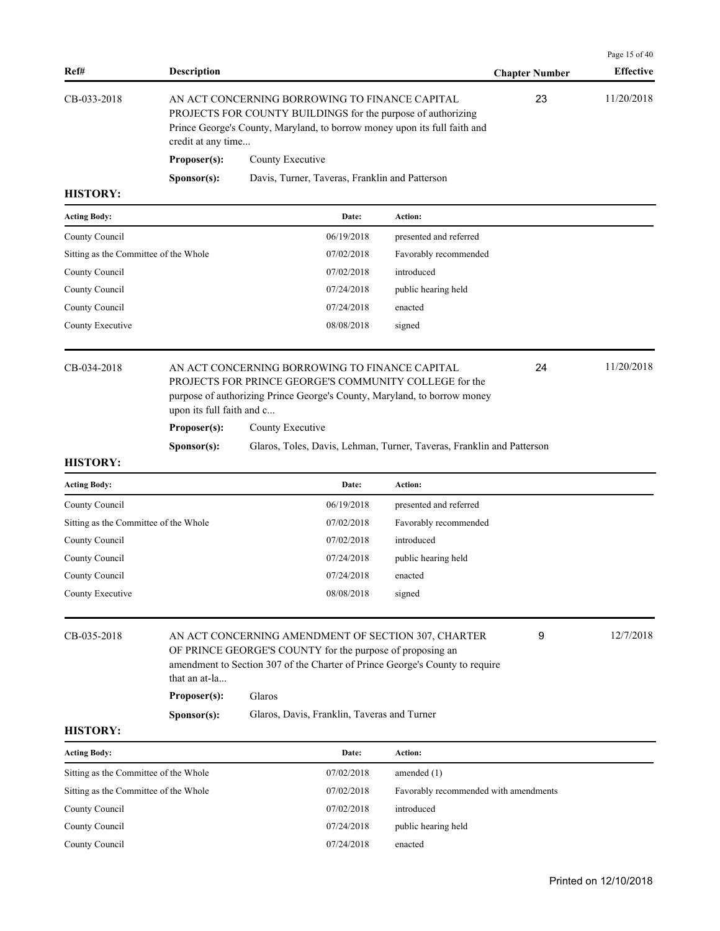| Ref#            | <b>Description</b>   |                                                                                                                                                                                             | <b>Chapter Number</b> | <b>Effective</b> |
|-----------------|----------------------|---------------------------------------------------------------------------------------------------------------------------------------------------------------------------------------------|-----------------------|------------------|
| CB-033-2018     | credit at any time   | AN ACT CONCERNING BORROWING TO FINANCE CAPITAL<br>PROJECTS FOR COUNTY BUILDINGS for the purpose of authorizing<br>Prince George's County, Maryland, to borrow money upon its full faith and | 23                    | 11/20/2018       |
|                 | Proposer(s):         | County Executive                                                                                                                                                                            |                       |                  |
|                 | S <b>p</b> onsor(s): | Davis, Turner, Taveras, Franklin and Patterson                                                                                                                                              |                       |                  |
| <b>HISTORY:</b> |                      |                                                                                                                                                                                             |                       |                  |

| <b>Acting Body:</b>                   | Date:      | Action:                |
|---------------------------------------|------------|------------------------|
| County Council                        | 06/19/2018 | presented and referred |
| Sitting as the Committee of the Whole | 07/02/2018 | Favorably recommended  |
| County Council                        | 07/02/2018 | introduced             |
| County Council                        | 07/24/2018 | public hearing held    |
| County Council                        | 07/24/2018 | enacted                |
| County Executive                      | 08/08/2018 | signed                 |
|                                       |            |                        |

|  |  | CB-034-2018 |  |
|--|--|-------------|--|
|--|--|-------------|--|

# AN ACT CONCERNING BORROWING TO FINANCE CAPITAL 24 11/20/2018 PROJECTS FOR PRINCE GEORGE'S COMMUNITY COLLEGE for the purpose of authorizing Prince George's County, Maryland, to borrow money upon its full faith and c... **Proposer(s):** County Executive

24

Page 15 of 40

|  |  |  | . roposcr(s). |  |  |
|--|--|--|---------------|--|--|
|  |  |  |               |  |  |

| S <b>p</b> onsor(s): |  |  |  | Glaros, Toles, Davis, Lehman, Turner, Taveras, Franklin and Patterson |
|----------------------|--|--|--|-----------------------------------------------------------------------|
|                      |  |  |  |                                                                       |

#### **HISTORY:**

| <b>Acting Body:</b>                   | Date:      | Action:                |
|---------------------------------------|------------|------------------------|
| County Council                        | 06/19/2018 | presented and referred |
| Sitting as the Committee of the Whole | 07/02/2018 | Favorably recommended  |
| County Council                        | 07/02/2018 | introduced             |
| County Council                        | 07/24/2018 | public hearing held    |
| County Council                        | 07/24/2018 | enacted                |
| County Executive                      | 08/08/2018 | signed                 |

CB-035-2018 AN ACT CONCERNING AMENDMENT OF SECTION 307, CHARTER 9 12/7/2018 OF PRINCE GEORGE'S COUNTY for the purpose of proposing an amendment to Section 307 of the Charter of Prince George's County to require that an at-la... 9

# **Proposer(s):** Glaros

**Sponsor(s):** Glaros, Davis, Franklin, Taveras and Turner

| <b>Acting Body:</b>                   | Date:      | Action:                               |
|---------------------------------------|------------|---------------------------------------|
| Sitting as the Committee of the Whole | 07/02/2018 | amended $(1)$                         |
| Sitting as the Committee of the Whole | 07/02/2018 | Favorably recommended with amendments |
| County Council                        | 07/02/2018 | introduced                            |
| County Council                        | 07/24/2018 | public hearing held                   |
| County Council                        | 07/24/2018 | enacted                               |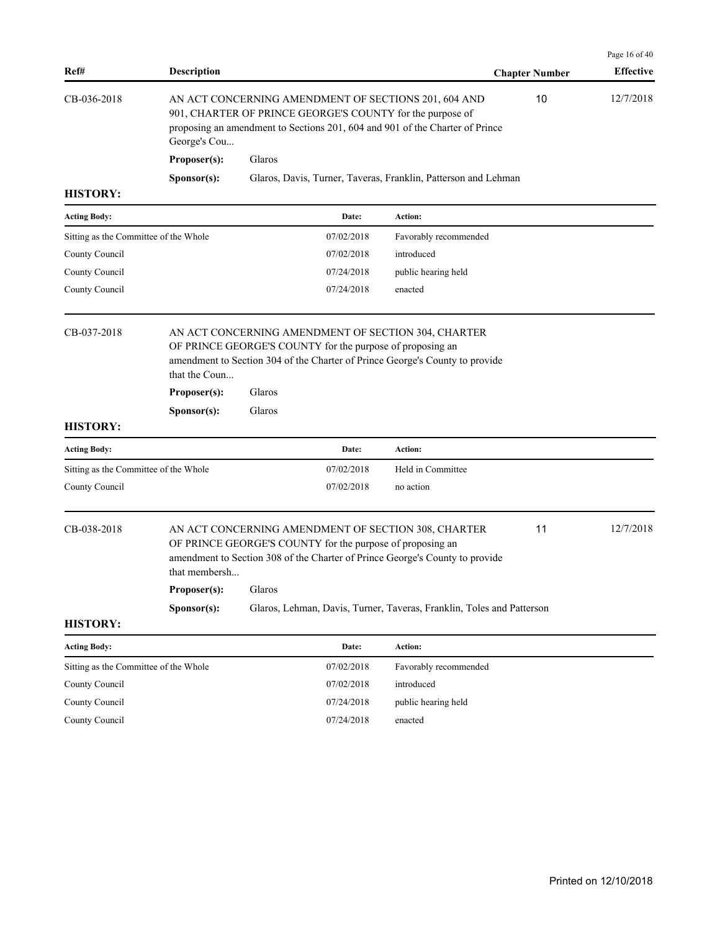| Ref#                                  | <b>Description</b>                                                                                                                                                                                                |                  |                                                           |                                                                                                                                     | <b>Chapter Number</b> | Page 16 of 40<br><b>Effective</b> |
|---------------------------------------|-------------------------------------------------------------------------------------------------------------------------------------------------------------------------------------------------------------------|------------------|-----------------------------------------------------------|-------------------------------------------------------------------------------------------------------------------------------------|-----------------------|-----------------------------------|
| CB-036-2018                           | AN ACT CONCERNING AMENDMENT OF SECTIONS 201, 604 AND<br>901, CHARTER OF PRINCE GEORGE'S COUNTY for the purpose of<br>proposing an amendment to Sections 201, 604 and 901 of the Charter of Prince<br>George's Cou |                  | 10                                                        | 12/7/2018                                                                                                                           |                       |                                   |
|                                       | Proposer(s):                                                                                                                                                                                                      | Glaros           |                                                           |                                                                                                                                     |                       |                                   |
|                                       | Sponsor(s):                                                                                                                                                                                                       |                  |                                                           | Glaros, Davis, Turner, Taveras, Franklin, Patterson and Lehman                                                                      |                       |                                   |
| <b>HISTORY:</b>                       |                                                                                                                                                                                                                   |                  |                                                           |                                                                                                                                     |                       |                                   |
| <b>Acting Body:</b>                   |                                                                                                                                                                                                                   |                  | Date:                                                     | <b>Action:</b>                                                                                                                      |                       |                                   |
| Sitting as the Committee of the Whole |                                                                                                                                                                                                                   |                  | 07/02/2018                                                | Favorably recommended                                                                                                               |                       |                                   |
| County Council                        |                                                                                                                                                                                                                   |                  | 07/02/2018                                                | introduced                                                                                                                          |                       |                                   |
| County Council                        |                                                                                                                                                                                                                   |                  | 07/24/2018                                                | public hearing held                                                                                                                 |                       |                                   |
| County Council                        |                                                                                                                                                                                                                   |                  | 07/24/2018                                                | enacted                                                                                                                             |                       |                                   |
| <b>HISTORY:</b>                       | that the Coun<br>Proposer(s):<br>Sponsor(s):                                                                                                                                                                      | Glaros<br>Glaros | OF PRINCE GEORGE'S COUNTY for the purpose of proposing an | amendment to Section 304 of the Charter of Prince George's County to provide                                                        |                       |                                   |
| <b>Acting Body:</b>                   |                                                                                                                                                                                                                   |                  | Date:                                                     | <b>Action:</b>                                                                                                                      |                       |                                   |
| Sitting as the Committee of the Whole |                                                                                                                                                                                                                   |                  | 07/02/2018                                                | Held in Committee                                                                                                                   |                       |                                   |
| County Council                        |                                                                                                                                                                                                                   |                  | 07/02/2018                                                | no action                                                                                                                           |                       |                                   |
| CB-038-2018                           | that membersh                                                                                                                                                                                                     |                  | OF PRINCE GEORGE'S COUNTY for the purpose of proposing an | AN ACT CONCERNING AMENDMENT OF SECTION 308, CHARTER<br>amendment to Section 308 of the Charter of Prince George's County to provide | 11                    | 12/7/2018                         |
|                                       | Proposer(s):                                                                                                                                                                                                      | Glaros           |                                                           |                                                                                                                                     |                       |                                   |
|                                       | Sponsor(s):                                                                                                                                                                                                       |                  |                                                           | Glaros, Lehman, Davis, Turner, Taveras, Franklin, Toles and Patterson                                                               |                       |                                   |
| <b>HISTORY:</b>                       |                                                                                                                                                                                                                   |                  |                                                           |                                                                                                                                     |                       |                                   |
| <b>Acting Body:</b>                   |                                                                                                                                                                                                                   |                  | Date:                                                     | Action:                                                                                                                             |                       |                                   |
| Sitting as the Committee of the Whole |                                                                                                                                                                                                                   |                  | 07/02/2018                                                | Favorably recommended                                                                                                               |                       |                                   |
| County Council                        |                                                                                                                                                                                                                   |                  | 07/02/2018                                                | introduced                                                                                                                          |                       |                                   |
| County Council                        |                                                                                                                                                                                                                   |                  | 07/24/2018                                                | public hearing held                                                                                                                 |                       |                                   |
| County Council                        |                                                                                                                                                                                                                   |                  | 07/24/2018                                                | enacted                                                                                                                             |                       |                                   |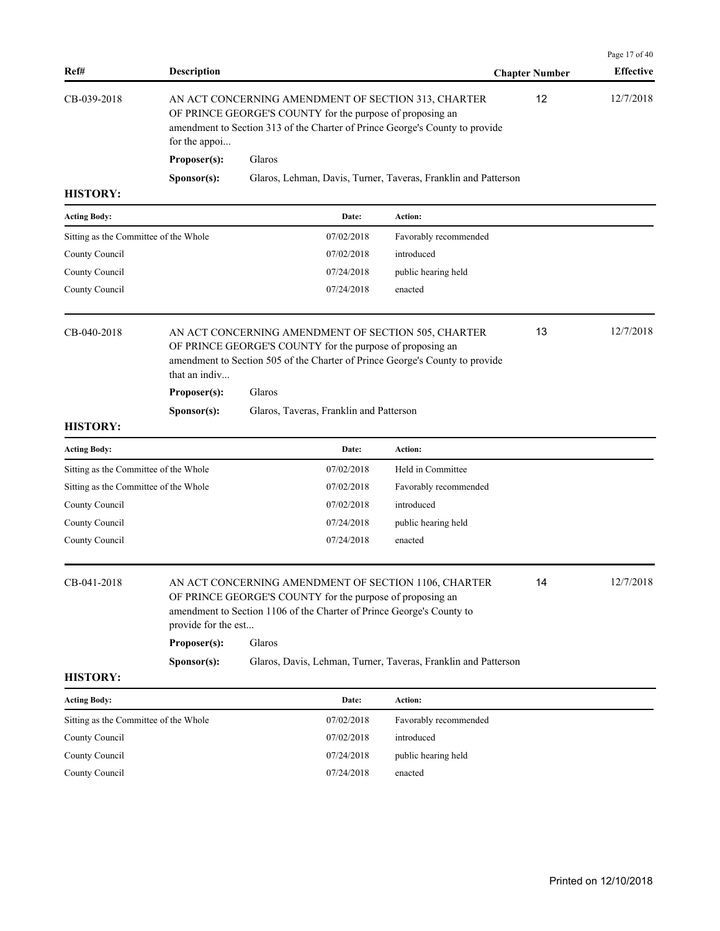| Ref#                                  | <b>Description</b>                  |                                                                                                                                                                                                            |                       | <b>Chapter Number</b> | Page 17 of 40<br><b>Effective</b> |
|---------------------------------------|-------------------------------------|------------------------------------------------------------------------------------------------------------------------------------------------------------------------------------------------------------|-----------------------|-----------------------|-----------------------------------|
| CB-039-2018                           | for the appoi                       | AN ACT CONCERNING AMENDMENT OF SECTION 313, CHARTER<br>OF PRINCE GEORGE'S COUNTY for the purpose of proposing an<br>amendment to Section 313 of the Charter of Prince George's County to provide           | 12                    | 12/7/2018             |                                   |
|                                       | Proposer(s):                        | Glaros                                                                                                                                                                                                     |                       |                       |                                   |
|                                       | S <b>p</b> onsor(s):                | Glaros, Lehman, Davis, Turner, Taveras, Franklin and Patterson                                                                                                                                             |                       |                       |                                   |
| <b>HISTORY:</b>                       |                                     |                                                                                                                                                                                                            |                       |                       |                                   |
| <b>Acting Body:</b>                   |                                     | Date:                                                                                                                                                                                                      | Action:               |                       |                                   |
| Sitting as the Committee of the Whole |                                     | 07/02/2018                                                                                                                                                                                                 | Favorably recommended |                       |                                   |
| County Council                        |                                     | 07/02/2018                                                                                                                                                                                                 | introduced            |                       |                                   |
| County Council                        |                                     | 07/24/2018                                                                                                                                                                                                 | public hearing held   |                       |                                   |
| County Council                        |                                     | 07/24/2018                                                                                                                                                                                                 | enacted               |                       |                                   |
| CB-040-2018                           | that an indiv<br>Proposer(s):       | AN ACT CONCERNING AMENDMENT OF SECTION 505, CHARTER<br>OF PRINCE GEORGE'S COUNTY for the purpose of proposing an<br>amendment to Section 505 of the Charter of Prince George's County to provide<br>Glaros |                       | 13                    | 12/7/2018                         |
|                                       |                                     |                                                                                                                                                                                                            |                       |                       |                                   |
| <b>HISTORY:</b>                       | S <b>p</b> onsor(s):                | Glaros, Taveras, Franklin and Patterson                                                                                                                                                                    |                       |                       |                                   |
| <b>Acting Body:</b>                   |                                     | Date:                                                                                                                                                                                                      | Action:               |                       |                                   |
| Sitting as the Committee of the Whole |                                     | 07/02/2018                                                                                                                                                                                                 | Held in Committee     |                       |                                   |
| Sitting as the Committee of the Whole |                                     | 07/02/2018                                                                                                                                                                                                 | Favorably recommended |                       |                                   |
| County Council                        |                                     | 07/02/2018                                                                                                                                                                                                 | introduced            |                       |                                   |
| County Council                        |                                     | 07/24/2018                                                                                                                                                                                                 | public hearing held   |                       |                                   |
| County Council                        |                                     | 07/24/2018                                                                                                                                                                                                 | enacted               |                       |                                   |
| CB-041-2018                           | provide for the est<br>Proposer(s): | AN ACT CONCERNING AMENDMENT OF SECTION 1106, CHARTER<br>OF PRINCE GEORGE'S COUNTY for the purpose of proposing an<br>amendment to Section 1106 of the Charter of Prince George's County to<br>Glaros       |                       | 14                    | 12/7/2018                         |
|                                       | Sponsor(s):                         | Glaros, Davis, Lehman, Turner, Taveras, Franklin and Patterson                                                                                                                                             |                       |                       |                                   |
| <b>HISTORY:</b>                       |                                     |                                                                                                                                                                                                            |                       |                       |                                   |
| <b>Acting Body:</b>                   |                                     | Date:                                                                                                                                                                                                      | Action:               |                       |                                   |
| Sitting as the Committee of the Whole |                                     | 07/02/2018                                                                                                                                                                                                 | Favorably recommended |                       |                                   |
| County Council                        |                                     | 07/02/2018                                                                                                                                                                                                 | introduced            |                       |                                   |
| County Council                        |                                     | 07/24/2018                                                                                                                                                                                                 | public hearing held   |                       |                                   |
| County Council                        |                                     | 07/24/2018                                                                                                                                                                                                 | enacted               |                       |                                   |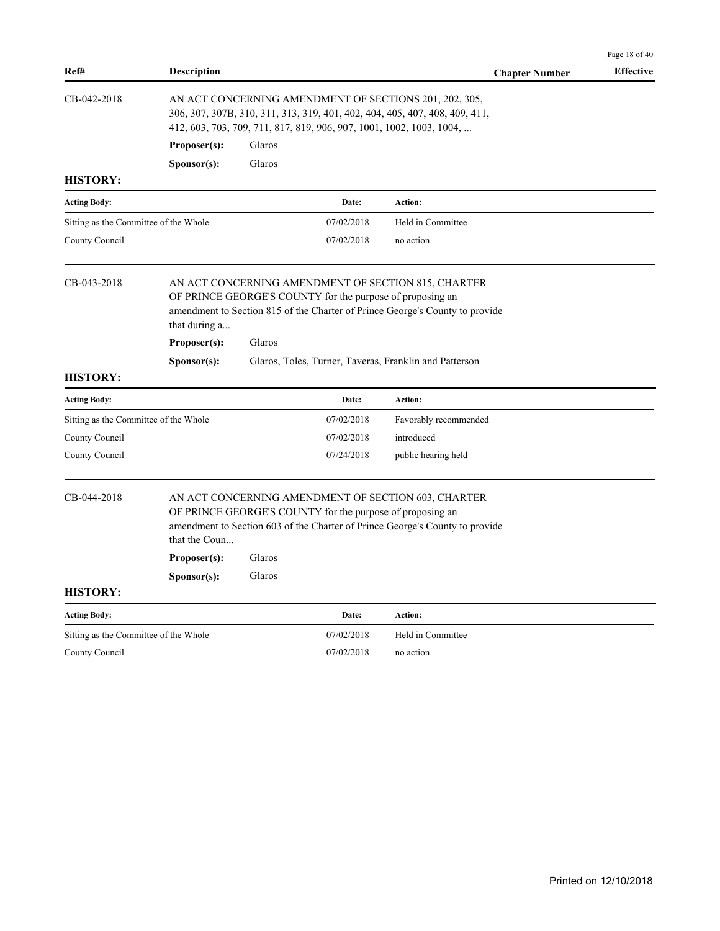|                                       |                                                                                                                                                                                                               |                  |                                                           |                                                                                                                                     | Page 18 of 40    |  |  |
|---------------------------------------|---------------------------------------------------------------------------------------------------------------------------------------------------------------------------------------------------------------|------------------|-----------------------------------------------------------|-------------------------------------------------------------------------------------------------------------------------------------|------------------|--|--|
| Ref#                                  | <b>Description</b>                                                                                                                                                                                            |                  |                                                           | <b>Chapter Number</b>                                                                                                               | <b>Effective</b> |  |  |
| CB-042-2018                           | AN ACT CONCERNING AMENDMENT OF SECTIONS 201, 202, 305,<br>306, 307, 307B, 310, 311, 313, 319, 401, 402, 404, 405, 407, 408, 409, 411,<br>412, 603, 703, 709, 711, 817, 819, 906, 907, 1001, 1002, 1003, 1004, |                  |                                                           |                                                                                                                                     |                  |  |  |
|                                       | Proposer(s):                                                                                                                                                                                                  | Glaros           |                                                           |                                                                                                                                     |                  |  |  |
|                                       | Sponsor(s):                                                                                                                                                                                                   | Glaros           |                                                           |                                                                                                                                     |                  |  |  |
| <b>HISTORY:</b>                       |                                                                                                                                                                                                               |                  |                                                           |                                                                                                                                     |                  |  |  |
| <b>Acting Body:</b>                   |                                                                                                                                                                                                               |                  | Date:                                                     | Action:                                                                                                                             |                  |  |  |
| Sitting as the Committee of the Whole |                                                                                                                                                                                                               |                  | 07/02/2018                                                | Held in Committee                                                                                                                   |                  |  |  |
| County Council                        |                                                                                                                                                                                                               |                  | 07/02/2018                                                | no action                                                                                                                           |                  |  |  |
| CB-043-2018                           | that during a<br>Proposer(s):                                                                                                                                                                                 | Glaros           | OF PRINCE GEORGE'S COUNTY for the purpose of proposing an | AN ACT CONCERNING AMENDMENT OF SECTION 815, CHARTER<br>amendment to Section 815 of the Charter of Prince George's County to provide |                  |  |  |
| <b>HISTORY:</b>                       | Sponsor(s):                                                                                                                                                                                                   |                  |                                                           | Glaros, Toles, Turner, Taveras, Franklin and Patterson                                                                              |                  |  |  |
| <b>Acting Body:</b>                   |                                                                                                                                                                                                               |                  | Date:                                                     | Action:                                                                                                                             |                  |  |  |
| Sitting as the Committee of the Whole |                                                                                                                                                                                                               |                  | 07/02/2018                                                | Favorably recommended                                                                                                               |                  |  |  |
| County Council                        |                                                                                                                                                                                                               |                  | 07/02/2018                                                | introduced                                                                                                                          |                  |  |  |
| County Council                        |                                                                                                                                                                                                               |                  | 07/24/2018                                                | public hearing held                                                                                                                 |                  |  |  |
| CB-044-2018<br><b>HISTORY:</b>        | that the Coun<br>Proposer(s):<br>Sponsor(s):                                                                                                                                                                  | Glaros<br>Glaros | OF PRINCE GEORGE'S COUNTY for the purpose of proposing an | AN ACT CONCERNING AMENDMENT OF SECTION 603, CHARTER<br>amendment to Section 603 of the Charter of Prince George's County to provide |                  |  |  |
|                                       |                                                                                                                                                                                                               |                  |                                                           |                                                                                                                                     |                  |  |  |
| <b>Acting Body:</b>                   |                                                                                                                                                                                                               |                  | Date:                                                     | Action:                                                                                                                             |                  |  |  |
| Sitting as the Committee of the Whole |                                                                                                                                                                                                               |                  | 07/02/2018                                                | Held in Committee                                                                                                                   |                  |  |  |
| County Council                        |                                                                                                                                                                                                               |                  | 07/02/2018                                                | no action                                                                                                                           |                  |  |  |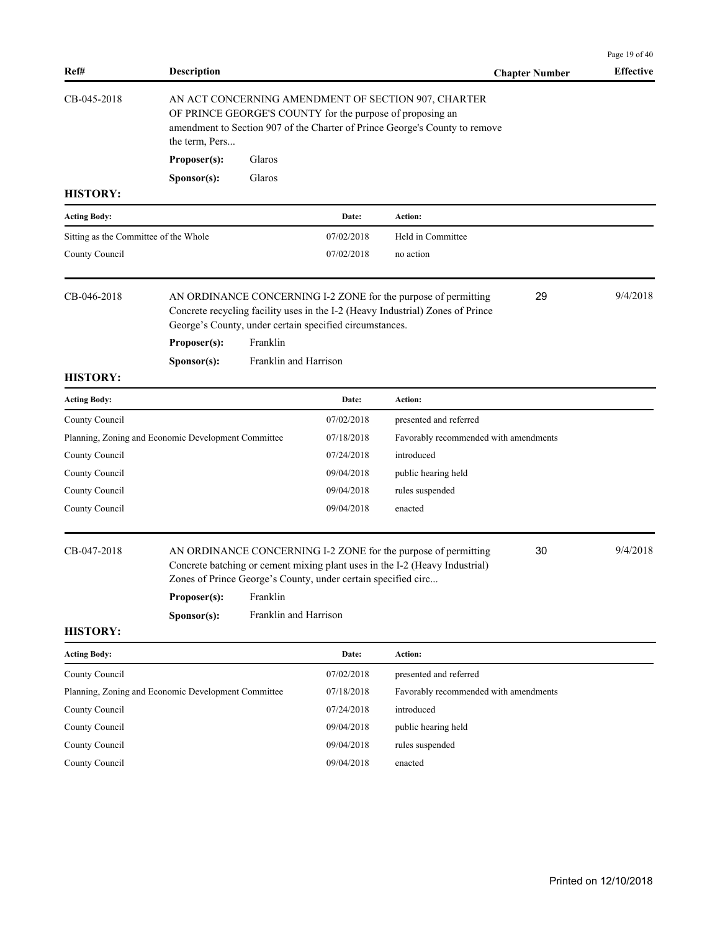|                             |                                                       |                                                                                                            |                                                     | <b>Chapter Number</b>                                                                                                                                                                                                                                                                                                                                                                                                                                                                                                                                                     | <b>Effective</b>                                                                           |
|-----------------------------|-------------------------------------------------------|------------------------------------------------------------------------------------------------------------|-----------------------------------------------------|---------------------------------------------------------------------------------------------------------------------------------------------------------------------------------------------------------------------------------------------------------------------------------------------------------------------------------------------------------------------------------------------------------------------------------------------------------------------------------------------------------------------------------------------------------------------------|--------------------------------------------------------------------------------------------|
| the term, Pers              | Glaros                                                |                                                                                                            | AN ACT CONCERNING AMENDMENT OF SECTION 907, CHARTER |                                                                                                                                                                                                                                                                                                                                                                                                                                                                                                                                                                           |                                                                                            |
| Sponsor(s):                 | Glaros                                                |                                                                                                            |                                                     |                                                                                                                                                                                                                                                                                                                                                                                                                                                                                                                                                                           |                                                                                            |
|                             |                                                       |                                                                                                            |                                                     |                                                                                                                                                                                                                                                                                                                                                                                                                                                                                                                                                                           |                                                                                            |
|                             |                                                       | Date:                                                                                                      | Action:                                             |                                                                                                                                                                                                                                                                                                                                                                                                                                                                                                                                                                           |                                                                                            |
|                             |                                                       | 07/02/2018                                                                                                 | Held in Committee                                   |                                                                                                                                                                                                                                                                                                                                                                                                                                                                                                                                                                           |                                                                                            |
|                             |                                                       | 07/02/2018                                                                                                 | no action                                           |                                                                                                                                                                                                                                                                                                                                                                                                                                                                                                                                                                           |                                                                                            |
| Proposer(s):                | Franklin                                              |                                                                                                            |                                                     |                                                                                                                                                                                                                                                                                                                                                                                                                                                                                                                                                                           | 9/4/2018                                                                                   |
| Sponsor(s):                 |                                                       |                                                                                                            |                                                     |                                                                                                                                                                                                                                                                                                                                                                                                                                                                                                                                                                           |                                                                                            |
|                             |                                                       |                                                                                                            |                                                     |                                                                                                                                                                                                                                                                                                                                                                                                                                                                                                                                                                           |                                                                                            |
|                             |                                                       | Date:                                                                                                      | Action:                                             |                                                                                                                                                                                                                                                                                                                                                                                                                                                                                                                                                                           |                                                                                            |
|                             |                                                       | 07/02/2018                                                                                                 | presented and referred                              |                                                                                                                                                                                                                                                                                                                                                                                                                                                                                                                                                                           |                                                                                            |
|                             |                                                       | 07/18/2018                                                                                                 |                                                     |                                                                                                                                                                                                                                                                                                                                                                                                                                                                                                                                                                           |                                                                                            |
|                             |                                                       | 07/24/2018                                                                                                 | introduced                                          |                                                                                                                                                                                                                                                                                                                                                                                                                                                                                                                                                                           |                                                                                            |
|                             |                                                       | 09/04/2018                                                                                                 | public hearing held                                 |                                                                                                                                                                                                                                                                                                                                                                                                                                                                                                                                                                           |                                                                                            |
|                             |                                                       | 09/04/2018                                                                                                 | rules suspended                                     |                                                                                                                                                                                                                                                                                                                                                                                                                                                                                                                                                                           |                                                                                            |
|                             |                                                       | 09/04/2018                                                                                                 | enacted                                             |                                                                                                                                                                                                                                                                                                                                                                                                                                                                                                                                                                           |                                                                                            |
| Proposer(s):<br>Sponsor(s): | Franklin                                              |                                                                                                            |                                                     |                                                                                                                                                                                                                                                                                                                                                                                                                                                                                                                                                                           | 9/4/2018                                                                                   |
|                             |                                                       |                                                                                                            |                                                     |                                                                                                                                                                                                                                                                                                                                                                                                                                                                                                                                                                           |                                                                                            |
|                             |                                                       | Date:                                                                                                      | Action:                                             |                                                                                                                                                                                                                                                                                                                                                                                                                                                                                                                                                                           |                                                                                            |
|                             |                                                       | 07/02/2018                                                                                                 | presented and referred                              |                                                                                                                                                                                                                                                                                                                                                                                                                                                                                                                                                                           |                                                                                            |
|                             |                                                       | 07/18/2018                                                                                                 |                                                     |                                                                                                                                                                                                                                                                                                                                                                                                                                                                                                                                                                           |                                                                                            |
|                             |                                                       | 07/24/2018                                                                                                 | introduced                                          |                                                                                                                                                                                                                                                                                                                                                                                                                                                                                                                                                                           |                                                                                            |
|                             |                                                       | 09/04/2018                                                                                                 | public hearing held                                 |                                                                                                                                                                                                                                                                                                                                                                                                                                                                                                                                                                           |                                                                                            |
|                             |                                                       | 09/04/2018                                                                                                 | rules suspended                                     |                                                                                                                                                                                                                                                                                                                                                                                                                                                                                                                                                                           |                                                                                            |
|                             |                                                       | 09/04/2018                                                                                                 | enacted                                             |                                                                                                                                                                                                                                                                                                                                                                                                                                                                                                                                                                           |                                                                                            |
|                             | Proposer(s):<br>Sitting as the Committee of the Whole | Planning, Zoning and Economic Development Committee<br>Planning, Zoning and Economic Development Committee | Franklin and Harrison<br>Franklin and Harrison      | OF PRINCE GEORGE'S COUNTY for the purpose of proposing an<br>amendment to Section 907 of the Charter of Prince George's County to remove<br>AN ORDINANCE CONCERNING I-2 ZONE for the purpose of permitting<br>Concrete recycling facility uses in the I-2 (Heavy Industrial) Zones of Prince<br>George's County, under certain specified circumstances.<br>AN ORDINANCE CONCERNING I-2 ZONE for the purpose of permitting<br>Concrete batching or cement mixing plant uses in the I-2 (Heavy Industrial)<br>Zones of Prince George's County, under certain specified circ | 29<br>Favorably recommended with amendments<br>30<br>Favorably recommended with amendments |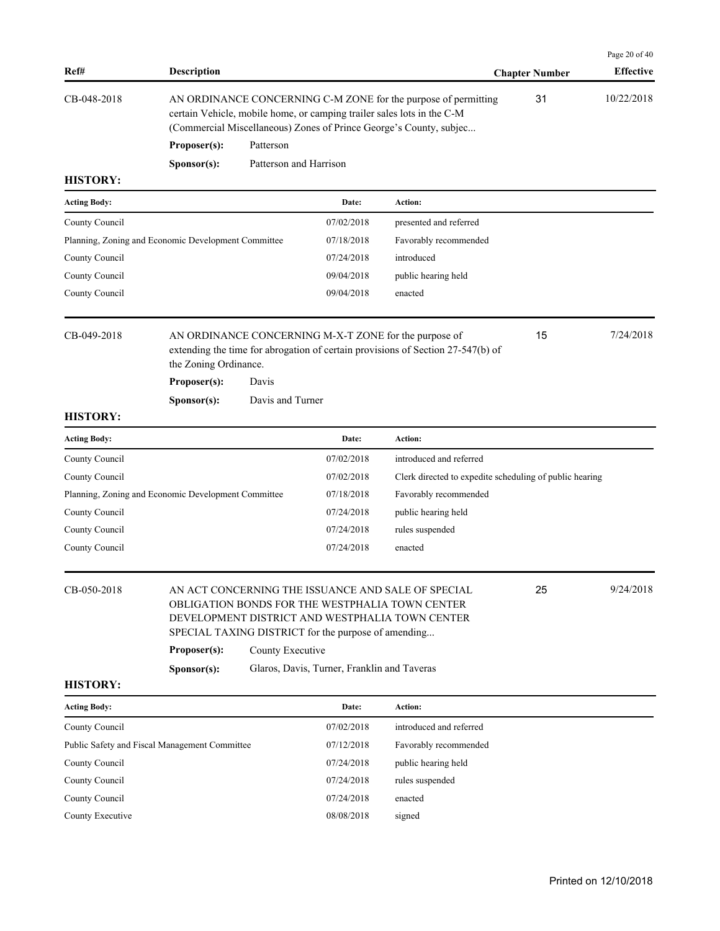| Ref#                                                | <b>Description</b>                    |                        |                                                                                                    |                                                                                                                                                                                                                | <b>Chapter Number</b>                                   | Page 20 of 40<br><b>Effective</b> |
|-----------------------------------------------------|---------------------------------------|------------------------|----------------------------------------------------------------------------------------------------|----------------------------------------------------------------------------------------------------------------------------------------------------------------------------------------------------------------|---------------------------------------------------------|-----------------------------------|
| CB-048-2018                                         |                                       |                        |                                                                                                    | AN ORDINANCE CONCERNING C-M ZONE for the purpose of permitting<br>certain Vehicle, mobile home, or camping trailer sales lots in the C-M<br>(Commercial Miscellaneous) Zones of Prince George's County, subjec | 31                                                      | 10/22/2018                        |
|                                                     | Proposer(s):                          | Patterson              |                                                                                                    |                                                                                                                                                                                                                |                                                         |                                   |
|                                                     | Sponsor(s):                           | Patterson and Harrison |                                                                                                    |                                                                                                                                                                                                                |                                                         |                                   |
| <b>HISTORY:</b>                                     |                                       |                        |                                                                                                    |                                                                                                                                                                                                                |                                                         |                                   |
| <b>Acting Body:</b>                                 |                                       |                        | Date:                                                                                              | Action:                                                                                                                                                                                                        |                                                         |                                   |
| County Council                                      |                                       |                        | 07/02/2018                                                                                         | presented and referred                                                                                                                                                                                         |                                                         |                                   |
| Planning, Zoning and Economic Development Committee |                                       |                        | 07/18/2018                                                                                         | Favorably recommended                                                                                                                                                                                          |                                                         |                                   |
| County Council                                      |                                       |                        | 07/24/2018                                                                                         | introduced                                                                                                                                                                                                     |                                                         |                                   |
| County Council                                      |                                       |                        | 09/04/2018                                                                                         | public hearing held                                                                                                                                                                                            |                                                         |                                   |
| County Council                                      |                                       |                        | 09/04/2018                                                                                         | enacted                                                                                                                                                                                                        |                                                         |                                   |
| CB-049-2018                                         | the Zoning Ordinance.<br>Proposer(s): | Davis                  |                                                                                                    | AN ORDINANCE CONCERNING M-X-T ZONE for the purpose of<br>extending the time for abrogation of certain provisions of Section 27-547(b) of                                                                       | 15                                                      | 7/24/2018                         |
|                                                     |                                       | Davis and Turner       |                                                                                                    |                                                                                                                                                                                                                |                                                         |                                   |
| <b>HISTORY:</b>                                     | Sponsor(s):                           |                        |                                                                                                    |                                                                                                                                                                                                                |                                                         |                                   |
| <b>Acting Body:</b>                                 |                                       |                        | Date:                                                                                              | Action:                                                                                                                                                                                                        |                                                         |                                   |
| County Council                                      |                                       |                        | 07/02/2018                                                                                         | introduced and referred                                                                                                                                                                                        |                                                         |                                   |
| County Council                                      |                                       |                        | 07/02/2018                                                                                         |                                                                                                                                                                                                                | Clerk directed to expedite scheduling of public hearing |                                   |
| Planning, Zoning and Economic Development Committee |                                       |                        | 07/18/2018                                                                                         | Favorably recommended                                                                                                                                                                                          |                                                         |                                   |
| County Council                                      |                                       |                        | 07/24/2018                                                                                         | public hearing held                                                                                                                                                                                            |                                                         |                                   |
| County Council                                      |                                       |                        | 07/24/2018                                                                                         | rules suspended                                                                                                                                                                                                |                                                         |                                   |
| County Council                                      |                                       |                        | 07/24/2018                                                                                         | enacted                                                                                                                                                                                                        |                                                         |                                   |
| CB-050-2018<br><b>HISTORY:</b>                      | Proposer(s):<br>S <b>p</b> onsor(s):  | County Executive       | SPECIAL TAXING DISTRICT for the purpose of amending<br>Glaros, Davis, Turner, Franklin and Taveras | AN ACT CONCERNING THE ISSUANCE AND SALE OF SPECIAL<br>OBLIGATION BONDS FOR THE WESTPHALIA TOWN CENTER<br>DEVELOPMENT DISTRICT AND WESTPHALIA TOWN CENTER                                                       | 25                                                      | 9/24/2018                         |
|                                                     |                                       |                        |                                                                                                    |                                                                                                                                                                                                                |                                                         |                                   |
| <b>Acting Body:</b>                                 |                                       |                        | Date:                                                                                              | Action:                                                                                                                                                                                                        |                                                         |                                   |
| County Council                                      |                                       |                        | 07/02/2018                                                                                         | introduced and referred                                                                                                                                                                                        |                                                         |                                   |
| Public Safety and Fiscal Management Committee       |                                       |                        | 07/12/2018                                                                                         | Favorably recommended                                                                                                                                                                                          |                                                         |                                   |
| County Council                                      |                                       |                        | 07/24/2018                                                                                         | public hearing held                                                                                                                                                                                            |                                                         |                                   |
| County Council                                      |                                       |                        | 07/24/2018                                                                                         | rules suspended                                                                                                                                                                                                |                                                         |                                   |
| County Council                                      |                                       |                        | 07/24/2018                                                                                         | enacted                                                                                                                                                                                                        |                                                         |                                   |
| County Executive                                    |                                       |                        | 08/08/2018                                                                                         | signed                                                                                                                                                                                                         |                                                         |                                   |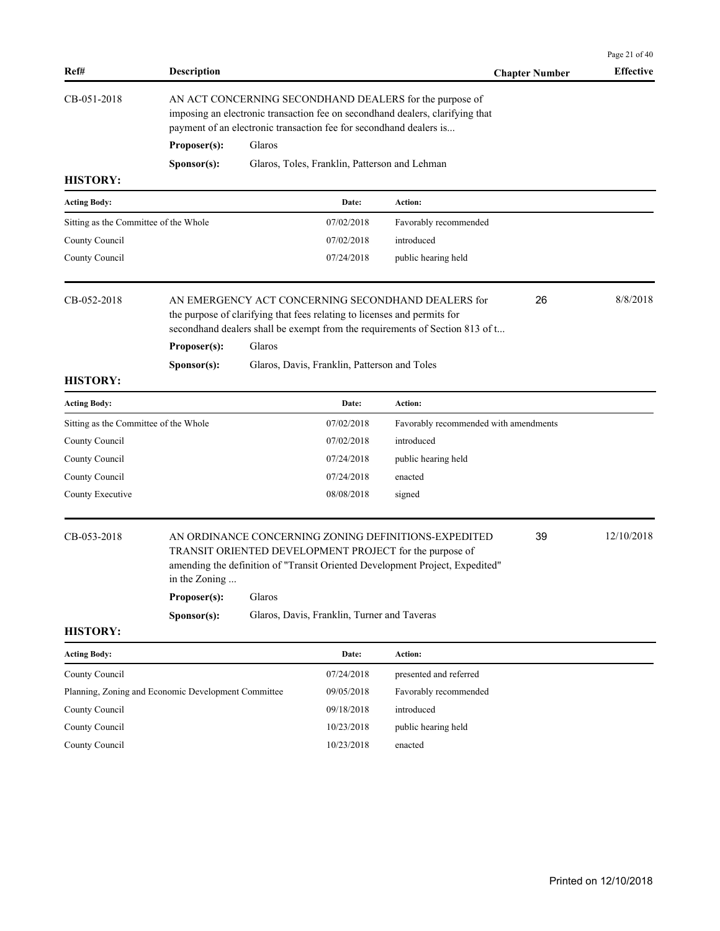|                                                     |                                                                                                                                                                                                                |        |                                               |                                                                                                                                                                                                                |                       | Page 21 of 40    |  |
|-----------------------------------------------------|----------------------------------------------------------------------------------------------------------------------------------------------------------------------------------------------------------------|--------|-----------------------------------------------|----------------------------------------------------------------------------------------------------------------------------------------------------------------------------------------------------------------|-----------------------|------------------|--|
| Ref#                                                | <b>Description</b>                                                                                                                                                                                             |        |                                               |                                                                                                                                                                                                                | <b>Chapter Number</b> | <b>Effective</b> |  |
| CB-051-2018                                         | AN ACT CONCERNING SECONDHAND DEALERS for the purpose of<br>imposing an electronic transaction fee on secondhand dealers, clarifying that<br>payment of an electronic transaction fee for secondhand dealers is |        |                                               |                                                                                                                                                                                                                |                       |                  |  |
|                                                     | Proposer(s):                                                                                                                                                                                                   | Glaros |                                               |                                                                                                                                                                                                                |                       |                  |  |
|                                                     | Sponsor(s):                                                                                                                                                                                                    |        | Glaros, Toles, Franklin, Patterson and Lehman |                                                                                                                                                                                                                |                       |                  |  |
| <b>HISTORY:</b>                                     |                                                                                                                                                                                                                |        |                                               |                                                                                                                                                                                                                |                       |                  |  |
| <b>Acting Body:</b>                                 |                                                                                                                                                                                                                |        | Date:                                         | Action:                                                                                                                                                                                                        |                       |                  |  |
| Sitting as the Committee of the Whole               |                                                                                                                                                                                                                |        | 07/02/2018                                    | Favorably recommended                                                                                                                                                                                          |                       |                  |  |
| County Council                                      |                                                                                                                                                                                                                |        | 07/02/2018                                    | introduced                                                                                                                                                                                                     |                       |                  |  |
| County Council                                      |                                                                                                                                                                                                                |        | 07/24/2018                                    | public hearing held                                                                                                                                                                                            |                       |                  |  |
| CB-052-2018                                         |                                                                                                                                                                                                                |        |                                               | AN EMERGENCY ACT CONCERNING SECONDHAND DEALERS for<br>the purpose of clarifying that fees relating to licenses and permits for<br>secondhand dealers shall be exempt from the requirements of Section 813 of t | 26                    | 8/8/2018         |  |
|                                                     | Proposer(s):                                                                                                                                                                                                   | Glaros |                                               |                                                                                                                                                                                                                |                       |                  |  |
|                                                     | Sponsor(s):                                                                                                                                                                                                    |        | Glaros, Davis, Franklin, Patterson and Toles  |                                                                                                                                                                                                                |                       |                  |  |
| <b>HISTORY:</b>                                     |                                                                                                                                                                                                                |        |                                               |                                                                                                                                                                                                                |                       |                  |  |
| <b>Acting Body:</b>                                 |                                                                                                                                                                                                                |        | Date:                                         | Action:                                                                                                                                                                                                        |                       |                  |  |
| Sitting as the Committee of the Whole               |                                                                                                                                                                                                                |        | 07/02/2018                                    | Favorably recommended with amendments                                                                                                                                                                          |                       |                  |  |
| County Council                                      |                                                                                                                                                                                                                |        | 07/02/2018                                    | introduced                                                                                                                                                                                                     |                       |                  |  |
| County Council                                      |                                                                                                                                                                                                                |        | 07/24/2018                                    | public hearing held                                                                                                                                                                                            |                       |                  |  |
| County Council                                      |                                                                                                                                                                                                                |        | 07/24/2018                                    | enacted                                                                                                                                                                                                        |                       |                  |  |
| County Executive                                    |                                                                                                                                                                                                                |        | 08/08/2018                                    | signed                                                                                                                                                                                                         |                       |                  |  |
| CB-053-2018                                         | in the Zoning                                                                                                                                                                                                  | Glaros |                                               | AN ORDINANCE CONCERNING ZONING DEFINITIONS-EXPEDITED<br>TRANSIT ORIENTED DEVELOPMENT PROJECT for the purpose of<br>amending the definition of "Transit Oriented Development Project, Expedited"                | 39                    | 12/10/2018       |  |
|                                                     | Proposer(s):                                                                                                                                                                                                   |        |                                               |                                                                                                                                                                                                                |                       |                  |  |
| <b>HISTORY:</b>                                     | Sponsor(s):                                                                                                                                                                                                    |        | Glaros, Davis, Franklin, Turner and Taveras   |                                                                                                                                                                                                                |                       |                  |  |
| <b>Acting Body:</b>                                 |                                                                                                                                                                                                                |        | Date:                                         | Action:                                                                                                                                                                                                        |                       |                  |  |
| County Council                                      |                                                                                                                                                                                                                |        | 07/24/2018                                    | presented and referred                                                                                                                                                                                         |                       |                  |  |
| Planning, Zoning and Economic Development Committee |                                                                                                                                                                                                                |        | 09/05/2018                                    | Favorably recommended                                                                                                                                                                                          |                       |                  |  |
| County Council                                      |                                                                                                                                                                                                                |        | 09/18/2018                                    | introduced                                                                                                                                                                                                     |                       |                  |  |
| County Council                                      |                                                                                                                                                                                                                |        | 10/23/2018                                    | public hearing held                                                                                                                                                                                            |                       |                  |  |
| County Council                                      |                                                                                                                                                                                                                |        | 10/23/2018                                    | enacted                                                                                                                                                                                                        |                       |                  |  |
|                                                     |                                                                                                                                                                                                                |        |                                               |                                                                                                                                                                                                                |                       |                  |  |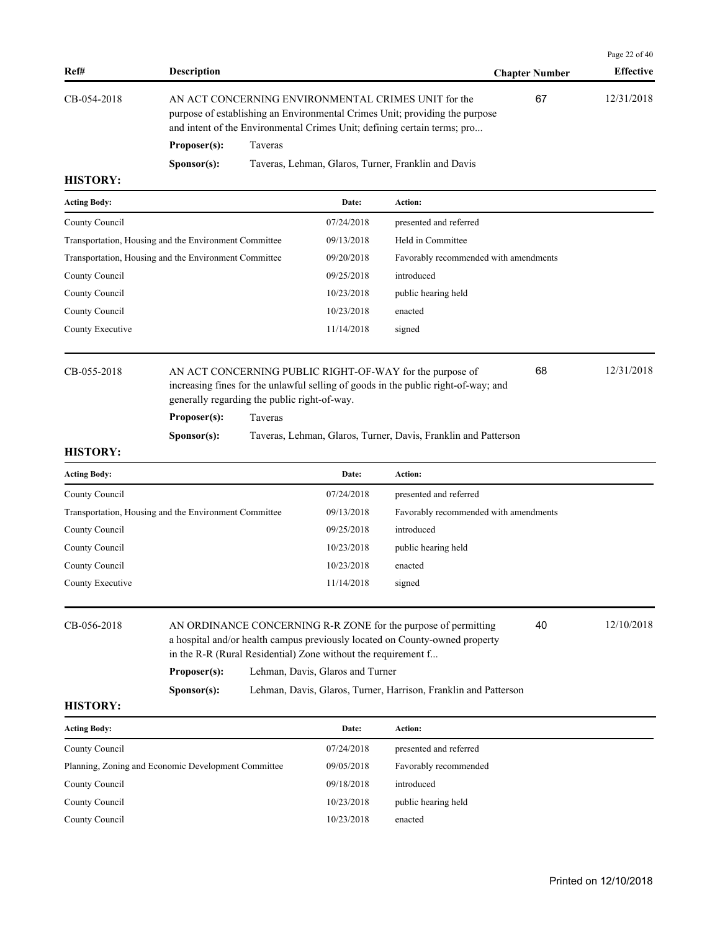|                                                                                                                                                                                                                               |                      |                                                     |                       | Page 22 of $40$  |
|-------------------------------------------------------------------------------------------------------------------------------------------------------------------------------------------------------------------------------|----------------------|-----------------------------------------------------|-----------------------|------------------|
| Ref#                                                                                                                                                                                                                          | <b>Description</b>   |                                                     | <b>Chapter Number</b> | <b>Effective</b> |
| AN ACT CONCERNING ENVIRONMENTAL CRIMES UNIT for the<br>CB-054-2018<br>purpose of establishing an Environmental Crimes Unit; providing the purpose<br>and intent of the Environmental Crimes Unit; defining certain terms; pro |                      |                                                     | 67                    | 12/31/2018       |
|                                                                                                                                                                                                                               | Proposer(s):         | Taveras                                             |                       |                  |
|                                                                                                                                                                                                                               | S <b>p</b> onsor(s): | Taveras, Lehman, Glaros, Turner, Franklin and Davis |                       |                  |
| <b>HISTORY:</b>                                                                                                                                                                                                               |                      |                                                     |                       |                  |

| <b>Acting Body:</b>                                   | Date:      | <b>Action:</b>                        |
|-------------------------------------------------------|------------|---------------------------------------|
| County Council                                        | 07/24/2018 | presented and referred                |
| Transportation, Housing and the Environment Committee | 09/13/2018 | Held in Committee                     |
| Transportation, Housing and the Environment Committee | 09/20/2018 | Favorably recommended with amendments |
| County Council                                        | 09/25/2018 | introduced                            |
| County Council                                        | 10/23/2018 | public hearing held                   |
| County Council                                        | 10/23/2018 | enacted                               |
| County Executive                                      | 11/14/2018 | signed                                |
|                                                       |            |                                       |

# CB-055-2018 AN ACT CONCERNING PUBLIC RIGHT-OF-WAY for the purpose of 12/31/2018 increasing fines for the unlawful selling of goods in the public right-of-way; and generally regarding the public right-of-way.

**Proposer(s):** Taveras

**Sponsor(s):** Taveras, Lehman, Glaros, Turner, Davis, Franklin and Patterson

### **HISTORY:**

| <b>Acting Body:</b>                                   | Date:      | <b>Action:</b>                        |
|-------------------------------------------------------|------------|---------------------------------------|
| County Council                                        | 07/24/2018 | presented and referred                |
| Transportation, Housing and the Environment Committee | 09/13/2018 | Favorably recommended with amendments |
| County Council                                        | 09/25/2018 | introduced                            |
| County Council                                        | 10/23/2018 | public hearing held                   |
| County Council                                        | 10/23/2018 | enacted                               |
| County Executive                                      | 11/14/2018 | signed                                |
|                                                       |            |                                       |

| CB-056-2018 |                      | AN ORDINANCE CONCERNING R-R ZONE for the purpose of permitting<br>a hospital and/or health campus previously located on County-owned property<br>in the R-R (Rural Residential) Zone without the requirement f | 40 | 12/10/2018 |
|-------------|----------------------|----------------------------------------------------------------------------------------------------------------------------------------------------------------------------------------------------------------|----|------------|
|             | Proposer(s):         | Lehman, Davis, Glaros and Turner                                                                                                                                                                               |    |            |
|             | S <b>p</b> onsor(s): | Lehman, Davis, Glaros, Turner, Harrison, Franklin and Patterson                                                                                                                                                |    |            |

# **HISTORY:**

| <b>Acting Body:</b>                                 | Date:      | Action:                |
|-----------------------------------------------------|------------|------------------------|
| County Council                                      | 07/24/2018 | presented and referred |
| Planning, Zoning and Economic Development Committee | 09/05/2018 | Favorably recommended  |
| County Council                                      | 09/18/2018 | introduced             |
| County Council                                      | 10/23/2018 | public hearing held    |
| County Council                                      | 10/23/2018 | enacted                |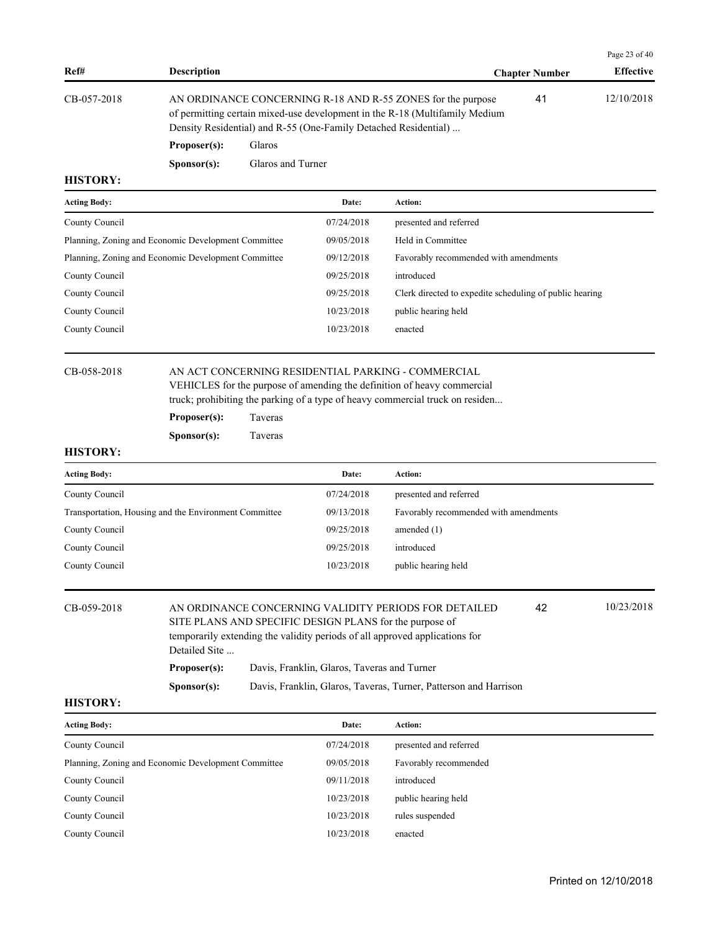|             |                                                                                                                                                                                                               |                   |                       | Page 23 of $40$  |
|-------------|---------------------------------------------------------------------------------------------------------------------------------------------------------------------------------------------------------------|-------------------|-----------------------|------------------|
| Ref#        | <b>Description</b>                                                                                                                                                                                            |                   | <b>Chapter Number</b> | <b>Effective</b> |
| CB-057-2018 | AN ORDINANCE CONCERNING R-18 AND R-55 ZONES for the purpose<br>of permitting certain mixed-use development in the R-18 (Multifamily Medium<br>Density Residential) and R-55 (One-Family Detached Residential) |                   | 41                    | 12/10/2018       |
|             | Proposer(s):                                                                                                                                                                                                  | <b>Glaros</b>     |                       |                  |
|             | S <b>p</b> onsor(s):                                                                                                                                                                                          | Glaros and Turner |                       |                  |

| <b>Acting Body:</b>                                 | Date:      | Action:                                                 |
|-----------------------------------------------------|------------|---------------------------------------------------------|
| County Council                                      | 07/24/2018 | presented and referred                                  |
| Planning, Zoning and Economic Development Committee | 09/05/2018 | Held in Committee                                       |
| Planning, Zoning and Economic Development Committee | 09/12/2018 | Favorably recommended with amendments                   |
| County Council                                      | 09/25/2018 | introduced                                              |
| County Council                                      | 09/25/2018 | Clerk directed to expedite scheduling of public hearing |
| County Council                                      | 10/23/2018 | public hearing held                                     |
| County Council                                      | 10/23/2018 | enacted                                                 |
|                                                     |            |                                                         |

# CB-058-2018 AN ACT CONCERNING RESIDENTIAL PARKING - COMMERCIAL VEHICLES for the purpose of amending the definition of heavy commercial

truck; prohibiting the parking of a type of heavy commercial truck on residen...

| Proposer(s): | Taveras |
|--------------|---------|
|--------------|---------|

**Sponsor(s):** Taveras

### **HISTORY:**

| <b>Acting Body:</b>                                   | Date:      | Action:                               |
|-------------------------------------------------------|------------|---------------------------------------|
| County Council                                        | 07/24/2018 | presented and referred                |
| Transportation, Housing and the Environment Committee | 09/13/2018 | Favorably recommended with amendments |
| County Council                                        | 09/25/2018 | amended $(1)$                         |
| County Council                                        | 09/25/2018 | introduced                            |
| County Council                                        | 10/23/2018 | public hearing held                   |

| CB-059-2018       | Detailed Site        | AN ORDINANCE CONCERNING VALIDITY PERIODS FOR DETAILED<br>SITE PLANS AND SPECIFIC DESIGN PLANS for the purpose of<br>temporarily extending the validity periods of all approved applications for | 42 | 10/23/2018 |
|-------------------|----------------------|-------------------------------------------------------------------------------------------------------------------------------------------------------------------------------------------------|----|------------|
|                   | Proposer(s):         | Davis, Franklin, Glaros, Taveras and Turner                                                                                                                                                     |    |            |
|                   | S <b>p</b> onsor(s): | Davis, Franklin, Glaros, Taveras, Turner, Patterson and Harrison                                                                                                                                |    |            |
| <b>***^**^***</b> |                      |                                                                                                                                                                                                 |    |            |

| <b>Acting Body:</b>                                 | Date:      | <b>Action:</b>         |
|-----------------------------------------------------|------------|------------------------|
| County Council                                      | 07/24/2018 | presented and referred |
| Planning, Zoning and Economic Development Committee | 09/05/2018 | Favorably recommended  |
| County Council                                      | 09/11/2018 | introduced             |
| County Council                                      | 10/23/2018 | public hearing held    |
| County Council                                      | 10/23/2018 | rules suspended        |
| County Council                                      | 10/23/2018 | enacted                |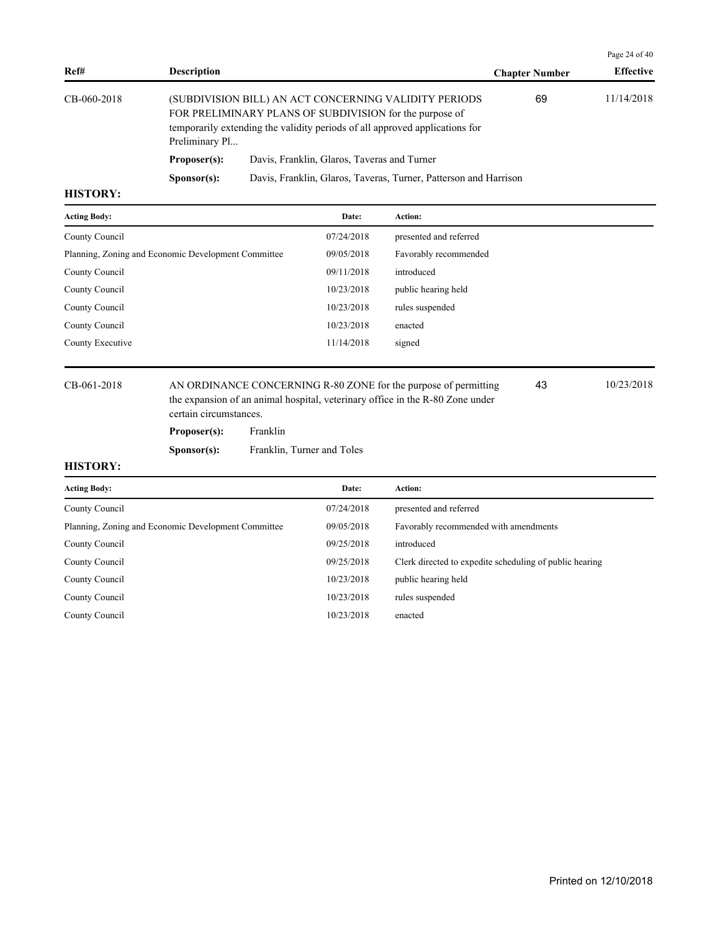|             |                                                                                                                                                                                                                   |                                                                  |                       | Page 24 of $40$  |
|-------------|-------------------------------------------------------------------------------------------------------------------------------------------------------------------------------------------------------------------|------------------------------------------------------------------|-----------------------|------------------|
| Ref#        | <b>Description</b>                                                                                                                                                                                                |                                                                  | <b>Chapter Number</b> | <b>Effective</b> |
| CB-060-2018 | (SUBDIVISION BILL) AN ACT CONCERNING VALIDITY PERIODS<br>FOR PRELIMINARY PLANS OF SUBDIVISION for the purpose of<br>temporarily extending the validity periods of all approved applications for<br>Preliminary Pl |                                                                  | 69                    | 11/14/2018       |
|             | Proposer(s):                                                                                                                                                                                                      | Davis, Franklin, Glaros, Taveras and Turner                      |                       |                  |
|             | S <b>p</b> onsor(s):                                                                                                                                                                                              | Davis, Franklin, Glaros, Taveras, Turner, Patterson and Harrison |                       |                  |

| <b>Acting Body:</b>                                 | Date:      | <b>Action:</b>         |
|-----------------------------------------------------|------------|------------------------|
| County Council                                      | 07/24/2018 | presented and referred |
| Planning, Zoning and Economic Development Committee | 09/05/2018 | Favorably recommended  |
| County Council                                      | 09/11/2018 | introduced             |
| County Council                                      | 10/23/2018 | public hearing held    |
| County Council                                      | 10/23/2018 | rules suspended        |
| County Council                                      | 10/23/2018 | enacted                |
| County Executive                                    | 11/14/2018 | signed                 |
|                                                     |            |                        |

CB-061-2018 AN ORDINANCE CONCERNING R-80 ZONE for the purpose of permitting 43 10/23/2018 the expansion of an animal hospital, veterinary office in the R-80 Zone under certain circumstances.

Proposer(s): Franklin

**Sponsor(s):** Franklin, Turner and Toles

43

# **HISTORY:**

**Acting Body: Date: Action:**  County Council 07/24/2018 presented and referred Planning, Zoning and Economic Development Committee 09/05/2018 Favorably recommended with amendments County Council 09/25/2018 introduced County Council 09/25/2018 Clerk directed to expedite scheduling of public hearing County Council 20/23/2018 public hearing held County Council 10/23/2018 rules suspended County Council 10/23/2018 enacted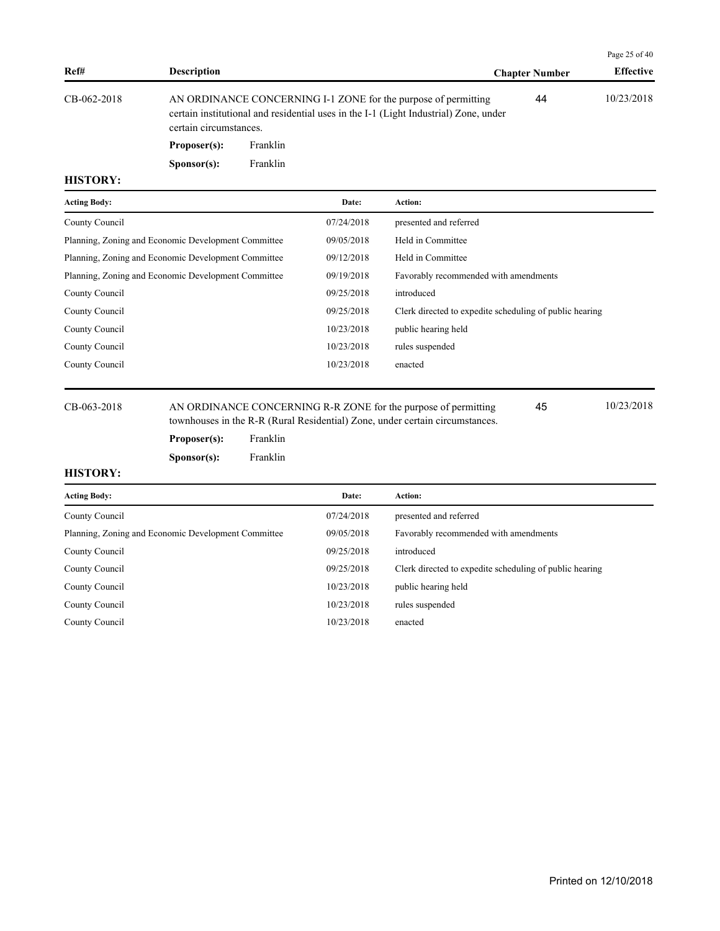|             |                                                                                                                                                                                                                                                                    |                       | Page 25 of 40    |
|-------------|--------------------------------------------------------------------------------------------------------------------------------------------------------------------------------------------------------------------------------------------------------------------|-----------------------|------------------|
| Ref#        | <b>Description</b>                                                                                                                                                                                                                                                 | <b>Chapter Number</b> | <b>Effective</b> |
| CB-062-2018 | AN ORDINANCE CONCERNING I-1 ZONE for the purpose of permitting<br>certain institutional and residential uses in the I-1 (Light Industrial) Zone, under<br>certain circumstances.<br>$\mathbf{D}_{\text{max}} = \text{max}(\mathbf{D})$ , $\mathbf{E} = 11^{\circ}$ | 44                    | 10/23/2018       |

**Proposer(s):** Franklin **Sponsor(s):** Franklin

## **HISTORY:**

| <b>Acting Body:</b>                                 | Date:      | Action:                                                 |
|-----------------------------------------------------|------------|---------------------------------------------------------|
| County Council                                      | 07/24/2018 | presented and referred                                  |
| Planning, Zoning and Economic Development Committee | 09/05/2018 | Held in Committee                                       |
| Planning, Zoning and Economic Development Committee | 09/12/2018 | Held in Committee                                       |
| Planning, Zoning and Economic Development Committee | 09/19/2018 | Favorably recommended with amendments                   |
| County Council                                      | 09/25/2018 | introduced                                              |
| County Council                                      | 09/25/2018 | Clerk directed to expedite scheduling of public hearing |
| County Council                                      | 10/23/2018 | public hearing held                                     |
| County Council                                      | 10/23/2018 | rules suspended                                         |
| County Council                                      | 10/23/2018 | enacted                                                 |
|                                                     |            |                                                         |

CB-063-2018 AN ORDINANCE CONCERNING R-R ZONE for the purpose of permitting 45 10/23/2018 townhouses in the R-R (Rural Residential) Zone, under certain circumstances.

45

# Proposer(s): Franklin **Sponsor(s):** Franklin

| <b>Acting Body:</b>                                 | Date:      | Action:                                                 |
|-----------------------------------------------------|------------|---------------------------------------------------------|
| County Council                                      | 07/24/2018 | presented and referred                                  |
| Planning, Zoning and Economic Development Committee | 09/05/2018 | Favorably recommended with amendments                   |
| County Council                                      | 09/25/2018 | introduced                                              |
| County Council                                      | 09/25/2018 | Clerk directed to expedite scheduling of public hearing |
| County Council                                      | 10/23/2018 | public hearing held                                     |
| County Council                                      | 10/23/2018 | rules suspended                                         |
| County Council                                      | 10/23/2018 | enacted                                                 |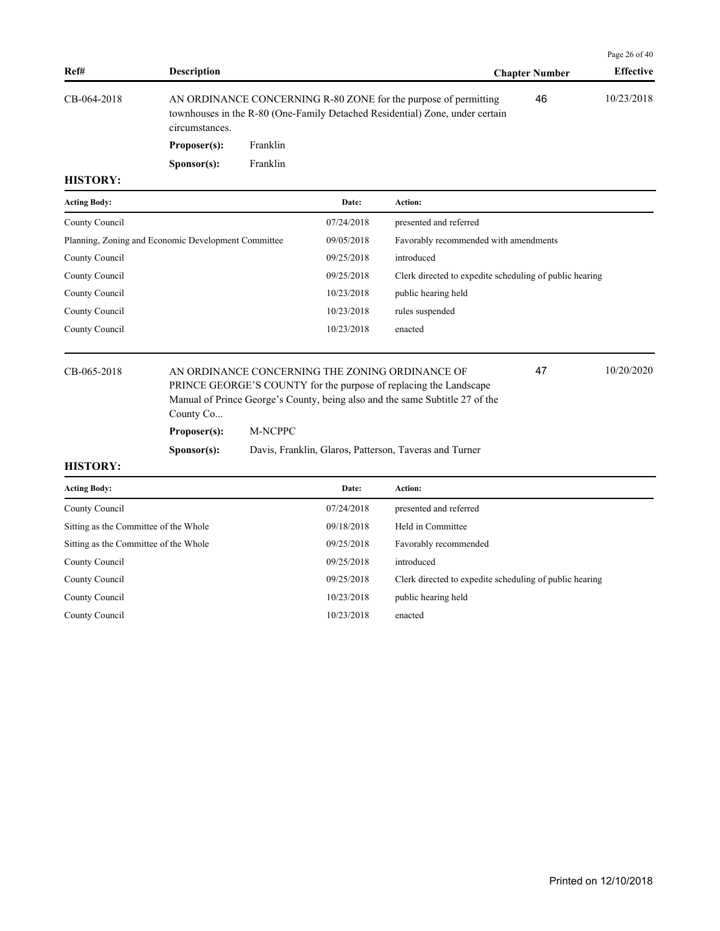|             |                                                                                                                                                                   |                       | Page 26 of $40$  |
|-------------|-------------------------------------------------------------------------------------------------------------------------------------------------------------------|-----------------------|------------------|
| Ref#        | <b>Description</b>                                                                                                                                                | <b>Chapter Number</b> | <b>Effective</b> |
| CB-064-2018 | AN ORDINANCE CONCERNING R-80 ZONE for the purpose of permitting<br>townhouses in the R-80 (One-Family Detached Residential) Zone, under certain<br>circumstances. | 46                    | 10/23/2018       |
|             | Proposer(s):<br>Franklin                                                                                                                                          |                       |                  |

| <b>Acting Body:</b>                                 | Date:      | <b>Action:</b>                                          |
|-----------------------------------------------------|------------|---------------------------------------------------------|
| County Council                                      | 07/24/2018 | presented and referred                                  |
| Planning, Zoning and Economic Development Committee | 09/05/2018 | Favorably recommended with amendments                   |
| County Council                                      | 09/25/2018 | introduced                                              |
| County Council                                      | 09/25/2018 | Clerk directed to expedite scheduling of public hearing |
| County Council                                      | 10/23/2018 | public hearing held                                     |
| County Council                                      | 10/23/2018 | rules suspended                                         |
| County Council                                      | 10/23/2018 | enacted                                                 |
|                                                     |            |                                                         |

CB-065-2018 AN ORDINANCE CONCERNING THE ZONING ORDINANCE OF 47 10/20/2020 PRINCE GEORGE'S COUNTY for the purpose of replacing the Landscape Manual of Prince George's County, being also and the same Subtitle 27 of the County Co...

**Proposer(s):** M-NCPPC

Sponsor(s): Franklin

**Sponsor(s):** Davis, Franklin, Glaros, Patterson, Taveras and Turner

### **HISTORY:**

| <b>Acting Body:</b>                   | Date:      | Action:                                                 |
|---------------------------------------|------------|---------------------------------------------------------|
| County Council                        | 07/24/2018 | presented and referred                                  |
| Sitting as the Committee of the Whole | 09/18/2018 | Held in Committee                                       |
| Sitting as the Committee of the Whole | 09/25/2018 | Favorably recommended                                   |
| County Council                        | 09/25/2018 | introduced                                              |
| County Council                        | 09/25/2018 | Clerk directed to expedite scheduling of public hearing |
| County Council                        | 10/23/2018 | public hearing held                                     |
| County Council                        | 10/23/2018 | enacted                                                 |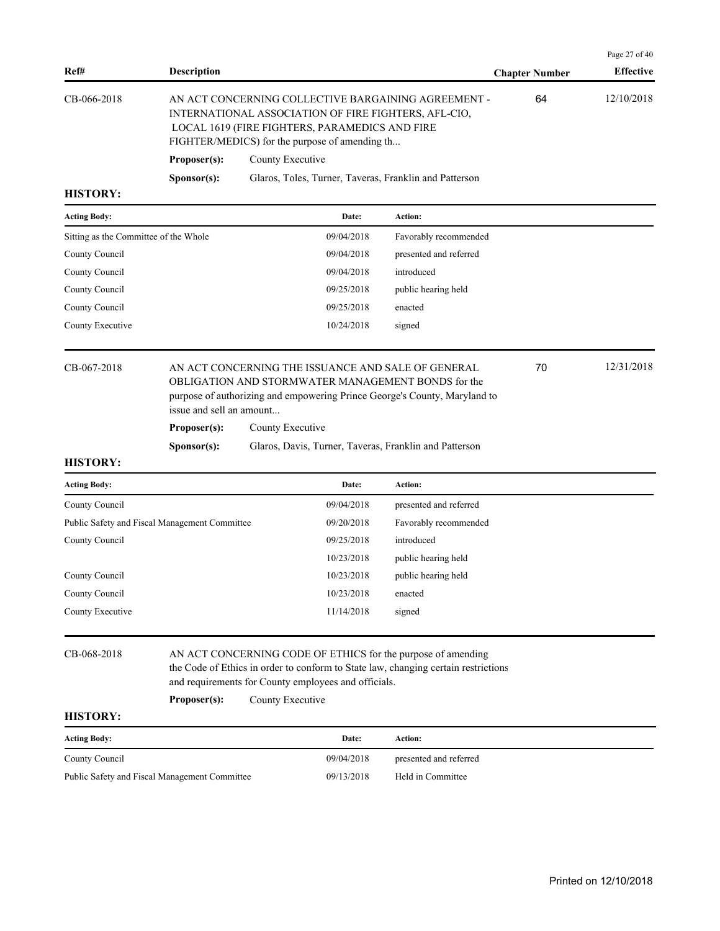| Ref#            | <b>Description</b>   |                                                                                                                                                                                                                 | <b>Chapter Number</b> | <b>Effective</b> |
|-----------------|----------------------|-----------------------------------------------------------------------------------------------------------------------------------------------------------------------------------------------------------------|-----------------------|------------------|
| CB-066-2018     |                      | AN ACT CONCERNING COLLECTIVE BARGAINING AGREEMENT -<br>INTERNATIONAL ASSOCIATION OF FIRE FIGHTERS, AFL-CIO,<br>LOCAL 1619 (FIRE FIGHTERS, PARAMEDICS AND FIRE<br>FIGHTER/MEDICS) for the purpose of amending th | 64                    | 12/10/2018       |
|                 | Proposer(s):         | County Executive                                                                                                                                                                                                |                       |                  |
|                 | S <b>p</b> onsor(s): | Glaros, Toles, Turner, Taveras, Franklin and Patterson                                                                                                                                                          |                       |                  |
| <b>HISTORY:</b> |                      |                                                                                                                                                                                                                 |                       |                  |
|                 |                      |                                                                                                                                                                                                                 |                       |                  |

| <b>Acting Body:</b>                   | Date:      | <b>Action:</b>         |
|---------------------------------------|------------|------------------------|
| Sitting as the Committee of the Whole | 09/04/2018 | Favorably recommended  |
| County Council                        | 09/04/2018 | presented and referred |
| County Council                        | 09/04/2018 | introduced             |
| County Council                        | 09/25/2018 | public hearing held    |
| County Council                        | 09/25/2018 | enacted                |
| County Executive                      | 10/24/2018 | signed                 |
|                                       |            |                        |

# CB-067-2018 AN ACT CONCERNING THE ISSUANCE AND SALE OF GENERAL 70 12/31/2018 OBLIGATION AND STORMWATER MANAGEMENT BONDS for the purpose of authorizing and empowering Prince George's County, Maryland to issue and sell an amount...

**Proposer(s):** County Executive

**Sponsor(s):** Glaros, Davis, Turner, Taveras, Franklin and Patterson

**HISTORY:**

| <b>Acting Body:</b>                           | Date:      | <b>Action:</b>         |
|-----------------------------------------------|------------|------------------------|
| County Council                                | 09/04/2018 | presented and referred |
| Public Safety and Fiscal Management Committee | 09/20/2018 | Favorably recommended  |
| County Council                                | 09/25/2018 | introduced             |
|                                               | 10/23/2018 | public hearing held    |
| County Council                                | 10/23/2018 | public hearing held    |
| County Council                                | 10/23/2018 | enacted                |
| County Executive                              | 11/14/2018 | signed                 |
|                                               |            |                        |

CB-068-2018 AN ACT CONCERNING CODE OF ETHICS for the purpose of amending the Code of Ethics in order to conform to State law, changing certain restrictions and requirements for County employees and officials.

**Proposer(s):** County Executive

**HISTORY:**

| <b>Acting Body:</b>                           | Date:      | Action:                |
|-----------------------------------------------|------------|------------------------|
| County Council                                | 09/04/2018 | presented and referred |
| Public Safety and Fiscal Management Committee | 09/13/2018 | Held in Committee      |

Page 27 of 40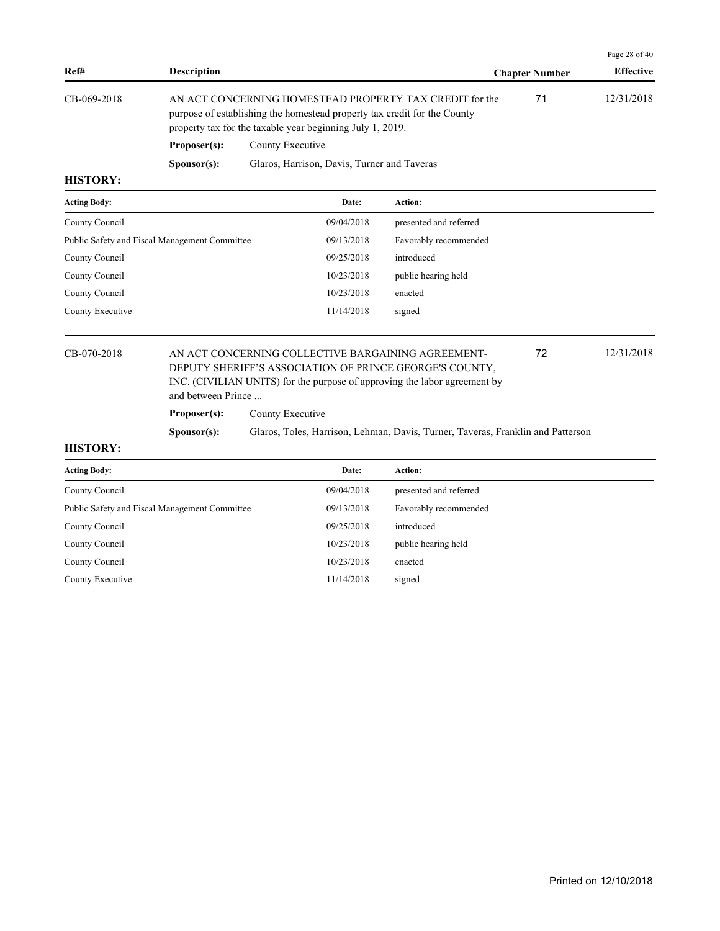|                 |                      |                                                                                                                                                                                                  |                  | Page 28 of $40$ |
|-----------------|----------------------|--------------------------------------------------------------------------------------------------------------------------------------------------------------------------------------------------|------------------|-----------------|
| Ref#            | <b>Description</b>   | <b>Chapter Number</b>                                                                                                                                                                            | <b>Effective</b> |                 |
| CB-069-2018     |                      | AN ACT CONCERNING HOMESTEAD PROPERTY TAX CREDIT for the<br>purpose of establishing the homestead property tax credit for the County<br>property tax for the taxable year beginning July 1, 2019. | 71               | 12/31/2018      |
|                 | Proposer(s):         | County Executive                                                                                                                                                                                 |                  |                 |
|                 | S <b>p</b> onsor(s): | Glaros, Harrison, Davis, Turner and Taveras                                                                                                                                                      |                  |                 |
| <b>HISTORY:</b> |                      |                                                                                                                                                                                                  |                  |                 |

| Date:      | <b>Action:</b>         |
|------------|------------------------|
| 09/04/2018 | presented and referred |
| 09/13/2018 | Favorably recommended  |
| 09/25/2018 | introduced             |
| 10/23/2018 | public hearing held    |
| 10/23/2018 | enacted                |
| 11/14/2018 | signed                 |
|            |                        |
|            |                        |

# CB-070-2018 AN ACT CONCERNING COLLECTIVE BARGAINING AGREEMENT- 12/31/2018 DEPUTY SHERIFF'S ASSOCIATION OF PRINCE GEORGE'S COUNTY, INC. (CIVILIAN UNITS) for the purpose of approving the labor agreement by and between Prince ...

Proposer(s): County Executive

**Sponsor(s):** Glaros, Toles, Harrison, Lehman, Davis, Turner, Taveras, Franklin and Patterson

72

| <b>Acting Body:</b>                           | Date:      | <b>Action:</b>         |
|-----------------------------------------------|------------|------------------------|
| County Council                                | 09/04/2018 | presented and referred |
| Public Safety and Fiscal Management Committee | 09/13/2018 | Favorably recommended  |
| County Council                                | 09/25/2018 | introduced             |
| County Council                                | 10/23/2018 | public hearing held    |
| County Council                                | 10/23/2018 | enacted                |
| County Executive                              | 11/14/2018 | signed                 |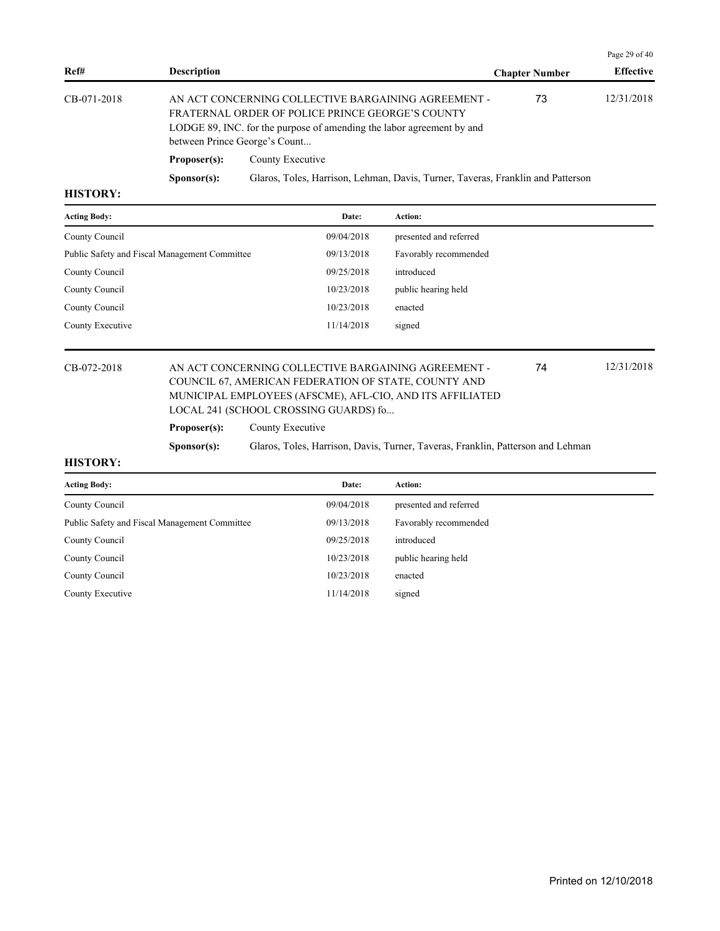|                 |                      |                                                                                                                                                                                                                   |                       | Page 29 of 40    |
|-----------------|----------------------|-------------------------------------------------------------------------------------------------------------------------------------------------------------------------------------------------------------------|-----------------------|------------------|
| Ref#            | <b>Description</b>   |                                                                                                                                                                                                                   | <b>Chapter Number</b> | <b>Effective</b> |
| CB-071-2018     |                      | AN ACT CONCERNING COLLECTIVE BARGAINING AGREEMENT -<br>FRATERNAL ORDER OF POLICE PRINCE GEORGE'S COUNTY<br>LODGE 89, INC. for the purpose of amending the labor agreement by and<br>between Prince George's Count | 73                    | 12/31/2018       |
|                 | Proposer(s):         | County Executive                                                                                                                                                                                                  |                       |                  |
|                 | S <b>p</b> onsor(s): | Glaros, Toles, Harrison, Lehman, Davis, Turner, Taveras, Franklin and Patterson                                                                                                                                   |                       |                  |
| <b>HICTODV.</b> |                      |                                                                                                                                                                                                                   |                       |                  |

| <b>Acting Body:</b>                           | Date:      | <b>Action:</b>         |
|-----------------------------------------------|------------|------------------------|
| County Council                                | 09/04/2018 | presented and referred |
| Public Safety and Fiscal Management Committee | 09/13/2018 | Favorably recommended  |
| County Council                                | 09/25/2018 | introduced             |
| County Council                                | 10/23/2018 | public hearing held    |
| County Council                                | 10/23/2018 | enacted                |
| County Executive                              | 11/14/2018 | signed                 |

# CB-072-2018 AN ACT CONCERNING COLLECTIVE BARGAINING AGREEMENT - 12/31/2018 COUNCIL 67, AMERICAN FEDERATION OF STATE, COUNTY AND MUNICIPAL EMPLOYEES (AFSCME), AFL-CIO, AND ITS AFFILIATED LOCAL 241 (SCHOOL CROSSING GUARDS) fo...

### **Proposer(s):** County Executive

**Sponsor(s):** Glaros, Toles, Harrison, Davis, Turner, Taveras, Franklin, Patterson and Lehman

74

| <b>Acting Body:</b>                           | Date:      | <b>Action:</b>         |
|-----------------------------------------------|------------|------------------------|
| County Council                                | 09/04/2018 | presented and referred |
| Public Safety and Fiscal Management Committee | 09/13/2018 | Favorably recommended  |
| County Council                                | 09/25/2018 | introduced             |
| County Council                                | 10/23/2018 | public hearing held    |
| County Council                                | 10/23/2018 | enacted                |
| County Executive                              | 11/14/2018 | signed                 |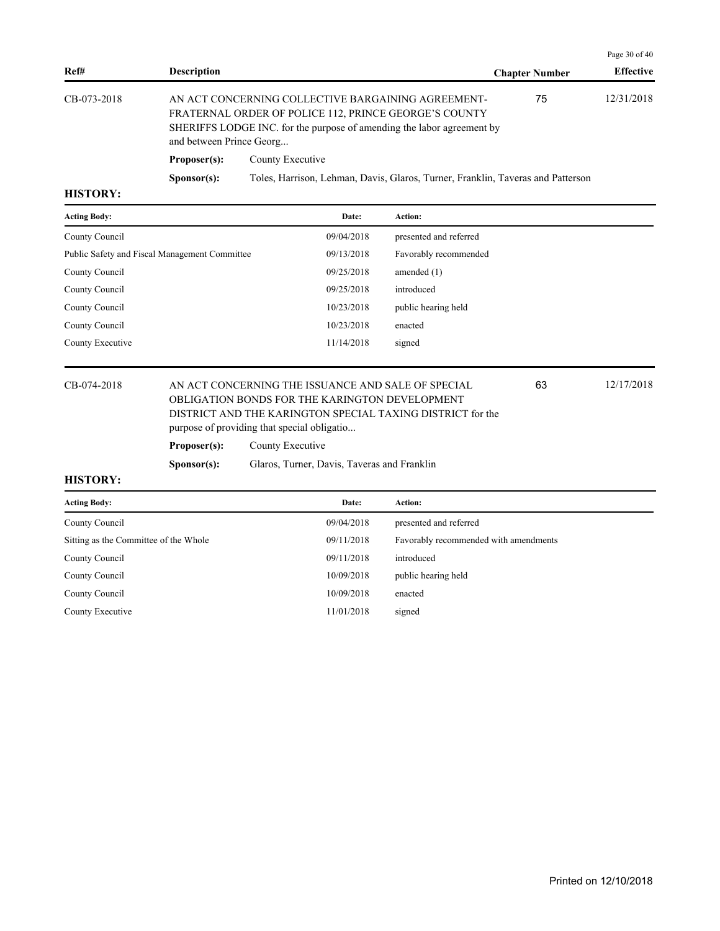|                 |                          |                                                                                                                                                                                       |                       | Page $30$ of $40$ |
|-----------------|--------------------------|---------------------------------------------------------------------------------------------------------------------------------------------------------------------------------------|-----------------------|-------------------|
| Ref#            | <b>Description</b>       |                                                                                                                                                                                       | <b>Chapter Number</b> | <b>Effective</b>  |
| CB-073-2018     | and between Prince Georg | AN ACT CONCERNING COLLECTIVE BARGAINING AGREEMENT-<br>FRATERNAL ORDER OF POLICE 112, PRINCE GEORGE'S COUNTY<br>SHERIFFS LODGE INC. for the purpose of amending the labor agreement by | 75                    | 12/31/2018        |
|                 | Proposer(s):             | County Executive                                                                                                                                                                      |                       |                   |
|                 | S <b>p</b> onsor(s):     | Toles, Harrison, Lehman, Davis, Glaros, Turner, Franklin, Taveras and Patterson                                                                                                       |                       |                   |
| <b>HICTODV.</b> |                          |                                                                                                                                                                                       |                       |                   |

| Date:      | <b>Action:</b>         |
|------------|------------------------|
| 09/04/2018 | presented and referred |
| 09/13/2018 | Favorably recommended  |
| 09/25/2018 | amended $(1)$          |
| 09/25/2018 | introduced             |
| 10/23/2018 | public hearing held    |
| 10/23/2018 | enacted                |
| 11/14/2018 | signed                 |
|            |                        |

## CB-074-2018 AN ACT CONCERNING THE ISSUANCE AND SALE OF SPECIAL 63 12/17/2018 OBLIGATION BONDS FOR THE KARINGTON DEVELOPMENT DISTRICT AND THE KARINGTON SPECIAL TAXING DISTRICT for the purpose of providing that special obligatio...

63

|             | purpose or providing that special bong. |
|-------------|-----------------------------------------|
| Pronoser(s) | County Executive                        |

| т торозец зд. | COULLY LACURITY |
|---------------|-----------------|
|               |                 |

**Sponsor(s):** Glaros, Turner, Davis, Taveras and Franklin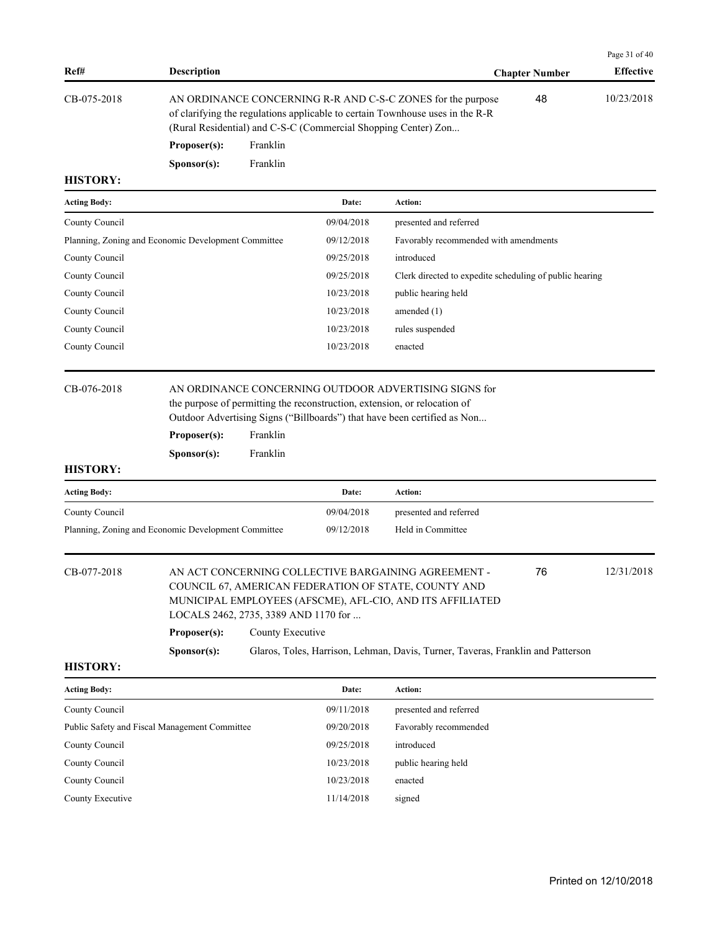|             |                      |                                                                                                                                                                                                                |                       | Page $31$ of $40$ |
|-------------|----------------------|----------------------------------------------------------------------------------------------------------------------------------------------------------------------------------------------------------------|-----------------------|-------------------|
| Ref#        | <b>Description</b>   |                                                                                                                                                                                                                | <b>Chapter Number</b> | <b>Effective</b>  |
| CB-075-2018 |                      | AN ORDINANCE CONCERNING R-R AND C-S-C ZONES for the purpose<br>of clarifying the regulations applicable to certain Townhouse uses in the R-R<br>(Rural Residential) and C-S-C (Commercial Shopping Center) Zon | 48                    | 10/23/2018        |
|             | Proposer(s):         | Franklin                                                                                                                                                                                                       |                       |                   |
|             | S <b>p</b> onsor(s): | Franklin                                                                                                                                                                                                       |                       |                   |

| <b>Acting Body:</b>                                 | Date:      | Action:                                                 |
|-----------------------------------------------------|------------|---------------------------------------------------------|
| County Council                                      | 09/04/2018 | presented and referred                                  |
| Planning, Zoning and Economic Development Committee | 09/12/2018 | Favorably recommended with amendments                   |
| County Council                                      | 09/25/2018 | introduced                                              |
| County Council                                      | 09/25/2018 | Clerk directed to expedite scheduling of public hearing |
| County Council                                      | 10/23/2018 | public hearing held                                     |
| County Council                                      | 10/23/2018 | amended $(1)$                                           |
| County Council                                      | 10/23/2018 | rules suspended                                         |
| County Council                                      | 10/23/2018 | enacted                                                 |
|                                                     |            |                                                         |

CB-076-2018 AN ORDINANCE CONCERNING OUTDOOR ADVERTISING SIGNS for the purpose of permitting the reconstruction, extension, or relocation of Outdoor Advertising Signs ("Billboards") that have been certified as Non...

| Proposer(s):         | Franklin |
|----------------------|----------|
| S <b>p</b> onsor(s): | Franklin |

# **HISTORY:**

| <b>Acting Body:</b>                                 | Date:      | Action:                |
|-----------------------------------------------------|------------|------------------------|
| County Council                                      | 09/04/2018 | presented and referred |
| Planning, Zoning and Economic Development Committee | 09/12/2018 | Held in Committee      |

| CB-077-2018 |                      | AN ACT CONCERNING COLLECTIVE BARGAINING AGREEMENT -<br>COUNCIL 67, AMERICAN FEDERATION OF STATE, COUNTY AND<br>MUNICIPAL EMPLOYEES (AFSCME), AFL-CIO, AND ITS AFFILIATED<br>LOCALS 2462, 2735, 3389 AND 1170 for | 76 | 12/31/2018 |
|-------------|----------------------|------------------------------------------------------------------------------------------------------------------------------------------------------------------------------------------------------------------|----|------------|
|             | Proposer(s):         | County Executive                                                                                                                                                                                                 |    |            |
|             | S <b>p</b> onsor(s): | Glaros, Toles, Harrison, Lehman, Davis, Turner, Taveras, Franklin and Patterson                                                                                                                                  |    |            |

| <b>Acting Body:</b>                           | Date:      | Action:                |
|-----------------------------------------------|------------|------------------------|
| County Council                                | 09/11/2018 | presented and referred |
| Public Safety and Fiscal Management Committee | 09/20/2018 | Favorably recommended  |
| County Council                                | 09/25/2018 | introduced             |
| County Council                                | 10/23/2018 | public hearing held    |
| County Council                                | 10/23/2018 | enacted                |
| County Executive                              | 11/14/2018 | signed                 |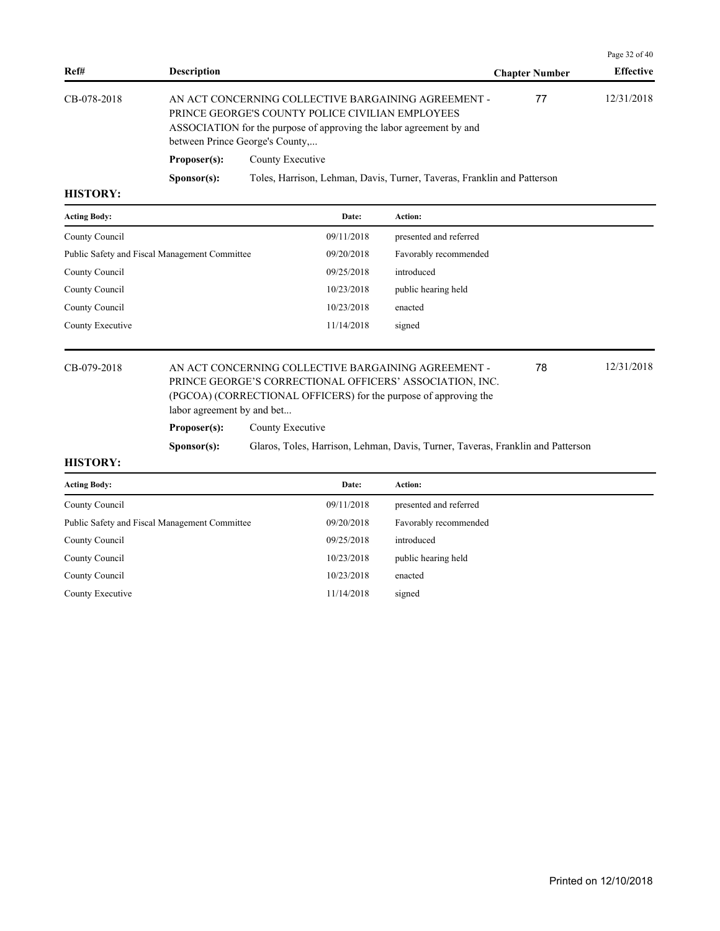|                 |                      |                                                                                                                                                                                                                   |                       | Page $32$ of $40$ |
|-----------------|----------------------|-------------------------------------------------------------------------------------------------------------------------------------------------------------------------------------------------------------------|-----------------------|-------------------|
| Ref#            | <b>Description</b>   |                                                                                                                                                                                                                   | <b>Chapter Number</b> | <b>Effective</b>  |
| CB-078-2018     |                      | AN ACT CONCERNING COLLECTIVE BARGAINING AGREEMENT -<br>PRINCE GEORGE'S COUNTY POLICE CIVILIAN EMPLOYEES<br>ASSOCIATION for the purpose of approving the labor agreement by and<br>between Prince George's County, | 77                    | 12/31/2018        |
|                 | Proposer(s):         | County Executive                                                                                                                                                                                                  |                       |                   |
|                 | S <b>p</b> onsor(s): | Toles, Harrison, Lehman, Davis, Turner, Taveras, Franklin and Patterson                                                                                                                                           |                       |                   |
| <b>HISTORY.</b> |                      |                                                                                                                                                                                                                   |                       |                   |

| <b>Acting Body:</b>                           | Date:      | Action:                |
|-----------------------------------------------|------------|------------------------|
| County Council                                | 09/11/2018 | presented and referred |
| Public Safety and Fiscal Management Committee | 09/20/2018 | Favorably recommended  |
| County Council                                | 09/25/2018 | introduced             |
| County Council                                | 10/23/2018 | public hearing held    |
| County Council                                | 10/23/2018 | enacted                |
| County Executive                              | 11/14/2018 | signed                 |
|                                               |            |                        |

#### CB-079-2018 AN ACT CONCERNING COLLECTIVE BARGAINING AGREEMENT - 12/31/2018 PRINCE GEORGE'S CORRECTIONAL OFFICERS' ASSOCIATION, INC. (PGCOA) (CORRECTIONAL OFFICERS) for the purpose of approving the labor agreement by and bet... 78 Proposer(s): County Executive

**Sponsor(s):** Glaros, Toles, Harrison, Lehman, Davis, Turner, Taveras, Franklin and Patterson

| <b>Acting Body:</b>                           | Date:      | Action:                |
|-----------------------------------------------|------------|------------------------|
| County Council                                | 09/11/2018 | presented and referred |
| Public Safety and Fiscal Management Committee | 09/20/2018 | Favorably recommended  |
| County Council                                | 09/25/2018 | introduced             |
| County Council                                | 10/23/2018 | public hearing held    |
| County Council                                | 10/23/2018 | enacted                |
| County Executive                              | 11/14/2018 | signed                 |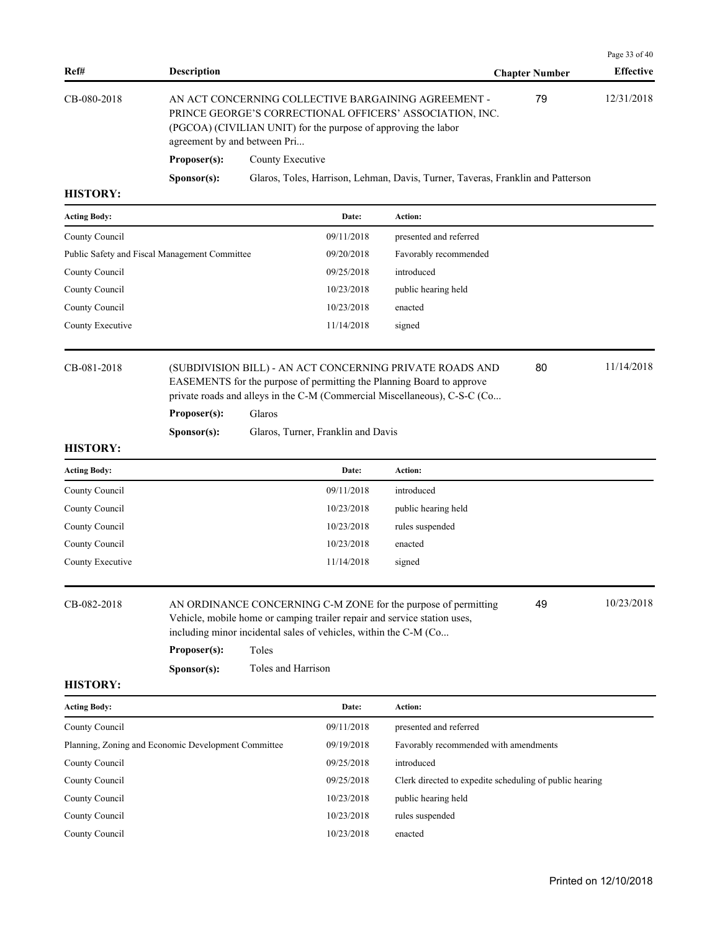|                     |                      |                                                                                                                                                                                                                   |                       | Page 33 of 40    |  |
|---------------------|----------------------|-------------------------------------------------------------------------------------------------------------------------------------------------------------------------------------------------------------------|-----------------------|------------------|--|
| Ref#                | <b>Description</b>   |                                                                                                                                                                                                                   | <b>Chapter Number</b> | <b>Effective</b> |  |
| CB-080-2018         |                      | AN ACT CONCERNING COLLECTIVE BARGAINING AGREEMENT -<br>PRINCE GEORGE'S CORRECTIONAL OFFICERS' ASSOCIATION, INC.<br>(PGCOA) (CIVILIAN UNIT) for the purpose of approving the labor<br>agreement by and between Pri | 79                    | 12/31/2018       |  |
|                     | Proposer(s):         | County Executive                                                                                                                                                                                                  |                       |                  |  |
|                     | S <b>p</b> onsor(s): | Glaros, Toles, Harrison, Lehman, Davis, Turner, Taveras, Franklin and Patterson                                                                                                                                   |                       |                  |  |
| <b>HISTORY:</b>     |                      |                                                                                                                                                                                                                   |                       |                  |  |
| <b>Acting Body:</b> |                      | <b>Action:</b><br>Date:                                                                                                                                                                                           |                       |                  |  |

| County Council      |                                               | 09/11/2018                                                                                                                                                                                                                         | presented and referred |    |            |  |  |
|---------------------|-----------------------------------------------|------------------------------------------------------------------------------------------------------------------------------------------------------------------------------------------------------------------------------------|------------------------|----|------------|--|--|
|                     | Public Safety and Fiscal Management Committee | 09/20/2018                                                                                                                                                                                                                         | Favorably recommended  |    |            |  |  |
| County Council      |                                               | 09/25/2018                                                                                                                                                                                                                         | introduced             |    |            |  |  |
| County Council      |                                               | 10/23/2018                                                                                                                                                                                                                         | public hearing held    |    |            |  |  |
| County Council      |                                               | 10/23/2018                                                                                                                                                                                                                         | enacted                |    |            |  |  |
| County Executive    |                                               | 11/14/2018                                                                                                                                                                                                                         | signed                 |    |            |  |  |
| CB-081-2018         |                                               | 11/14/2018<br>80<br>(SUBDIVISION BILL) - AN ACT CONCERNING PRIVATE ROADS AND<br>EASEMENTS for the purpose of permitting the Planning Board to approve<br>private roads and alleys in the C-M (Commercial Miscellaneous), C-S-C (Co |                        |    |            |  |  |
|                     | Proposer(s):                                  | Glaros                                                                                                                                                                                                                             |                        |    |            |  |  |
|                     | S <b>p</b> onsor(s):                          | Glaros, Turner, Franklin and Davis                                                                                                                                                                                                 |                        |    |            |  |  |
| <b>HISTORY:</b>     |                                               |                                                                                                                                                                                                                                    |                        |    |            |  |  |
| <b>Acting Body:</b> |                                               | Date:                                                                                                                                                                                                                              | Action:                |    |            |  |  |
| County Council      |                                               | 09/11/2018                                                                                                                                                                                                                         | introduced             |    |            |  |  |
| County Council      |                                               | 10/23/2018                                                                                                                                                                                                                         | public hearing held    |    |            |  |  |
| County Council      |                                               | 10/23/2018                                                                                                                                                                                                                         | rules suspended        |    |            |  |  |
| County Council      |                                               | 10/23/2018                                                                                                                                                                                                                         | enacted                |    |            |  |  |
| County Executive    |                                               | 11/14/2018                                                                                                                                                                                                                         | signed                 |    |            |  |  |
| CB-082-2018         |                                               | AN ORDINANCE CONCERNING C-M ZONE for the purpose of permitting<br>Vehicle, mobile home or camping trailer repair and service station uses,<br>including minor incidental sales of vehicles, within the C-M (Co                     |                        | 49 | 10/23/2018 |  |  |

**Proposer(s):** Toles

**Sponsor(s):** Toles and Harrison

| <b>Acting Body:</b>                                 | Date:      | <b>Action:</b>                                          |
|-----------------------------------------------------|------------|---------------------------------------------------------|
| County Council                                      | 09/11/2018 | presented and referred                                  |
| Planning, Zoning and Economic Development Committee | 09/19/2018 | Favorably recommended with amendments                   |
| County Council                                      | 09/25/2018 | introduced                                              |
| County Council                                      | 09/25/2018 | Clerk directed to expedite scheduling of public hearing |
| County Council                                      | 10/23/2018 | public hearing held                                     |
| County Council                                      | 10/23/2018 | rules suspended                                         |
| County Council                                      | 10/23/2018 | enacted                                                 |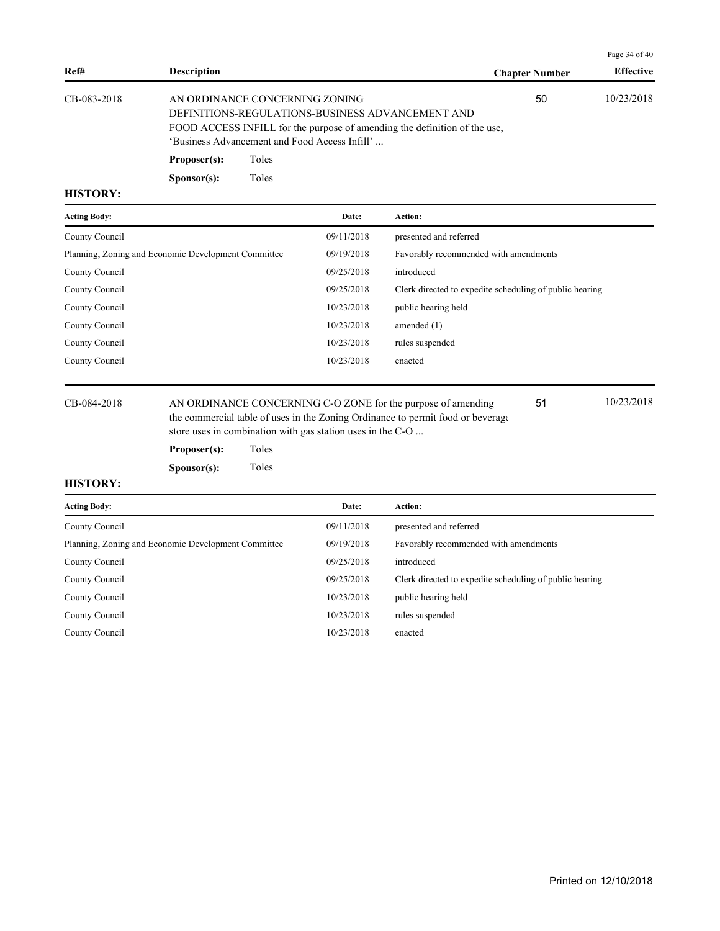|             |                    |                                                                                                                                                                                                                  |                       | Page 34 of $40$  |
|-------------|--------------------|------------------------------------------------------------------------------------------------------------------------------------------------------------------------------------------------------------------|-----------------------|------------------|
| Ref#        | <b>Description</b> |                                                                                                                                                                                                                  | <b>Chapter Number</b> | <b>Effective</b> |
| CB-083-2018 |                    | AN ORDINANCE CONCERNING ZONING<br>DEFINITIONS-REGULATIONS-BUSINESS ADVANCEMENT AND<br>FOOD ACCESS INFILL for the purpose of amending the definition of the use,<br>'Business Advancement and Food Access Infill' | 50                    | 10/23/2018       |
|             | Proposer(s):       | Toles                                                                                                                                                                                                            |                       |                  |
|             | Sponsor(s):        | Toles                                                                                                                                                                                                            |                       |                  |

| <b>Acting Body:</b>                                 | Date:      | <b>Action:</b>                                          |
|-----------------------------------------------------|------------|---------------------------------------------------------|
| County Council                                      | 09/11/2018 | presented and referred                                  |
| Planning, Zoning and Economic Development Committee | 09/19/2018 | Favorably recommended with amendments                   |
| County Council                                      | 09/25/2018 | introduced                                              |
| County Council                                      | 09/25/2018 | Clerk directed to expedite scheduling of public hearing |
| County Council                                      | 10/23/2018 | public hearing held                                     |
| County Council                                      | 10/23/2018 | amended $(1)$                                           |
| County Council                                      | 10/23/2018 | rules suspended                                         |
| County Council                                      | 10/23/2018 | enacted                                                 |
|                                                     |            |                                                         |

CB-084-2018 AN ORDINANCE CONCERNING C-O ZONE for the purpose of amending 10/23/2018 the commercial table of uses in the Zoning Ordinance to permit food or beverage store uses in combination with gas station uses in the C-O ... 51

**Proposer(s):** Toles **Sponsor(s):** Toles

| <b>Acting Body:</b>                                 | Date:      | <b>Action:</b>                                          |
|-----------------------------------------------------|------------|---------------------------------------------------------|
| County Council                                      | 09/11/2018 | presented and referred                                  |
| Planning, Zoning and Economic Development Committee | 09/19/2018 | Favorably recommended with amendments                   |
| County Council                                      | 09/25/2018 | introduced                                              |
| County Council                                      | 09/25/2018 | Clerk directed to expedite scheduling of public hearing |
| County Council                                      | 10/23/2018 | public hearing held                                     |
| County Council                                      | 10/23/2018 | rules suspended                                         |
| County Council                                      | 10/23/2018 | enacted                                                 |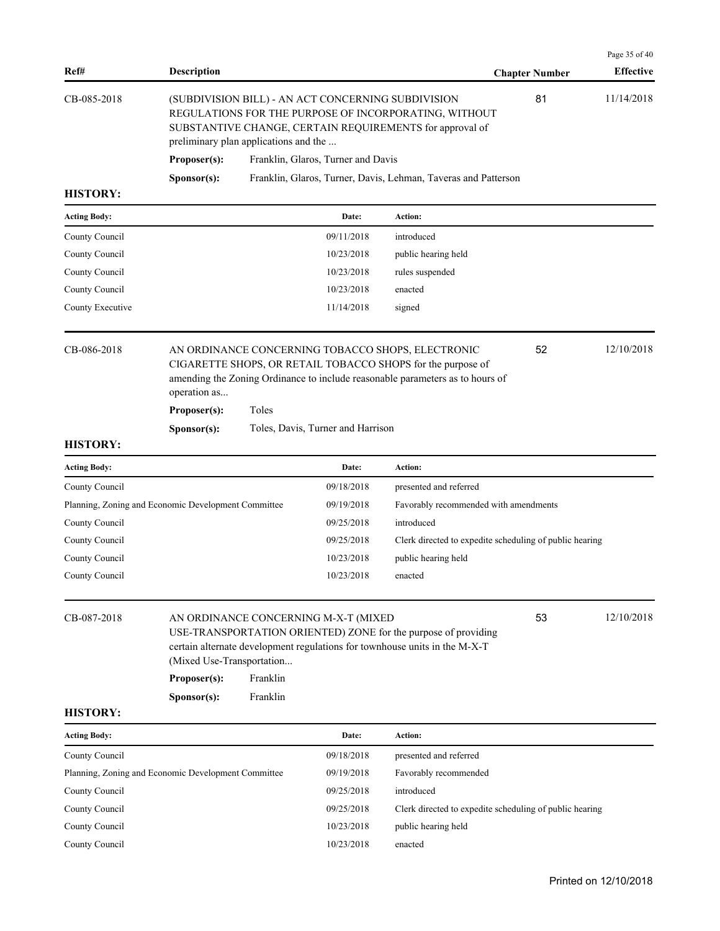| Ref#                | <b>Description</b>                                       |                      |                                      |                                                                                                                                                                                                   | <b>Chapter Number</b> | Page 35 of 40<br><b>Effective</b> |
|---------------------|----------------------------------------------------------|----------------------|--------------------------------------|---------------------------------------------------------------------------------------------------------------------------------------------------------------------------------------------------|-----------------------|-----------------------------------|
| CB-085-2018         | preliminary plan applications and the                    |                      |                                      | (SUBDIVISION BILL) - AN ACT CONCERNING SUBDIVISION<br>REGULATIONS FOR THE PURPOSE OF INCORPORATING, WITHOUT<br>SUBSTANTIVE CHANGE, CERTAIN REQUIREMENTS for approval of                           | 81                    | 11/14/2018                        |
|                     | Proposer(s):                                             |                      | Franklin, Glaros, Turner and Davis   |                                                                                                                                                                                                   |                       |                                   |
|                     | Sponsor(s):                                              |                      |                                      | Franklin, Glaros, Turner, Davis, Lehman, Taveras and Patterson                                                                                                                                    |                       |                                   |
| <b>HISTORY:</b>     |                                                          |                      |                                      |                                                                                                                                                                                                   |                       |                                   |
| <b>Acting Body:</b> |                                                          |                      | Date:                                | Action:                                                                                                                                                                                           |                       |                                   |
| County Council      |                                                          |                      | 09/11/2018                           | introduced                                                                                                                                                                                        |                       |                                   |
| County Council      |                                                          |                      | 10/23/2018                           | public hearing held                                                                                                                                                                               |                       |                                   |
| County Council      |                                                          |                      | 10/23/2018                           | rules suspended                                                                                                                                                                                   |                       |                                   |
| County Council      |                                                          |                      | 10/23/2018                           | enacted                                                                                                                                                                                           |                       |                                   |
| County Executive    |                                                          |                      | 11/14/2018                           | signed                                                                                                                                                                                            |                       |                                   |
| CB-086-2018         | operation as                                             |                      |                                      | AN ORDINANCE CONCERNING TOBACCO SHOPS, ELECTRONIC<br>CIGARETTE SHOPS, OR RETAIL TOBACCO SHOPS for the purpose of<br>amending the Zoning Ordinance to include reasonable parameters as to hours of | 52                    | 12/10/2018                        |
|                     | Proposer(s):                                             | Toles                |                                      |                                                                                                                                                                                                   |                       |                                   |
|                     | Sponsor(s):                                              |                      | Toles, Davis, Turner and Harrison    |                                                                                                                                                                                                   |                       |                                   |
| <b>HISTORY:</b>     |                                                          |                      |                                      |                                                                                                                                                                                                   |                       |                                   |
| <b>Acting Body:</b> |                                                          |                      | Date:                                | Action:                                                                                                                                                                                           |                       |                                   |
| County Council      |                                                          |                      | 09/18/2018                           | presented and referred                                                                                                                                                                            |                       |                                   |
|                     | Planning, Zoning and Economic Development Committee      |                      | 09/19/2018                           | Favorably recommended with amendments                                                                                                                                                             |                       |                                   |
| County Council      |                                                          |                      | 09/25/2018                           | introduced                                                                                                                                                                                        |                       |                                   |
| County Council      |                                                          |                      | 09/25/2018                           | Clerk directed to expedite scheduling of public hearing                                                                                                                                           |                       |                                   |
| County Council      |                                                          |                      | 10/23/2018                           | public hearing held                                                                                                                                                                               |                       |                                   |
| County Council      |                                                          |                      | 10/23/2018                           | enacted                                                                                                                                                                                           |                       |                                   |
| CB-087-2018         | (Mixed Use-Transportation<br>Proposer(s):<br>Sponsor(s): | Franklin<br>Franklin | AN ORDINANCE CONCERNING M-X-T (MIXED | USE-TRANSPORTATION ORIENTED) ZONE for the purpose of providing<br>certain alternate development regulations for townhouse units in the M-X-T                                                      | 53                    | 12/10/2018                        |
| <b>HISTORY:</b>     |                                                          |                      |                                      |                                                                                                                                                                                                   |                       |                                   |
| <b>Acting Body:</b> |                                                          |                      | Date:                                | Action:                                                                                                                                                                                           |                       |                                   |
| County Council      |                                                          |                      | 09/18/2018                           | presented and referred                                                                                                                                                                            |                       |                                   |
|                     | Planning, Zoning and Economic Development Committee      |                      | 09/19/2018                           | Favorably recommended                                                                                                                                                                             |                       |                                   |
| County Council      |                                                          |                      | 09/25/2018                           | introduced                                                                                                                                                                                        |                       |                                   |
| County Council      |                                                          |                      | 09/25/2018                           | Clerk directed to expedite scheduling of public hearing                                                                                                                                           |                       |                                   |
| County Council      |                                                          |                      | 10/23/2018                           | public hearing held                                                                                                                                                                               |                       |                                   |
| County Council      |                                                          |                      | 10/23/2018                           | enacted                                                                                                                                                                                           |                       |                                   |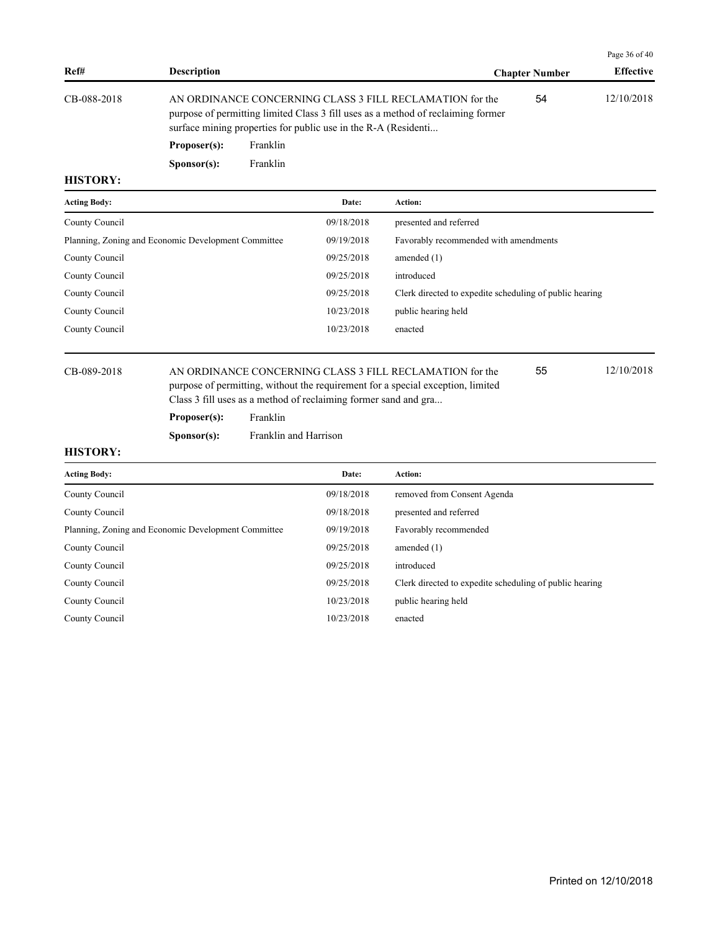|             |                      |                                                                                                                                                                                                                |                       | Page $36$ of $40$ |
|-------------|----------------------|----------------------------------------------------------------------------------------------------------------------------------------------------------------------------------------------------------------|-----------------------|-------------------|
| Ref#        | <b>Description</b>   |                                                                                                                                                                                                                | <b>Chapter Number</b> | <b>Effective</b>  |
| CB-088-2018 |                      | AN ORDINANCE CONCERNING CLASS 3 FILL RECLAMATION for the<br>purpose of permitting limited Class 3 fill uses as a method of reclaiming former<br>surface mining properties for public use in the R-A (Residenti | 54                    | 12/10/2018        |
|             | Proposer(s):         | Franklin                                                                                                                                                                                                       |                       |                   |
|             | S <b>p</b> onsor(s): | Franklin                                                                                                                                                                                                       |                       |                   |

| <b>Acting Body:</b>                                 | Date:      | Action:                                                 |
|-----------------------------------------------------|------------|---------------------------------------------------------|
| County Council                                      | 09/18/2018 | presented and referred                                  |
| Planning, Zoning and Economic Development Committee | 09/19/2018 | Favorably recommended with amendments                   |
| County Council                                      | 09/25/2018 | amended $(1)$                                           |
| County Council                                      | 09/25/2018 | introduced                                              |
| County Council                                      | 09/25/2018 | Clerk directed to expedite scheduling of public hearing |
| County Council                                      | 10/23/2018 | public hearing held                                     |
| County Council                                      | 10/23/2018 | enacted                                                 |
|                                                     |            |                                                         |

# CB-089-2018 AN ORDINANCE CONCERNING CLASS 3 FILL RECLAMATION for the 12/10/2018 purpose of permitting, without the requirement for a special exception, limited Class 3 fill uses as a method of reclaiming former sand and gra...

**Proposer(s):** Franklin

**Sponsor(s):** Franklin and Harrison

# **HISTORY:**

| <b>Acting Body:</b>                                 | Date:      | Action:                                                 |
|-----------------------------------------------------|------------|---------------------------------------------------------|
| County Council                                      | 09/18/2018 | removed from Consent Agenda                             |
| County Council                                      | 09/18/2018 | presented and referred                                  |
| Planning, Zoning and Economic Development Committee | 09/19/2018 | Favorably recommended                                   |
| County Council                                      | 09/25/2018 | amended $(1)$                                           |
| County Council                                      | 09/25/2018 | introduced                                              |
| County Council                                      | 09/25/2018 | Clerk directed to expedite scheduling of public hearing |
| County Council                                      | 10/23/2018 | public hearing held                                     |
| County Council                                      | 10/23/2018 | enacted                                                 |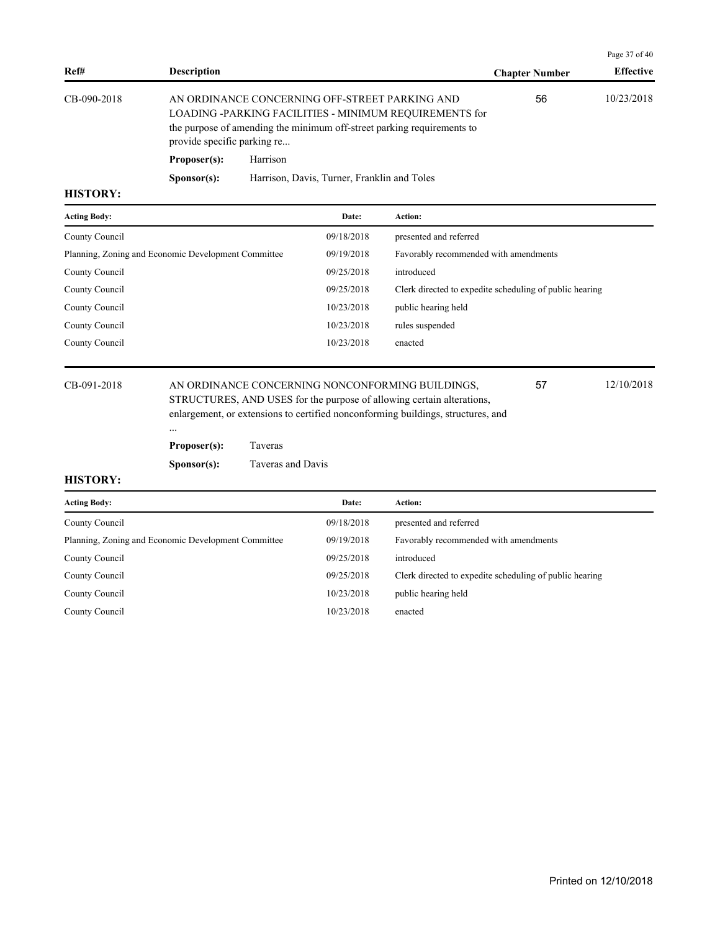|             |                             |                                                                                                                                                                                    |                       | Page 37 of 40    |
|-------------|-----------------------------|------------------------------------------------------------------------------------------------------------------------------------------------------------------------------------|-----------------------|------------------|
| Ref#        | <b>Description</b>          |                                                                                                                                                                                    | <b>Chapter Number</b> | <b>Effective</b> |
| CB-090-2018 | provide specific parking re | AN ORDINANCE CONCERNING OFF-STREET PARKING AND<br>LOADING -PARKING FACILITIES - MINIMUM REQUIREMENTS for<br>the purpose of amending the minimum off-street parking requirements to | 56                    | 10/23/2018       |
|             | Proposer(s):                | Harrison                                                                                                                                                                           |                       |                  |
|             | S <b>p</b> onsor(s):        | Harrison, Davis, Turner, Franklin and Toles                                                                                                                                        |                       |                  |

| <b>Acting Body:</b>                                 | Date:      | Action:                                                 |
|-----------------------------------------------------|------------|---------------------------------------------------------|
| County Council                                      | 09/18/2018 | presented and referred                                  |
| Planning, Zoning and Economic Development Committee | 09/19/2018 | Favorably recommended with amendments                   |
| County Council                                      | 09/25/2018 | introduced                                              |
| County Council                                      | 09/25/2018 | Clerk directed to expedite scheduling of public hearing |
| County Council                                      | 10/23/2018 | public hearing held                                     |
| County Council                                      | 10/23/2018 | rules suspended                                         |
| County Council                                      | 10/23/2018 | enacted                                                 |
|                                                     |            |                                                         |

CB-091-2018 AN ORDINANCE CONCERNING NONCONFORMING BUILDINGS, 57 12/10/2018 STRUCTURES, AND USES for the purpose of allowing certain alterations, enlargement, or extensions to certified nonconforming buildings, structures, and

57

# **Proposer(s):** Taveras

...

**Sponsor(s):** Taveras and Davis

| <b>Acting Body:</b>                                 | Date:      | Action:                                                 |
|-----------------------------------------------------|------------|---------------------------------------------------------|
| County Council                                      | 09/18/2018 | presented and referred                                  |
| Planning, Zoning and Economic Development Committee | 09/19/2018 | Favorably recommended with amendments                   |
| County Council                                      | 09/25/2018 | introduced                                              |
| County Council                                      | 09/25/2018 | Clerk directed to expedite scheduling of public hearing |
| County Council                                      | 10/23/2018 | public hearing held                                     |
| County Council                                      | 10/23/2018 | enacted                                                 |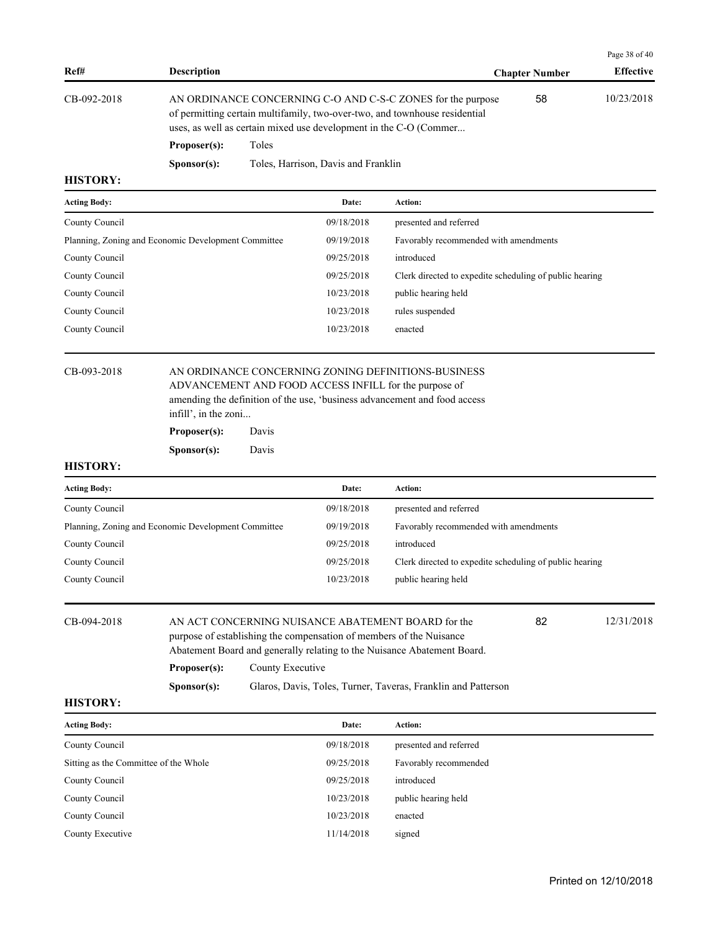|             |                      |                                                                                                                                                                                                                |                       | Page 38 of 40    |
|-------------|----------------------|----------------------------------------------------------------------------------------------------------------------------------------------------------------------------------------------------------------|-----------------------|------------------|
| Ref#        | <b>Description</b>   |                                                                                                                                                                                                                | <b>Chapter Number</b> | <b>Effective</b> |
| CB-092-2018 |                      | AN ORDINANCE CONCERNING C-O AND C-S-C ZONES for the purpose<br>of permitting certain multifamily, two-over-two, and townhouse residential<br>uses, as well as certain mixed use development in the C-O (Commer | 58                    | 10/23/2018       |
|             | Proposer(s):         | Toles                                                                                                                                                                                                          |                       |                  |
|             | S <b>p</b> onsor(s): | Toles, Harrison, Davis and Franklin                                                                                                                                                                            |                       |                  |

| <b>Acting Body:</b>                                 | Date:      | Action:                                                 |
|-----------------------------------------------------|------------|---------------------------------------------------------|
| County Council                                      | 09/18/2018 | presented and referred                                  |
| Planning, Zoning and Economic Development Committee | 09/19/2018 | Favorably recommended with amendments                   |
| County Council                                      | 09/25/2018 | introduced                                              |
| County Council                                      | 09/25/2018 | Clerk directed to expedite scheduling of public hearing |
| County Council                                      | 10/23/2018 | public hearing held                                     |
| County Council                                      | 10/23/2018 | rules suspended                                         |
| County Council                                      | 10/23/2018 | enacted                                                 |
|                                                     |            |                                                         |

# CB-093-2018 AN ORDINANCE CONCERNING ZONING DEFINITIONS-BUSINESS

ADVANCEMENT AND FOOD ACCESS INFILL for the purpose of amending the definition of the use, 'business advancement and food access infill', in the zoni...

**Proposer(s):** Davis **Sponsor(s):** Davis

### **HISTORY:**

| <b>Acting Body:</b>                                 | Date:      | Action:                                                 |
|-----------------------------------------------------|------------|---------------------------------------------------------|
| County Council                                      | 09/18/2018 | presented and referred                                  |
| Planning, Zoning and Economic Development Committee | 09/19/2018 | Favorably recommended with amendments                   |
| County Council                                      | 09/25/2018 | introduced                                              |
| County Council                                      | 09/25/2018 | Clerk directed to expedite scheduling of public hearing |
| County Council                                      | 10/23/2018 | public hearing held                                     |
|                                                     |            |                                                         |

| CB-094-2018 |                      | 12/31/2018<br>AN ACT CONCERNING NUISANCE ABATEMENT BOARD for the<br>82  |  |  |  |  |
|-------------|----------------------|-------------------------------------------------------------------------|--|--|--|--|
|             |                      | purpose of establishing the compensation of members of the Nuisance     |  |  |  |  |
|             |                      | Abatement Board and generally relating to the Nuisance Abatement Board. |  |  |  |  |
|             | Proposer(s):         | County Executive                                                        |  |  |  |  |
|             | S <b>p</b> onsor(s): | Glaros, Davis, Toles, Turner, Taveras, Franklin and Patterson           |  |  |  |  |

| <b>Acting Body:</b>                   | Date:      | <b>Action:</b>         |
|---------------------------------------|------------|------------------------|
| County Council                        | 09/18/2018 | presented and referred |
| Sitting as the Committee of the Whole | 09/25/2018 | Favorably recommended  |
| County Council                        | 09/25/2018 | introduced             |
| County Council                        | 10/23/2018 | public hearing held    |
| County Council                        | 10/23/2018 | enacted                |
| County Executive                      | 11/14/2018 | signed                 |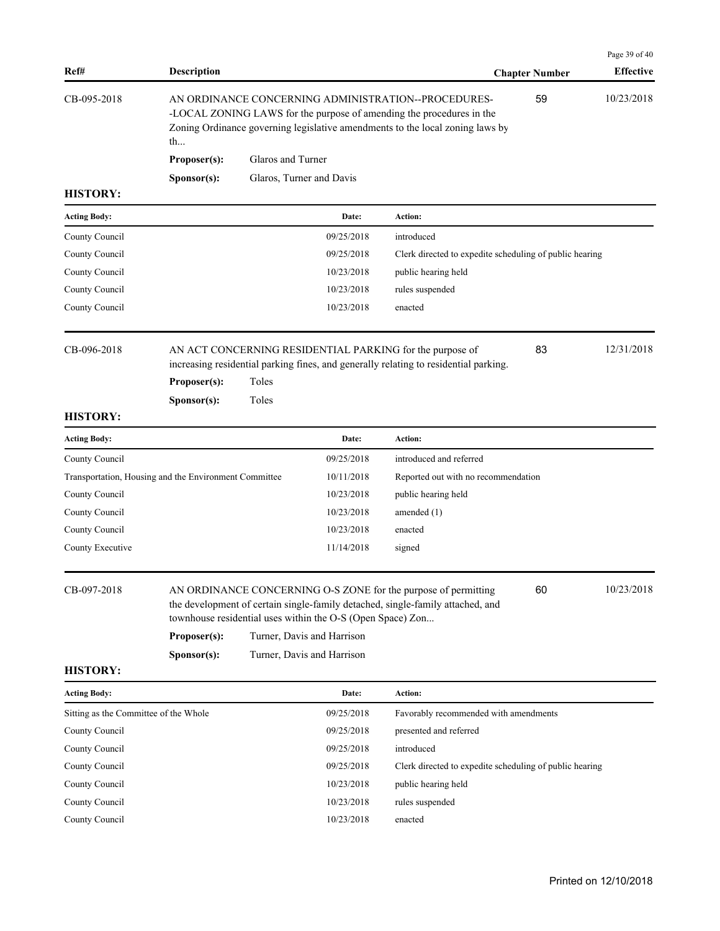|                                       |                                                       |                          |                                                                                                                        |                                                                                                                                                                                                              |                       | Page 39 of 40    |
|---------------------------------------|-------------------------------------------------------|--------------------------|------------------------------------------------------------------------------------------------------------------------|--------------------------------------------------------------------------------------------------------------------------------------------------------------------------------------------------------------|-----------------------|------------------|
| Ref#                                  | <b>Description</b>                                    |                          |                                                                                                                        |                                                                                                                                                                                                              | <b>Chapter Number</b> | <b>Effective</b> |
| CB-095-2018                           | th                                                    |                          |                                                                                                                        | AN ORDINANCE CONCERNING ADMINISTRATION--PROCEDURES-<br>-LOCAL ZONING LAWS for the purpose of amending the procedures in the<br>Zoning Ordinance governing legislative amendments to the local zoning laws by | 59                    | 10/23/2018       |
|                                       | Proposer(s):                                          | Glaros and Turner        |                                                                                                                        |                                                                                                                                                                                                              |                       |                  |
|                                       | Sponsor(s):                                           | Glaros, Turner and Davis |                                                                                                                        |                                                                                                                                                                                                              |                       |                  |
| <b>HISTORY:</b>                       |                                                       |                          |                                                                                                                        |                                                                                                                                                                                                              |                       |                  |
| <b>Acting Body:</b>                   |                                                       |                          | Date:                                                                                                                  | Action:                                                                                                                                                                                                      |                       |                  |
| County Council                        |                                                       |                          | 09/25/2018                                                                                                             | introduced                                                                                                                                                                                                   |                       |                  |
| County Council                        |                                                       |                          | 09/25/2018                                                                                                             | Clerk directed to expedite scheduling of public hearing                                                                                                                                                      |                       |                  |
| County Council                        |                                                       |                          | 10/23/2018                                                                                                             | public hearing held                                                                                                                                                                                          |                       |                  |
| County Council                        |                                                       |                          | 10/23/2018                                                                                                             | rules suspended                                                                                                                                                                                              |                       |                  |
| County Council                        |                                                       |                          | 10/23/2018                                                                                                             | enacted                                                                                                                                                                                                      |                       |                  |
| CB-096-2018                           | Proposer(s):                                          | Toles                    |                                                                                                                        | AN ACT CONCERNING RESIDENTIAL PARKING for the purpose of<br>increasing residential parking fines, and generally relating to residential parking.                                                             | 83                    | 12/31/2018       |
| <b>HISTORY:</b>                       | Sponsor(s):                                           | Toles                    |                                                                                                                        |                                                                                                                                                                                                              |                       |                  |
| <b>Acting Body:</b>                   |                                                       |                          | Date:                                                                                                                  | Action:                                                                                                                                                                                                      |                       |                  |
| County Council                        |                                                       |                          | 09/25/2018                                                                                                             | introduced and referred                                                                                                                                                                                      |                       |                  |
|                                       | Transportation, Housing and the Environment Committee |                          | 10/11/2018                                                                                                             | Reported out with no recommendation                                                                                                                                                                          |                       |                  |
| County Council                        |                                                       |                          | 10/23/2018                                                                                                             | public hearing held                                                                                                                                                                                          |                       |                  |
| County Council                        |                                                       |                          | 10/23/2018                                                                                                             | amended $(1)$                                                                                                                                                                                                |                       |                  |
| County Council                        |                                                       |                          | 10/23/2018                                                                                                             | enacted                                                                                                                                                                                                      |                       |                  |
| County Executive                      |                                                       |                          | 11/14/2018                                                                                                             | signed                                                                                                                                                                                                       |                       |                  |
| CB-097-2018<br><b>HISTORY:</b>        | Proposer(s):<br>Sponsor(s):                           |                          | townhouse residential uses within the O-S (Open Space) Zon<br>Turner, Davis and Harrison<br>Turner, Davis and Harrison | AN ORDINANCE CONCERNING O-S ZONE for the purpose of permitting<br>the development of certain single-family detached, single-family attached, and                                                             | 60                    | 10/23/2018       |
| <b>Acting Body:</b>                   |                                                       |                          | Date:                                                                                                                  | Action:                                                                                                                                                                                                      |                       |                  |
| Sitting as the Committee of the Whole |                                                       |                          | 09/25/2018                                                                                                             | Favorably recommended with amendments                                                                                                                                                                        |                       |                  |
| County Council                        |                                                       |                          | 09/25/2018                                                                                                             | presented and referred                                                                                                                                                                                       |                       |                  |
| County Council                        |                                                       |                          | 09/25/2018                                                                                                             | introduced                                                                                                                                                                                                   |                       |                  |
| County Council                        |                                                       |                          | 09/25/2018                                                                                                             | Clerk directed to expedite scheduling of public hearing                                                                                                                                                      |                       |                  |
| County Council                        |                                                       |                          | 10/23/2018                                                                                                             | public hearing held                                                                                                                                                                                          |                       |                  |
| County Council                        |                                                       |                          | 10/23/2018                                                                                                             | rules suspended                                                                                                                                                                                              |                       |                  |
| County Council                        |                                                       |                          | 10/23/2018                                                                                                             | enacted                                                                                                                                                                                                      |                       |                  |